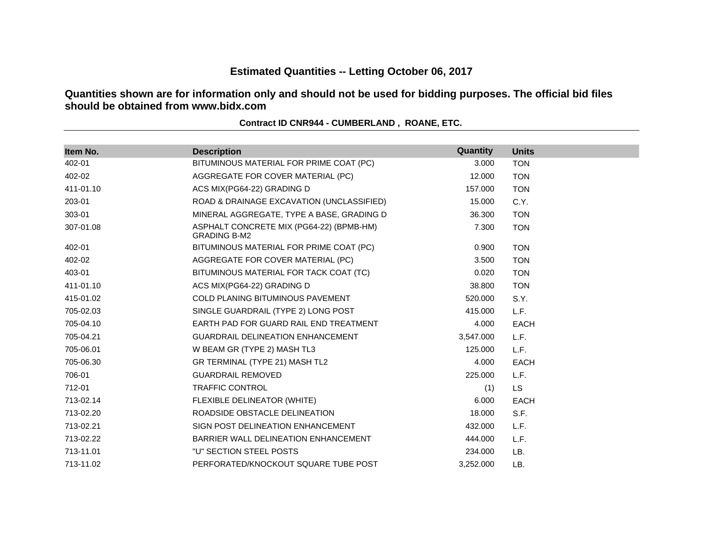# **Estimated Quantities -- Letting October 06, 2017**

**Quantities shown are for information only and should not be used for bidding purposes. The official bid files should be obtained from www.bidx.com**

| Item No.  | <b>Description</b>                                              | Quantity  | <b>Units</b> |
|-----------|-----------------------------------------------------------------|-----------|--------------|
| 402-01    | BITUMINOUS MATERIAL FOR PRIME COAT (PC)                         | 3.000     | <b>TON</b>   |
| 402-02    | AGGREGATE FOR COVER MATERIAL (PC)                               | 12.000    | <b>TON</b>   |
| 411-01.10 | ACS MIX(PG64-22) GRADING D                                      | 157.000   | <b>TON</b>   |
| 203-01    | ROAD & DRAINAGE EXCAVATION (UNCLASSIFIED)                       | 15.000    | C.Y.         |
| 303-01    | MINERAL AGGREGATE, TYPE A BASE, GRADING D                       | 36.300    | <b>TON</b>   |
| 307-01.08 | ASPHALT CONCRETE MIX (PG64-22) (BPMB-HM)<br><b>GRADING B-M2</b> | 7.300     | <b>TON</b>   |
| 402-01    | BITUMINOUS MATERIAL FOR PRIME COAT (PC)                         | 0.900     | <b>TON</b>   |
| 402-02    | AGGREGATE FOR COVER MATERIAL (PC)                               | 3.500     | <b>TON</b>   |
| 403-01    | BITUMINOUS MATERIAL FOR TACK COAT (TC)                          | 0.020     | <b>TON</b>   |
| 411-01.10 | ACS MIX(PG64-22) GRADING D                                      | 38.800    | <b>TON</b>   |
| 415-01.02 | <b>COLD PLANING BITUMINOUS PAVEMENT</b>                         | 520.000   | S.Y.         |
| 705-02.03 | SINGLE GUARDRAIL (TYPE 2) LONG POST                             | 415.000   | L.F.         |
| 705-04.10 | EARTH PAD FOR GUARD RAIL END TREATMENT                          | 4.000     | <b>EACH</b>  |
| 705-04.21 | <b>GUARDRAIL DELINEATION ENHANCEMENT</b>                        | 3,547.000 | L.F.         |
| 705-06.01 | W BEAM GR (TYPE 2) MASH TL3                                     | 125,000   | L.F.         |
| 705-06.30 | GR TERMINAL (TYPE 21) MASH TL2                                  | 4.000     | <b>EACH</b>  |
| 706-01    | <b>GUARDRAIL REMOVED</b>                                        | 225,000   | L.F.         |
| 712-01    | <b>TRAFFIC CONTROL</b>                                          | (1)       | <b>LS</b>    |
| 713-02.14 | FLEXIBLE DELINEATOR (WHITE)                                     | 6.000     | <b>EACH</b>  |
| 713-02.20 | ROADSIDE OBSTACLE DELINEATION                                   | 18.000    | S.F.         |
| 713-02.21 | SIGN POST DELINEATION ENHANCEMENT                               | 432,000   | L.F.         |
| 713-02.22 | BARRIER WALL DELINEATION ENHANCEMENT                            | 444.000   | L.F.         |
| 713-11.01 | "U" SECTION STEEL POSTS                                         | 234.000   | LB.          |
| 713-11.02 | PERFORATED/KNOCKOUT SQUARE TUBE POST                            | 3,252.000 | LB.          |

**Contract ID CNR944 - CUMBERLAND , ROANE, ETC.**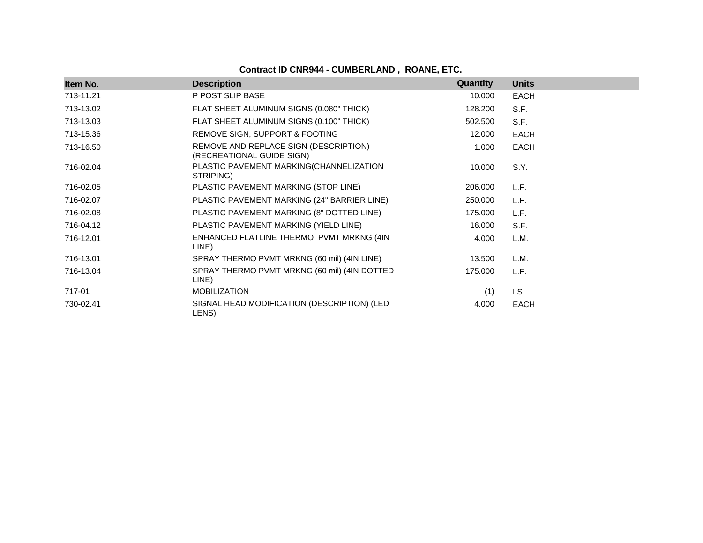**Contract ID CNR944 - CUMBERLAND , ROANE, ETC.**

| Item No.  | <b>Description</b>                                                 | Quantity | <b>Units</b> |
|-----------|--------------------------------------------------------------------|----------|--------------|
| 713-11.21 | P POST SLIP BASE                                                   | 10.000   | <b>EACH</b>  |
| 713-13.02 | FLAT SHEET ALUMINUM SIGNS (0.080" THICK)                           | 128.200  | S.F.         |
| 713-13.03 | FLAT SHEET ALUMINUM SIGNS (0.100" THICK)                           | 502.500  | S.F.         |
| 713-15.36 | REMOVE SIGN, SUPPORT & FOOTING                                     | 12.000   | <b>EACH</b>  |
| 713-16.50 | REMOVE AND REPLACE SIGN (DESCRIPTION)<br>(RECREATIONAL GUIDE SIGN) | 1.000    | <b>EACH</b>  |
| 716-02.04 | PLASTIC PAVEMENT MARKING(CHANNELIZATION<br>STRIPING)               | 10.000   | S.Y.         |
| 716-02.05 | PLASTIC PAVEMENT MARKING (STOP LINE)                               | 206.000  | L.F.         |
| 716-02.07 | PLASTIC PAVEMENT MARKING (24" BARRIER LINE)                        | 250.000  | L.F.         |
| 716-02.08 | PLASTIC PAVEMENT MARKING (8" DOTTED LINE)                          | 175.000  | L.F.         |
| 716-04.12 | PLASTIC PAVEMENT MARKING (YIELD LINE)                              | 16.000   | S.F.         |
| 716-12.01 | ENHANCED FLATLINE THERMO PVMT MRKNG (4IN<br>LINE)                  | 4.000    | L.M.         |
| 716-13.01 | SPRAY THERMO PVMT MRKNG (60 mil) (4IN LINE)                        | 13.500   | L.M.         |
| 716-13.04 | SPRAY THERMO PVMT MRKNG (60 mil) (4IN DOTTED<br>LINE)              | 175.000  | L.F.         |
| 717-01    | <b>MOBILIZATION</b>                                                | (1)      | <b>LS</b>    |
| 730-02.41 | SIGNAL HEAD MODIFICATION (DESCRIPTION) (LED<br>LENS)               | 4.000    | <b>EACH</b>  |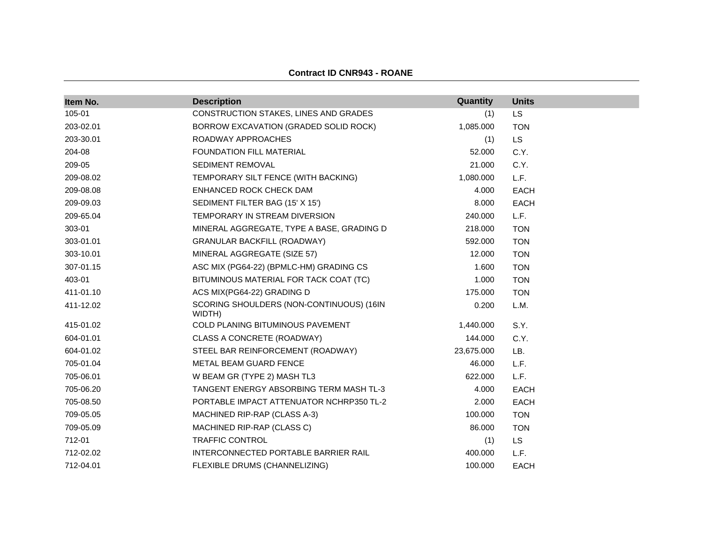| <b>Contract ID CNR943 - ROANE</b> |  |  |
|-----------------------------------|--|--|
|-----------------------------------|--|--|

| Item No.  | <b>Description</b>                                 | Quantity   | <b>Units</b> |
|-----------|----------------------------------------------------|------------|--------------|
| 105-01    | CONSTRUCTION STAKES, LINES AND GRADES              | (1)        | <b>LS</b>    |
| 203-02.01 | BORROW EXCAVATION (GRADED SOLID ROCK)              | 1,085.000  | <b>TON</b>   |
| 203-30.01 | ROADWAY APPROACHES                                 | (1)        | <b>LS</b>    |
| 204-08    | <b>FOUNDATION FILL MATERIAL</b>                    | 52.000     | C.Y.         |
| 209-05    | SEDIMENT REMOVAL                                   | 21.000     | C.Y.         |
| 209-08.02 | TEMPORARY SILT FENCE (WITH BACKING)                | 1,080.000  | L.F.         |
| 209-08.08 | ENHANCED ROCK CHECK DAM                            | 4.000      | <b>EACH</b>  |
| 209-09.03 | SEDIMENT FILTER BAG (15' X 15')                    | 8.000      | <b>EACH</b>  |
| 209-65.04 | TEMPORARY IN STREAM DIVERSION                      | 240.000    | L.F.         |
| 303-01    | MINERAL AGGREGATE, TYPE A BASE, GRADING D          | 218.000    | <b>TON</b>   |
| 303-01.01 | <b>GRANULAR BACKFILL (ROADWAY)</b>                 | 592.000    | <b>TON</b>   |
| 303-10.01 | MINERAL AGGREGATE (SIZE 57)                        | 12.000     | <b>TON</b>   |
| 307-01.15 | ASC MIX (PG64-22) (BPMLC-HM) GRADING CS            | 1.600      | <b>TON</b>   |
| 403-01    | BITUMINOUS MATERIAL FOR TACK COAT (TC)             | 1.000      | <b>TON</b>   |
| 411-01.10 | ACS MIX(PG64-22) GRADING D                         | 175.000    | <b>TON</b>   |
| 411-12.02 | SCORING SHOULDERS (NON-CONTINUOUS) (16IN<br>WIDTH) | 0.200      | L.M.         |
| 415-01.02 | COLD PLANING BITUMINOUS PAVEMENT                   | 1,440.000  | S.Y.         |
| 604-01.01 | CLASS A CONCRETE (ROADWAY)                         | 144.000    | C.Y.         |
| 604-01.02 | STEEL BAR REINFORCEMENT (ROADWAY)                  | 23,675.000 | LB.          |
| 705-01.04 | METAL BEAM GUARD FENCE                             | 46.000     | L.F.         |
| 705-06.01 | W BEAM GR (TYPE 2) MASH TL3                        | 622.000    | L.F.         |
| 705-06.20 | TANGENT ENERGY ABSORBING TERM MASH TL-3            | 4.000      | <b>EACH</b>  |
| 705-08.50 | PORTABLE IMPACT ATTENUATOR NCHRP350 TL-2           | 2.000      | <b>EACH</b>  |
| 709-05.05 | MACHINED RIP-RAP (CLASS A-3)                       | 100.000    | <b>TON</b>   |
| 709-05.09 | MACHINED RIP-RAP (CLASS C)                         | 86.000     | <b>TON</b>   |
| 712-01    | <b>TRAFFIC CONTROL</b>                             | (1)        | <b>LS</b>    |
| 712-02.02 | INTERCONNECTED PORTABLE BARRIER RAIL               | 400.000    | L.F.         |
| 712-04.01 | FLEXIBLE DRUMS (CHANNELIZING)                      | 100.000    | <b>EACH</b>  |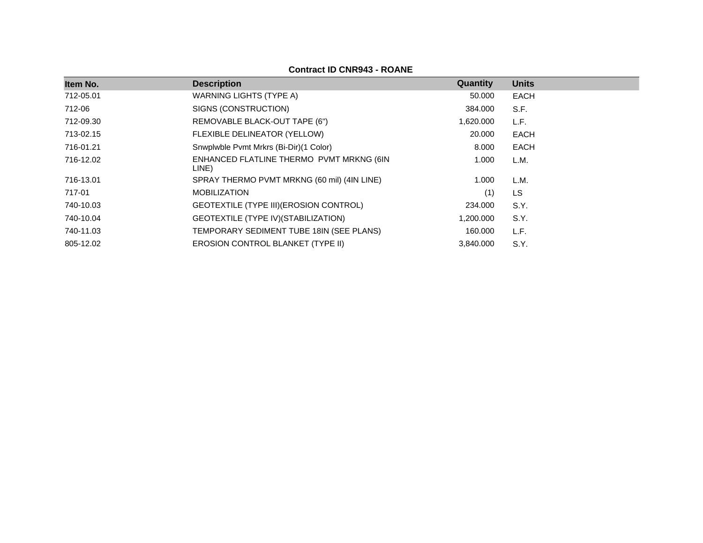**Contract ID CNR943 - ROANE**

| Item No.  | <b>Description</b>                                | Quantity  | <b>Units</b> |
|-----------|---------------------------------------------------|-----------|--------------|
| 712-05.01 | WARNING LIGHTS (TYPE A)                           | 50.000    | <b>EACH</b>  |
| 712-06    | SIGNS (CONSTRUCTION)                              | 384.000   | S.F.         |
| 712-09.30 | REMOVABLE BLACK-OUT TAPE (6")                     | 1,620.000 | L.F.         |
| 713-02.15 | FLEXIBLE DELINEATOR (YELLOW)                      | 20,000    | EACH         |
| 716-01.21 | Snwplwble Pvmt Mrkrs (Bi-Dir)(1 Color)            | 8.000     | EACH         |
| 716-12.02 | ENHANCED FLATLINE THERMO PVMT MRKNG (6IN<br>LINE) | 1.000     | L.M.         |
| 716-13.01 | SPRAY THERMO PVMT MRKNG (60 mil) (4IN LINE)       | 1.000     | L.M.         |
| 717-01    | <b>MOBILIZATION</b>                               | (1)       | <b>LS</b>    |
| 740-10.03 | GEOTEXTILE (TYPE III) (EROSION CONTROL)           | 234.000   | S.Y.         |
| 740-10.04 | GEOTEXTILE (TYPE IV) (STABILIZATION)              | 1,200.000 | S.Y.         |
| 740-11.03 | TEMPORARY SEDIMENT TUBE 18IN (SEE PLANS)          | 160.000   | L.F.         |
| 805-12.02 | <b>EROSION CONTROL BLANKET (TYPE II)</b>          | 3,840.000 | S.Y.         |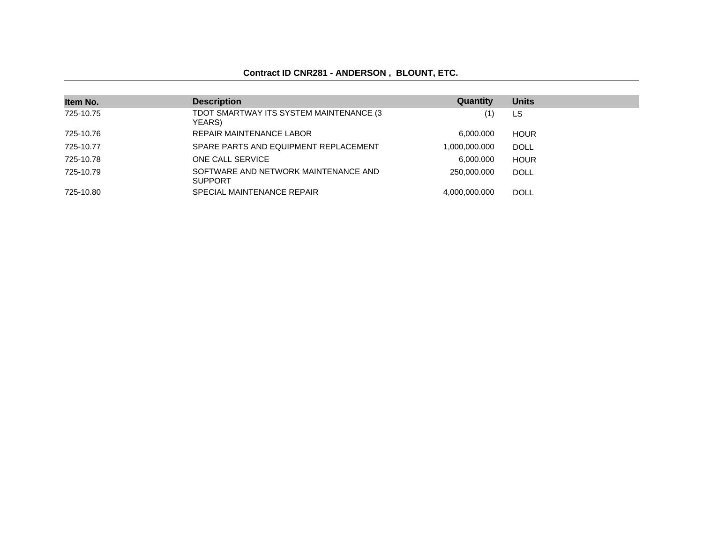### **Contract ID CNR281 - ANDERSON , BLOUNT, ETC.**

| Item No.  | <b>Description</b>                                     | Quantity      | <b>Units</b> |
|-----------|--------------------------------------------------------|---------------|--------------|
| 725-10.75 | TDOT SMARTWAY ITS SYSTEM MAINTENANCE (3<br>YEARS)      | (1)           | LS           |
| 725-10.76 | REPAIR MAINTENANCE LABOR                               | 6,000.000     | <b>HOUR</b>  |
| 725-10.77 | SPARE PARTS AND EQUIPMENT REPLACEMENT                  | 1,000,000.000 | <b>DOLL</b>  |
| 725-10.78 | ONE CALL SERVICE                                       | 6.000.000     | <b>HOUR</b>  |
| 725-10.79 | SOFTWARE AND NETWORK MAINTENANCE AND<br><b>SUPPORT</b> | 250,000,000   | <b>DOLL</b>  |
| 725-10.80 | SPECIAL MAINTENANCE REPAIR                             | 4,000,000.000 | DOLL         |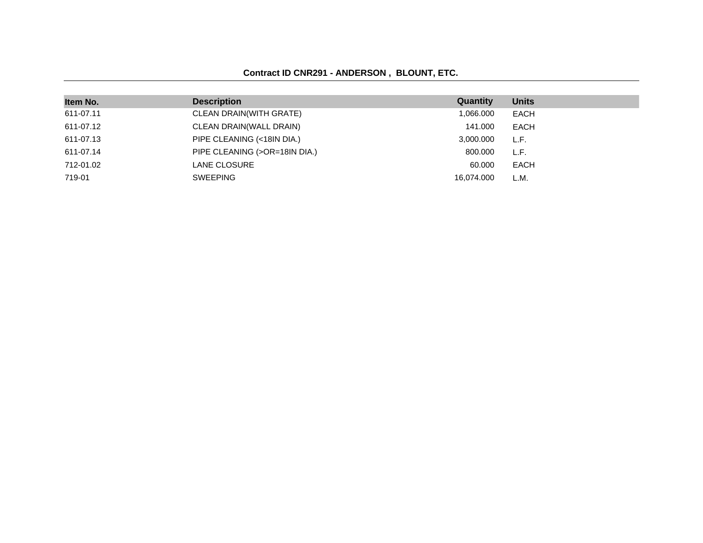### **Contract ID CNR291 - ANDERSON , BLOUNT, ETC.**

| Item No.  | <b>Description</b>             | Quantity   | <b>Units</b> |
|-----------|--------------------------------|------------|--------------|
| 611-07.11 | <b>CLEAN DRAIN(WITH GRATE)</b> | 1,066.000  | EACH         |
| 611-07.12 | CLEAN DRAIN(WALL DRAIN)        | 141.000    | EACH         |
| 611-07.13 | PIPE CLEANING (<18IN DIA.)     | 3,000.000  | L.F.         |
| 611-07.14 | PIPE CLEANING (>OR=18IN DIA.)  | 800,000    | L.F.         |
| 712-01.02 | LANE CLOSURE                   | 60.000     | EACH         |
| 719-01    | SWEEPING                       | 16.074.000 | L.M.         |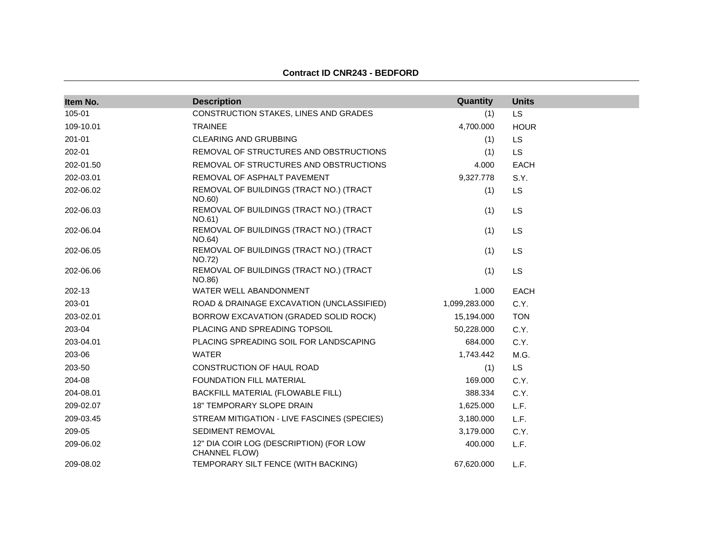| Item No.  | <b>Description</b>                                              | Quantity      | <b>Units</b> |
|-----------|-----------------------------------------------------------------|---------------|--------------|
| 105-01    | CONSTRUCTION STAKES, LINES AND GRADES                           | (1)           | LS           |
| 109-10.01 | <b>TRAINEE</b>                                                  | 4,700.000     | <b>HOUR</b>  |
| 201-01    | <b>CLEARING AND GRUBBING</b>                                    | (1)           | LS           |
| 202-01    | REMOVAL OF STRUCTURES AND OBSTRUCTIONS                          | (1)           | LS           |
| 202-01.50 | REMOVAL OF STRUCTURES AND OBSTRUCTIONS                          | 4.000         | <b>EACH</b>  |
| 202-03.01 | REMOVAL OF ASPHALT PAVEMENT                                     | 9,327.778     | S.Y.         |
| 202-06.02 | REMOVAL OF BUILDINGS (TRACT NO.) (TRACT<br>NO.60)               | (1)           | LS           |
| 202-06.03 | REMOVAL OF BUILDINGS (TRACT NO.) (TRACT<br>NO.61)               | (1)           | <b>LS</b>    |
| 202-06.04 | REMOVAL OF BUILDINGS (TRACT NO.) (TRACT<br>NO.64)               | (1)           | LS           |
| 202-06.05 | REMOVAL OF BUILDINGS (TRACT NO.) (TRACT<br>NO.72)               | (1)           | LS           |
| 202-06.06 | REMOVAL OF BUILDINGS (TRACT NO.) (TRACT<br>NO.86)               | (1)           | LS           |
| 202-13    | WATER WELL ABANDONMENT                                          | 1.000         | <b>EACH</b>  |
| 203-01    | ROAD & DRAINAGE EXCAVATION (UNCLASSIFIED)                       | 1,099,283.000 | C.Y.         |
| 203-02.01 | BORROW EXCAVATION (GRADED SOLID ROCK)                           | 15,194.000    | <b>TON</b>   |
| 203-04    | PLACING AND SPREADING TOPSOIL                                   | 50,228.000    | C.Y.         |
| 203-04.01 | PLACING SPREADING SOIL FOR LANDSCAPING                          | 684.000       | C.Y.         |
| 203-06    | <b>WATER</b>                                                    | 1,743.442     | M.G.         |
| 203-50    | CONSTRUCTION OF HAUL ROAD                                       | (1)           | <b>LS</b>    |
| 204-08    | <b>FOUNDATION FILL MATERIAL</b>                                 | 169.000       | C.Y.         |
| 204-08.01 | BACKFILL MATERIAL (FLOWABLE FILL)                               | 388.334       | C.Y.         |
| 209-02.07 | <b>18" TEMPORARY SLOPE DRAIN</b>                                | 1,625.000     | L.F.         |
| 209-03.45 | STREAM MITIGATION - LIVE FASCINES (SPECIES)                     | 3,180.000     | L.F.         |
| 209-05    | SEDIMENT REMOVAL                                                | 3,179.000     | C.Y.         |
| 209-06.02 | 12" DIA COIR LOG (DESCRIPTION) (FOR LOW<br><b>CHANNEL FLOW)</b> | 400.000       | L.F.         |
| 209-08.02 | TEMPORARY SILT FENCE (WITH BACKING)                             | 67,620.000    | L.F.         |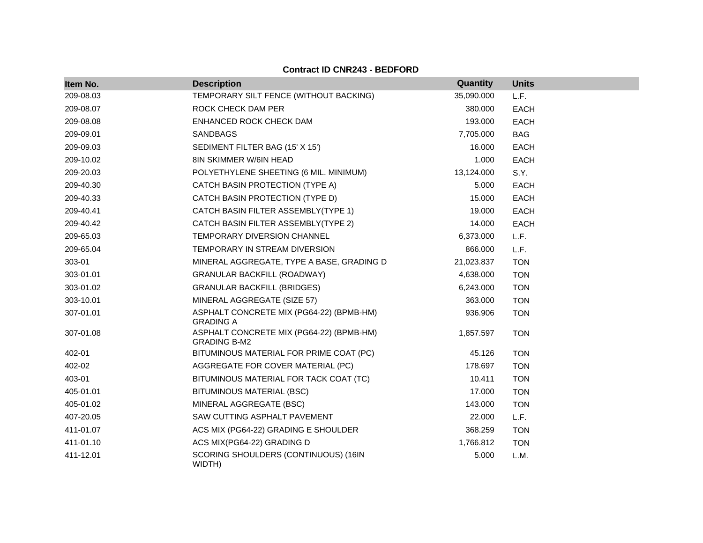| Item No.  | <b>Description</b>                                              | Quantity   | <b>Units</b> |
|-----------|-----------------------------------------------------------------|------------|--------------|
| 209-08.03 | TEMPORARY SILT FENCE (WITHOUT BACKING)                          | 35,090.000 | L.F.         |
| 209-08.07 | ROCK CHECK DAM PER                                              | 380.000    | <b>EACH</b>  |
| 209-08.08 | ENHANCED ROCK CHECK DAM                                         | 193.000    | <b>EACH</b>  |
| 209-09.01 | <b>SANDBAGS</b>                                                 | 7,705.000  | <b>BAG</b>   |
| 209-09.03 | SEDIMENT FILTER BAG (15' X 15')                                 | 16.000     | EACH         |
| 209-10.02 | <b>8IN SKIMMER W/6IN HEAD</b>                                   | 1.000      | <b>EACH</b>  |
| 209-20.03 | POLYETHYLENE SHEETING (6 MIL. MINIMUM)                          | 13,124.000 | S.Y.         |
| 209-40.30 | CATCH BASIN PROTECTION (TYPE A)                                 | 5.000      | <b>EACH</b>  |
| 209-40.33 | CATCH BASIN PROTECTION (TYPE D)                                 | 15.000     | <b>EACH</b>  |
| 209-40.41 | CATCH BASIN FILTER ASSEMBLY(TYPE 1)                             | 19.000     | EACH         |
| 209-40.42 | CATCH BASIN FILTER ASSEMBLY(TYPE 2)                             | 14.000     | <b>EACH</b>  |
| 209-65.03 | <b>TEMPORARY DIVERSION CHANNEL</b>                              | 6,373.000  | L.F.         |
| 209-65.04 | TEMPORARY IN STREAM DIVERSION                                   | 866.000    | L.F.         |
| 303-01    | MINERAL AGGREGATE, TYPE A BASE, GRADING D                       | 21,023.837 | <b>TON</b>   |
| 303-01.01 | <b>GRANULAR BACKFILL (ROADWAY)</b>                              | 4,638.000  | <b>TON</b>   |
| 303-01.02 | <b>GRANULAR BACKFILL (BRIDGES)</b>                              | 6,243.000  | <b>TON</b>   |
| 303-10.01 | MINERAL AGGREGATE (SIZE 57)                                     | 363.000    | <b>TON</b>   |
| 307-01.01 | ASPHALT CONCRETE MIX (PG64-22) (BPMB-HM)<br><b>GRADING A</b>    | 936.906    | <b>TON</b>   |
| 307-01.08 | ASPHALT CONCRETE MIX (PG64-22) (BPMB-HM)<br><b>GRADING B-M2</b> | 1,857.597  | <b>TON</b>   |
| 402-01    | BITUMINOUS MATERIAL FOR PRIME COAT (PC)                         | 45.126     | <b>TON</b>   |
| 402-02    | AGGREGATE FOR COVER MATERIAL (PC)                               | 178.697    | <b>TON</b>   |
| 403-01    | BITUMINOUS MATERIAL FOR TACK COAT (TC)                          | 10.411     | <b>TON</b>   |
| 405-01.01 | BITUMINOUS MATERIAL (BSC)                                       | 17.000     | <b>TON</b>   |
| 405-01.02 | MINERAL AGGREGATE (BSC)                                         | 143.000    | <b>TON</b>   |
| 407-20.05 | SAW CUTTING ASPHALT PAVEMENT                                    | 22.000     | L.F.         |
| 411-01.07 | ACS MIX (PG64-22) GRADING E SHOULDER                            | 368.259    | <b>TON</b>   |
| 411-01.10 | ACS MIX(PG64-22) GRADING D                                      | 1,766.812  | <b>TON</b>   |
| 411-12.01 | SCORING SHOULDERS (CONTINUOUS) (16IN<br>WIDTH)                  | 5.000      | L.M.         |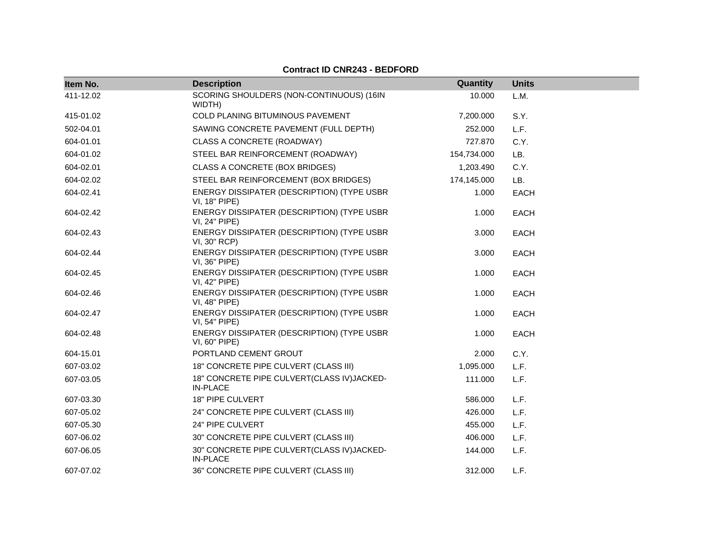| Item No.  | <b>Description</b>                                             | Quantity    | <b>Units</b> |
|-----------|----------------------------------------------------------------|-------------|--------------|
| 411-12.02 | SCORING SHOULDERS (NON-CONTINUOUS) (16IN<br>WIDTH)             | 10.000      | L.M.         |
| 415-01.02 | COLD PLANING BITUMINOUS PAVEMENT                               | 7,200.000   | S.Y.         |
| 502-04.01 | SAWING CONCRETE PAVEMENT (FULL DEPTH)                          | 252.000     | L.F.         |
| 604-01.01 | CLASS A CONCRETE (ROADWAY)                                     | 727.870     | C.Y.         |
| 604-01.02 | STEEL BAR REINFORCEMENT (ROADWAY)                              | 154,734.000 | LB.          |
| 604-02.01 | CLASS A CONCRETE (BOX BRIDGES)                                 | 1,203.490   | C.Y.         |
| 604-02.02 | STEEL BAR REINFORCEMENT (BOX BRIDGES)                          | 174,145.000 | LB.          |
| 604-02.41 | ENERGY DISSIPATER (DESCRIPTION) (TYPE USBR<br>VI, 18" PIPE)    | 1.000       | <b>EACH</b>  |
| 604-02.42 | ENERGY DISSIPATER (DESCRIPTION) (TYPE USBR<br>VI, 24" PIPE)    | 1.000       | <b>EACH</b>  |
| 604-02.43 | ENERGY DISSIPATER (DESCRIPTION) (TYPE USBR<br>VI, 30" RCP)     | 3.000       | <b>EACH</b>  |
| 604-02.44 | ENERGY DISSIPATER (DESCRIPTION) (TYPE USBR<br>VI, 36" PIPE)    | 3.000       | <b>EACH</b>  |
| 604-02.45 | ENERGY DISSIPATER (DESCRIPTION) (TYPE USBR<br>VI, 42" PIPE)    | 1.000       | <b>EACH</b>  |
| 604-02.46 | ENERGY DISSIPATER (DESCRIPTION) (TYPE USBR<br>VI, 48" PIPE)    | 1.000       | <b>EACH</b>  |
| 604-02.47 | ENERGY DISSIPATER (DESCRIPTION) (TYPE USBR<br>VI, 54" PIPE)    | 1.000       | <b>EACH</b>  |
| 604-02.48 | ENERGY DISSIPATER (DESCRIPTION) (TYPE USBR<br>VI, 60" PIPE)    | 1.000       | <b>EACH</b>  |
| 604-15.01 | PORTLAND CEMENT GROUT                                          | 2.000       | C.Y.         |
| 607-03.02 | 18" CONCRETE PIPE CULVERT (CLASS III)                          | 1,095.000   | L.F.         |
| 607-03.05 | 18" CONCRETE PIPE CULVERT(CLASS IV)JACKED-<br><b>IN-PLACE</b>  | 111.000     | L.F.         |
| 607-03.30 | 18" PIPE CULVERT                                               | 586.000     | L.F.         |
| 607-05.02 | 24" CONCRETE PIPE CULVERT (CLASS III)                          | 426.000     | L.F.         |
| 607-05.30 | 24" PIPE CULVERT                                               | 455.000     | L.F.         |
| 607-06.02 | 30" CONCRETE PIPE CULVERT (CLASS III)                          | 406.000     | L.F.         |
| 607-06.05 | 30" CONCRETE PIPE CULVERT(CLASS IV) JACKED-<br><b>IN-PLACE</b> | 144.000     | L.F.         |
| 607-07.02 | 36" CONCRETE PIPE CULVERT (CLASS III)                          | 312.000     | L.F.         |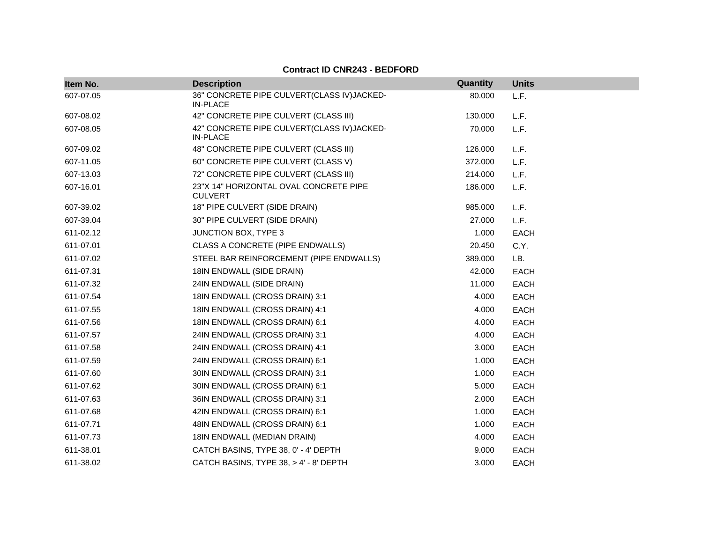| Item No.  | <b>Description</b>                                            | Quantity | <b>Units</b> |
|-----------|---------------------------------------------------------------|----------|--------------|
| 607-07.05 | 36" CONCRETE PIPE CULVERT(CLASS IV)JACKED-<br><b>IN-PLACE</b> | 80.000   | L.F.         |
| 607-08.02 | 42" CONCRETE PIPE CULVERT (CLASS III)                         | 130.000  | L.F.         |
| 607-08.05 | 42" CONCRETE PIPE CULVERT(CLASS IV)JACKED-<br><b>IN-PLACE</b> | 70.000   | L.F.         |
| 607-09.02 | 48" CONCRETE PIPE CULVERT (CLASS III)                         | 126.000  | L.F.         |
| 607-11.05 | 60" CONCRETE PIPE CULVERT (CLASS V)                           | 372,000  | L.F.         |
| 607-13.03 | 72" CONCRETE PIPE CULVERT (CLASS III)                         | 214.000  | L.F.         |
| 607-16.01 | 23"X 14" HORIZONTAL OVAL CONCRETE PIPE<br><b>CULVERT</b>      | 186.000  | L.F.         |
| 607-39.02 | 18" PIPE CULVERT (SIDE DRAIN)                                 | 985.000  | L.F.         |
| 607-39.04 | 30" PIPE CULVERT (SIDE DRAIN)                                 | 27.000   | L.F.         |
| 611-02.12 | JUNCTION BOX, TYPE 3                                          | 1.000    | <b>EACH</b>  |
| 611-07.01 | CLASS A CONCRETE (PIPE ENDWALLS)                              | 20.450   | C.Y.         |
| 611-07.02 | STEEL BAR REINFORCEMENT (PIPE ENDWALLS)                       | 389.000  | LB.          |
| 611-07.31 | 18IN ENDWALL (SIDE DRAIN)                                     | 42.000   | EACH         |
| 611-07.32 | 24IN ENDWALL (SIDE DRAIN)                                     | 11.000   | <b>EACH</b>  |
| 611-07.54 | 18IN ENDWALL (CROSS DRAIN) 3:1                                | 4.000    | <b>EACH</b>  |
| 611-07.55 | 18IN ENDWALL (CROSS DRAIN) 4:1                                | 4.000    | EACH         |
| 611-07.56 | 18IN ENDWALL (CROSS DRAIN) 6:1                                | 4.000    | <b>EACH</b>  |
| 611-07.57 | 24IN ENDWALL (CROSS DRAIN) 3:1                                | 4.000    | <b>EACH</b>  |
| 611-07.58 | 24IN ENDWALL (CROSS DRAIN) 4:1                                | 3.000    | <b>EACH</b>  |
| 611-07.59 | 24IN ENDWALL (CROSS DRAIN) 6:1                                | 1.000    | <b>EACH</b>  |
| 611-07.60 | 30IN ENDWALL (CROSS DRAIN) 3:1                                | 1.000    | <b>EACH</b>  |
| 611-07.62 | 30IN ENDWALL (CROSS DRAIN) 6:1                                | 5.000    | <b>EACH</b>  |
| 611-07.63 | 36IN ENDWALL (CROSS DRAIN) 3:1                                | 2.000    | EACH         |
| 611-07.68 | 42IN ENDWALL (CROSS DRAIN) 6:1                                | 1.000    | <b>EACH</b>  |
| 611-07.71 | 48IN ENDWALL (CROSS DRAIN) 6:1                                | 1.000    | <b>EACH</b>  |
| 611-07.73 | 18IN ENDWALL (MEDIAN DRAIN)                                   | 4.000    | <b>EACH</b>  |
| 611-38.01 | CATCH BASINS, TYPE 38, 0' - 4' DEPTH                          | 9.000    | <b>EACH</b>  |
| 611-38.02 | CATCH BASINS, TYPE 38, > 4' - 8' DEPTH                        | 3.000    | <b>EACH</b>  |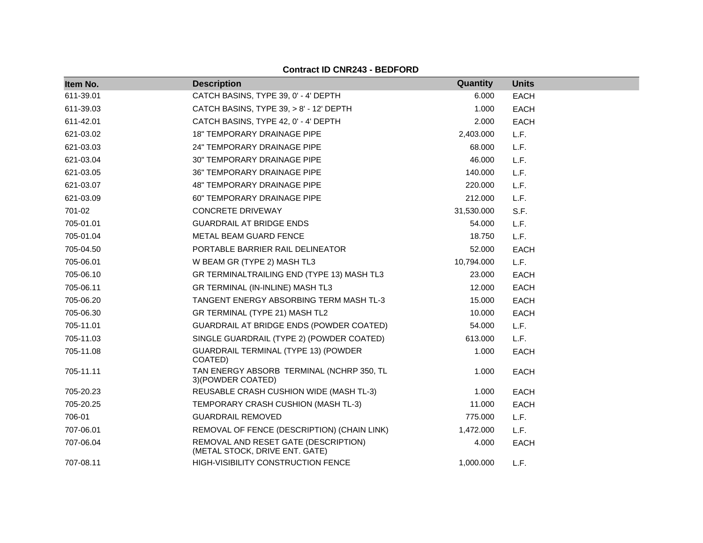| Item No.  | <b>Description</b>                                                     | Quantity   | <b>Units</b> |
|-----------|------------------------------------------------------------------------|------------|--------------|
| 611-39.01 | CATCH BASINS, TYPE 39, 0' - 4' DEPTH                                   | 6.000      | <b>EACH</b>  |
| 611-39.03 | CATCH BASINS, TYPE 39, > 8' - 12' DEPTH                                | 1.000      | <b>EACH</b>  |
| 611-42.01 | CATCH BASINS, TYPE 42, 0' - 4' DEPTH                                   | 2.000      | <b>EACH</b>  |
| 621-03.02 | <b>18" TEMPORARY DRAINAGE PIPE</b>                                     | 2,403.000  | L.F.         |
| 621-03.03 | 24" TEMPORARY DRAINAGE PIPE                                            | 68.000     | L.F.         |
| 621-03.04 | 30" TEMPORARY DRAINAGE PIPE                                            | 46.000     | L.F.         |
| 621-03.05 | 36" TEMPORARY DRAINAGE PIPE                                            | 140.000    | L.F.         |
| 621-03.07 | <b>48" TEMPORARY DRAINAGE PIPE</b>                                     | 220.000    | L.F.         |
| 621-03.09 | 60" TEMPORARY DRAINAGE PIPE                                            | 212.000    | L.F.         |
| 701-02    | <b>CONCRETE DRIVEWAY</b>                                               | 31,530.000 | S.F.         |
| 705-01.01 | <b>GUARDRAIL AT BRIDGE ENDS</b>                                        | 54.000     | L.F.         |
| 705-01.04 | METAL BEAM GUARD FENCE                                                 | 18.750     | L.F.         |
| 705-04.50 | PORTABLE BARRIER RAIL DELINEATOR                                       | 52.000     | <b>EACH</b>  |
| 705-06.01 | W BEAM GR (TYPE 2) MASH TL3                                            | 10,794.000 | L.F.         |
| 705-06.10 | GR TERMINALTRAILING END (TYPE 13) MASH TL3                             | 23,000     | <b>EACH</b>  |
| 705-06.11 | GR TERMINAL (IN-INLINE) MASH TL3                                       | 12.000     | <b>EACH</b>  |
| 705-06.20 | TANGENT ENERGY ABSORBING TERM MASH TL-3                                | 15.000     | <b>EACH</b>  |
| 705-06.30 | GR TERMINAL (TYPE 21) MASH TL2                                         | 10.000     | <b>EACH</b>  |
| 705-11.01 | GUARDRAIL AT BRIDGE ENDS (POWDER COATED)                               | 54.000     | L.F.         |
| 705-11.03 | SINGLE GUARDRAIL (TYPE 2) (POWDER COATED)                              | 613.000    | L.F.         |
| 705-11.08 | GUARDRAIL TERMINAL (TYPE 13) (POWDER<br>COATED)                        | 1.000      | <b>EACH</b>  |
| 705-11.11 | TAN ENERGY ABSORB TERMINAL (NCHRP 350, TL<br>3) (POWDER COATED)        | 1.000      | <b>EACH</b>  |
| 705-20.23 | REUSABLE CRASH CUSHION WIDE (MASH TL-3)                                | 1.000      | <b>EACH</b>  |
| 705-20.25 | TEMPORARY CRASH CUSHION (MASH TL-3)                                    | 11.000     | <b>EACH</b>  |
| 706-01    | <b>GUARDRAIL REMOVED</b>                                               | 775.000    | L.F.         |
| 707-06.01 | REMOVAL OF FENCE (DESCRIPTION) (CHAIN LINK)                            | 1,472.000  | L.F.         |
| 707-06.04 | REMOVAL AND RESET GATE (DESCRIPTION)<br>(METAL STOCK, DRIVE ENT. GATE) | 4.000      | <b>EACH</b>  |
| 707-08.11 | <b>HIGH-VISIBILITY CONSTRUCTION FENCE</b>                              | 1,000.000  | L.F.         |

**Contract ID CNR243 - BEDFORD**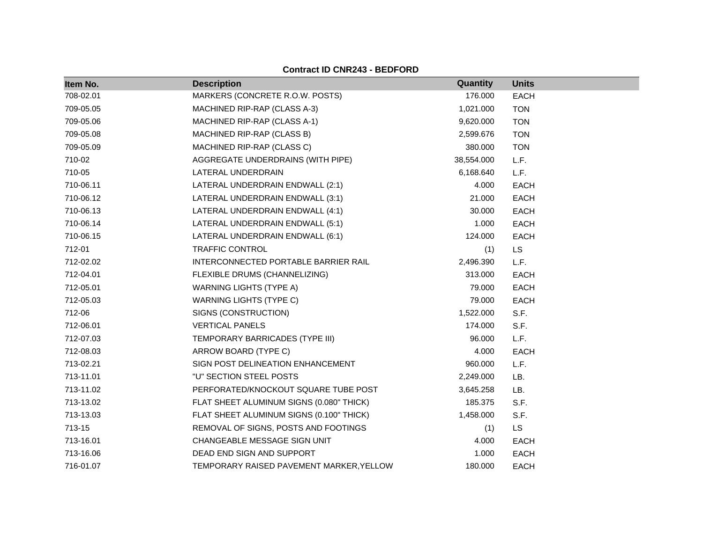| Item No.  | <b>Description</b>                       | Quantity   | <b>Units</b> |
|-----------|------------------------------------------|------------|--------------|
| 708-02.01 | MARKERS (CONCRETE R.O.W. POSTS)          | 176.000    | <b>EACH</b>  |
| 709-05.05 | MACHINED RIP-RAP (CLASS A-3)             | 1,021.000  | <b>TON</b>   |
| 709-05.06 | MACHINED RIP-RAP (CLASS A-1)             | 9,620.000  | <b>TON</b>   |
| 709-05.08 | MACHINED RIP-RAP (CLASS B)               | 2,599.676  | <b>TON</b>   |
| 709-05.09 | MACHINED RIP-RAP (CLASS C)               | 380.000    | <b>TON</b>   |
| 710-02    | AGGREGATE UNDERDRAINS (WITH PIPE)        | 38,554.000 | L.F.         |
| 710-05    | LATERAL UNDERDRAIN                       | 6,168.640  | L.F.         |
| 710-06.11 | LATERAL UNDERDRAIN ENDWALL (2:1)         | 4.000      | <b>EACH</b>  |
| 710-06.12 | LATERAL UNDERDRAIN ENDWALL (3:1)         | 21.000     | <b>EACH</b>  |
| 710-06.13 | LATERAL UNDERDRAIN ENDWALL (4:1)         | 30.000     | <b>EACH</b>  |
| 710-06.14 | LATERAL UNDERDRAIN ENDWALL (5:1)         | 1.000      | <b>EACH</b>  |
| 710-06.15 | LATERAL UNDERDRAIN ENDWALL (6:1)         | 124.000    | <b>EACH</b>  |
| 712-01    | <b>TRAFFIC CONTROL</b>                   | (1)        | LS.          |
| 712-02.02 | INTERCONNECTED PORTABLE BARRIER RAIL     | 2,496.390  | L.F.         |
| 712-04.01 | FLEXIBLE DRUMS (CHANNELIZING)            | 313.000    | <b>EACH</b>  |
| 712-05.01 | <b>WARNING LIGHTS (TYPE A)</b>           | 79.000     | <b>EACH</b>  |
| 712-05.03 | <b>WARNING LIGHTS (TYPE C)</b>           | 79.000     | <b>EACH</b>  |
| 712-06    | SIGNS (CONSTRUCTION)                     | 1,522.000  | S.F.         |
| 712-06.01 | <b>VERTICAL PANELS</b>                   | 174.000    | S.F.         |
| 712-07.03 | TEMPORARY BARRICADES (TYPE III)          | 96.000     | L.F.         |
| 712-08.03 | ARROW BOARD (TYPE C)                     | 4.000      | <b>EACH</b>  |
| 713-02.21 | SIGN POST DELINEATION ENHANCEMENT        | 960.000    | L.F.         |
| 713-11.01 | "U" SECTION STEEL POSTS                  | 2,249.000  | LB.          |
| 713-11.02 | PERFORATED/KNOCKOUT SQUARE TUBE POST     | 3,645.258  | LB.          |
| 713-13.02 | FLAT SHEET ALUMINUM SIGNS (0.080" THICK) | 185.375    | S.F.         |
| 713-13.03 | FLAT SHEET ALUMINUM SIGNS (0.100" THICK) | 1,458.000  | S.F.         |
| 713-15    | REMOVAL OF SIGNS, POSTS AND FOOTINGS     | (1)        | <b>LS</b>    |
| 713-16.01 | CHANGEABLE MESSAGE SIGN UNIT             | 4.000      | <b>EACH</b>  |
| 713-16.06 | DEAD END SIGN AND SUPPORT                | 1.000      | <b>EACH</b>  |
| 716-01.07 | TEMPORARY RAISED PAVEMENT MARKER, YELLOW | 180.000    | <b>EACH</b>  |

**Contract ID CNR243 - BEDFORD**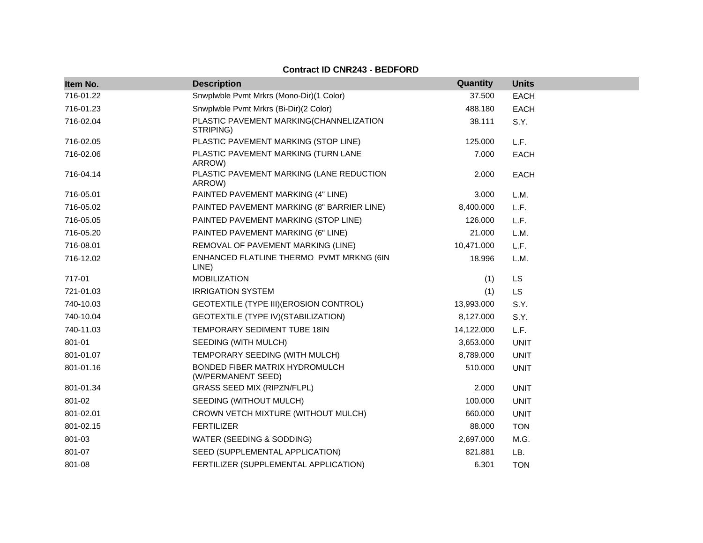#### **Item No. Description Quantity Units** 716-01.22 Snwplwble Pvmt Mrkrs (Mono-Dir)(1 Color) 37.500 EACH 716-01.23 Snwplwble Pvmt Mrkrs (Bi-Dir)(2 Color) 488.180 EACH 716-02.04 PLASTIC PAVEMENT MARKING(CHANNELIZATION STRIPING) 38.111 S.Y. 716-02.05 PLASTIC PAVEMENT MARKING (STOP LINE) 125.000 L.F. 716-02.06 PLASTIC PAVEMENT MARKING (TURN LANE ARROW) 7.000 EACH 716-04.14 PLASTIC PAVEMENT MARKING (LANE REDUCTION ARROW) 2.000 EACH 716-05.01 PAINTED PAVEMENT MARKING (4" LINE) 3.000 L.M. 716-05.02 PAINTED PAVEMENT MARKING (8" BARRIER LINE) 8,400.000 L.F. 716-05.05 PAINTED PAVEMENT MARKING (STOP LINE) 126.000 L.F. 716-05.20 PAINTED PAVEMENT MARKING (6" LINE) 21.000 L.M. 716-08.01 REMOVAL OF PAVEMENT MARKING (LINE) 10,471.000 L.F. 716-12.02 ENHANCED FLATLINE THERMO PVMT MRKNG (6IN LINE) 18.996 L.M. 717-01 MOBILIZATION (1) LS 721-01.03 IRRIGATION SYSTEM (1) LS 740-10.03 GEOTEXTILE (TYPE III)(EROSION CONTROL) 13,993.000 S.Y. 740-10.04 GEOTEXTILE (TYPE IV)(STABILIZATION) 8,127.000 S.Y. 740-11.03 TEMPORARY SEDIMENT TUBE 18IN 14,122.000 L.F. 801-01 SEEDING (WITH MULCH) 3,653.000 UNIT 801-01.07 TEMPORARY SEEDING (WITH MULCH) 8,789.000 UNIT 801-01.16 BONDED FIBER MATRIX HYDROMULCH (W/PERMANENT SEED) 510.000 UNIT 801-01.34 GRASS SEED MIX (RIPZN/FLPL) 2.000 UNIT 801-02 SEEDING (WITHOUT MULCH) 100.000 UNIT 801-02.01 CROWN VETCH MIXTURE (WITHOUT MULCH) 660.000 UNIT 801-02.15 FERTILIZER 88.000 TON 801-03 WATER (SEEDING & SODDING) 2,697.000 M.G. 801-07 SEED (SUPPLEMENTAL APPLICATION) 821.881 LB. 801-08 FERTILIZER (SUPPLEMENTAL APPLICATION) 6.301 TON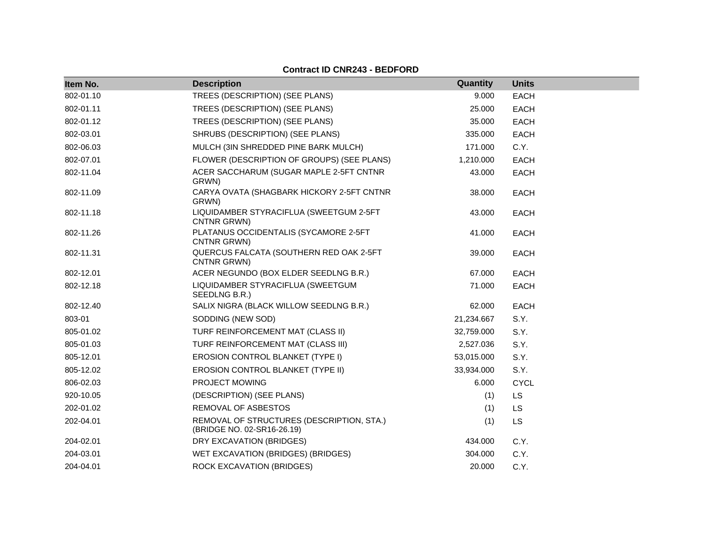| Item No.  | <b>Description</b>                                                      | Quantity   | <b>Units</b> |
|-----------|-------------------------------------------------------------------------|------------|--------------|
| 802-01.10 | TREES (DESCRIPTION) (SEE PLANS)                                         | 9.000      | <b>EACH</b>  |
| 802-01.11 | TREES (DESCRIPTION) (SEE PLANS)                                         | 25.000     | <b>EACH</b>  |
| 802-01.12 | TREES (DESCRIPTION) (SEE PLANS)                                         | 35.000     | <b>EACH</b>  |
| 802-03.01 | SHRUBS (DESCRIPTION) (SEE PLANS)                                        | 335.000    | <b>EACH</b>  |
| 802-06.03 | MULCH (3IN SHREDDED PINE BARK MULCH)                                    | 171.000    | C.Y.         |
| 802-07.01 | FLOWER (DESCRIPTION OF GROUPS) (SEE PLANS)                              | 1,210.000  | <b>EACH</b>  |
| 802-11.04 | ACER SACCHARUM (SUGAR MAPLE 2-5FT CNTNR<br>GRWN)                        | 43.000     | EACH         |
| 802-11.09 | CARYA OVATA (SHAGBARK HICKORY 2-5FT CNTNR<br>GRWN)                      | 38.000     | <b>EACH</b>  |
| 802-11.18 | LIQUIDAMBER STYRACIFLUA (SWEETGUM 2-5FT<br>CNTNR GRWN)                  | 43.000     | <b>EACH</b>  |
| 802-11.26 | PLATANUS OCCIDENTALIS (SYCAMORE 2-5FT<br>CNTNR GRWN)                    | 41.000     | <b>EACH</b>  |
| 802-11.31 | QUERCUS FALCATA (SOUTHERN RED OAK 2-5FT<br>CNTNR GRWN)                  | 39.000     | <b>EACH</b>  |
| 802-12.01 | ACER NEGUNDO (BOX ELDER SEEDLNG B.R.)                                   | 67.000     | <b>EACH</b>  |
| 802-12.18 | LIQUIDAMBER STYRACIFLUA (SWEETGUM<br>SEEDLNG B.R.)                      | 71.000     | EACH         |
| 802-12.40 | SALIX NIGRA (BLACK WILLOW SEEDLNG B.R.)                                 | 62.000     | <b>EACH</b>  |
| 803-01    | SODDING (NEW SOD)                                                       | 21,234.667 | S.Y.         |
| 805-01.02 | TURF REINFORCEMENT MAT (CLASS II)                                       | 32,759.000 | S.Y.         |
| 805-01.03 | TURF REINFORCEMENT MAT (CLASS III)                                      | 2,527.036  | S.Y.         |
| 805-12.01 | EROSION CONTROL BLANKET (TYPE I)                                        | 53,015.000 | S.Y.         |
| 805-12.02 | EROSION CONTROL BLANKET (TYPE II)                                       | 33,934.000 | S.Y.         |
| 806-02.03 | PROJECT MOWING                                                          | 6.000      | <b>CYCL</b>  |
| 920-10.05 | (DESCRIPTION) (SEE PLANS)                                               | (1)        | LS           |
| 202-01.02 | REMOVAL OF ASBESTOS                                                     | (1)        | LS           |
| 202-04.01 | REMOVAL OF STRUCTURES (DESCRIPTION, STA.)<br>(BRIDGE NO. 02-SR16-26.19) | (1)        | <b>LS</b>    |
| 204-02.01 | DRY EXCAVATION (BRIDGES)                                                | 434.000    | C.Y.         |
| 204-03.01 | WET EXCAVATION (BRIDGES) (BRIDGES)                                      | 304.000    | C.Y.         |
| 204-04.01 | ROCK EXCAVATION (BRIDGES)                                               | 20,000     | C.Y.         |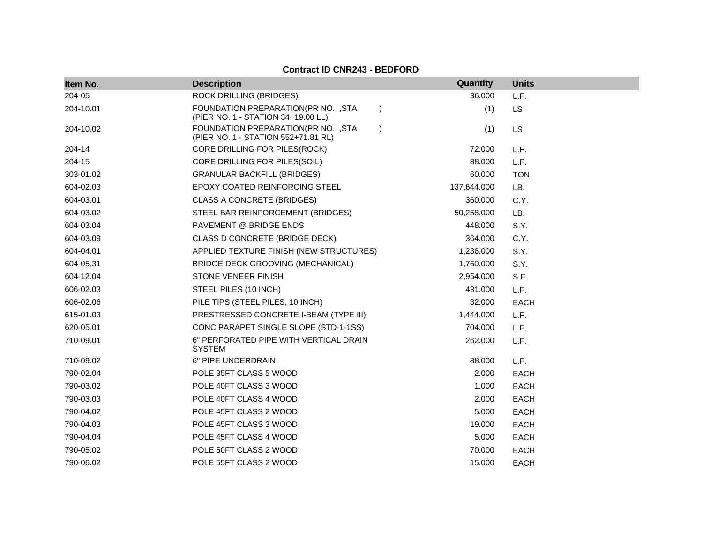| Item No.  | <b>Description</b>                                                                      | Quantity    | <b>Units</b> |
|-----------|-----------------------------------------------------------------------------------------|-------------|--------------|
| 204-05    | <b>ROCK DRILLING (BRIDGES)</b>                                                          | 36.000      | L.F.         |
| 204-10.01 | FOUNDATION PREPARATION(PR NO. , STA<br>$\lambda$<br>(PIER NO. 1 - STATION 34+19.00 LL)  | (1)         | <b>LS</b>    |
| 204-10.02 | FOUNDATION PREPARATION(PR NO. , STA<br>$\lambda$<br>(PIER NO. 1 - STATION 552+71.81 RL) | (1)         | <b>LS</b>    |
| 204-14    | CORE DRILLING FOR PILES(ROCK)                                                           | 72.000      | L.F.         |
| 204-15    | CORE DRILLING FOR PILES(SOIL)                                                           | 88.000      | L.F.         |
| 303-01.02 | <b>GRANULAR BACKFILL (BRIDGES)</b>                                                      | 60.000      | <b>TON</b>   |
| 604-02.03 | <b>EPOXY COATED REINFORCING STEEL</b>                                                   | 137,644.000 | LB.          |
| 604-03.01 | <b>CLASS A CONCRETE (BRIDGES)</b>                                                       | 360.000     | C.Y.         |
| 604-03.02 | STEEL BAR REINFORCEMENT (BRIDGES)                                                       | 50,258.000  | LB.          |
| 604-03.04 | PAVEMENT @ BRIDGE ENDS                                                                  | 448.000     | S.Y.         |
| 604-03.09 | CLASS D CONCRETE (BRIDGE DECK)                                                          | 364.000     | C.Y.         |
| 604-04.01 | APPLIED TEXTURE FINISH (NEW STRUCTURES)                                                 | 1,236.000   | S.Y.         |
| 604-05.31 | BRIDGE DECK GROOVING (MECHANICAL)                                                       | 1,760.000   | S.Y.         |
| 604-12.04 | STONE VENEER FINISH                                                                     | 2,954.000   | S.F.         |
| 606-02.03 | STEEL PILES (10 INCH)                                                                   | 431.000     | L.F.         |
| 606-02.06 | PILE TIPS (STEEL PILES, 10 INCH)                                                        | 32.000      | <b>EACH</b>  |
| 615-01.03 | PRESTRESSED CONCRETE I-BEAM (TYPE III)                                                  | 1,444.000   | L.F.         |
| 620-05.01 | CONC PARAPET SINGLE SLOPE (STD-1-1SS)                                                   | 704.000     | L.F.         |
| 710-09.01 | 6" PERFORATED PIPE WITH VERTICAL DRAIN<br><b>SYSTEM</b>                                 | 262.000     | L.F.         |
| 710-09.02 | 6" PIPE UNDERDRAIN                                                                      | 88.000      | L.F.         |
| 790-02.04 | POLE 35FT CLASS 5 WOOD                                                                  | 2.000       | <b>EACH</b>  |
| 790-03.02 | POLE 40FT CLASS 3 WOOD                                                                  | 1.000       | <b>EACH</b>  |
| 790-03.03 | POLE 40FT CLASS 4 WOOD                                                                  | 2.000       | <b>EACH</b>  |
| 790-04.02 | POLE 45FT CLASS 2 WOOD                                                                  | 5.000       | <b>EACH</b>  |
| 790-04.03 | POLE 45FT CLASS 3 WOOD                                                                  | 19.000      | <b>EACH</b>  |
| 790-04.04 | POLE 45FT CLASS 4 WOOD                                                                  | 5.000       | <b>EACH</b>  |
| 790-05.02 | POLE 50FT CLASS 2 WOOD                                                                  | 70.000      | <b>EACH</b>  |
| 790-06.02 | POLE 55FT CLASS 2 WOOD                                                                  | 15.000      | <b>EACH</b>  |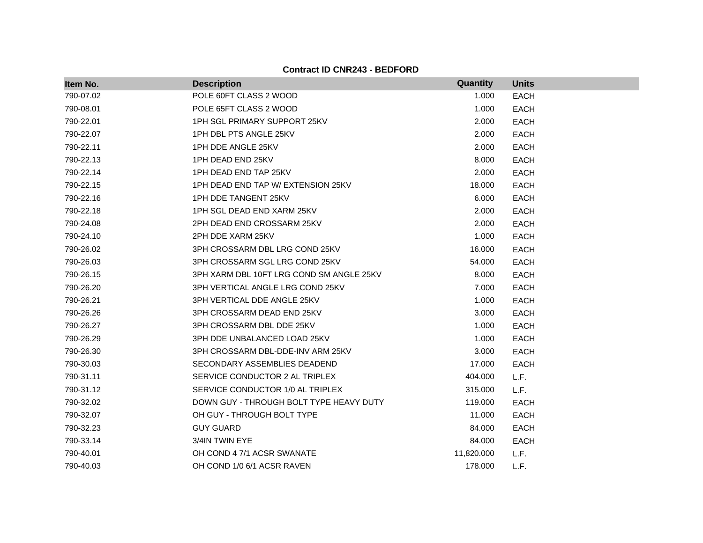| Item No.  | <b>Description</b>                       | Quantity   | <b>Units</b> |  |
|-----------|------------------------------------------|------------|--------------|--|
| 790-07.02 | POLE 60FT CLASS 2 WOOD                   | 1.000      | <b>EACH</b>  |  |
| 790-08.01 | POLE 65FT CLASS 2 WOOD                   | 1.000      | <b>EACH</b>  |  |
| 790-22.01 | 1PH SGL PRIMARY SUPPORT 25KV             | 2.000      | <b>EACH</b>  |  |
| 790-22.07 | 1PH DBL PTS ANGLE 25KV                   | 2.000      | <b>EACH</b>  |  |
| 790-22.11 | 1PH DDE ANGLE 25KV                       | 2.000      | <b>EACH</b>  |  |
| 790-22.13 | 1PH DEAD END 25KV                        | 8.000      | <b>EACH</b>  |  |
| 790-22.14 | 1PH DEAD END TAP 25KV                    | 2.000      | <b>EACH</b>  |  |
| 790-22.15 | 1PH DEAD END TAP W/ EXTENSION 25KV       | 18.000     | <b>EACH</b>  |  |
| 790-22.16 | 1PH DDE TANGENT 25KV                     | 6.000      | <b>EACH</b>  |  |
| 790-22.18 | 1PH SGL DEAD END XARM 25KV               | 2.000      | <b>EACH</b>  |  |
| 790-24.08 | 2PH DEAD END CROSSARM 25KV               | 2.000      | <b>EACH</b>  |  |
| 790-24.10 | 2PH DDE XARM 25KV                        | 1.000      | <b>EACH</b>  |  |
| 790-26.02 | 3PH CROSSARM DBL LRG COND 25KV           | 16.000     | <b>EACH</b>  |  |
| 790-26.03 | 3PH CROSSARM SGL LRG COND 25KV           | 54.000     | <b>EACH</b>  |  |
| 790-26.15 | 3PH XARM DBL 10FT LRG COND SM ANGLE 25KV | 8.000      | <b>EACH</b>  |  |
| 790-26.20 | 3PH VERTICAL ANGLE LRG COND 25KV         | 7.000      | <b>EACH</b>  |  |
| 790-26.21 | 3PH VERTICAL DDE ANGLE 25KV              | 1.000      | <b>EACH</b>  |  |
| 790-26.26 | 3PH CROSSARM DEAD END 25KV               | 3.000      | <b>EACH</b>  |  |
| 790-26.27 | 3PH CROSSARM DBL DDE 25KV                | 1.000      | <b>EACH</b>  |  |
| 790-26.29 | 3PH DDE UNBALANCED LOAD 25KV             | 1.000      | <b>EACH</b>  |  |
| 790-26.30 | 3PH CROSSARM DBL-DDE-INV ARM 25KV        | 3.000      | <b>EACH</b>  |  |
| 790-30.03 | SECONDARY ASSEMBLIES DEADEND             | 17.000     | <b>EACH</b>  |  |
| 790-31.11 | SERVICE CONDUCTOR 2 AL TRIPLEX           | 404.000    | L.F.         |  |
| 790-31.12 | SERVICE CONDUCTOR 1/0 AL TRIPLEX         | 315.000    | L.F.         |  |
| 790-32.02 | DOWN GUY - THROUGH BOLT TYPE HEAVY DUTY  | 119.000    | <b>EACH</b>  |  |
| 790-32.07 | OH GUY - THROUGH BOLT TYPE               | 11.000     | <b>EACH</b>  |  |
| 790-32.23 | <b>GUY GUARD</b>                         | 84.000     | <b>EACH</b>  |  |
| 790-33.14 | 3/4IN TWIN EYE                           | 84.000     | <b>EACH</b>  |  |
| 790-40.01 | OH COND 4 7/1 ACSR SWANATE               | 11,820.000 | L.F.         |  |
| 790-40.03 | OH COND 1/0 6/1 ACSR RAVEN               | 178.000    | L.F.         |  |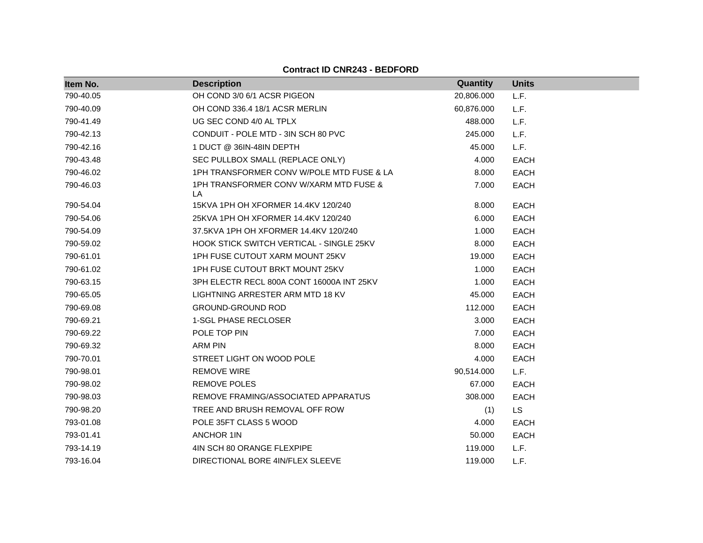| Item No.  | <b>Description</b>                           | Quantity   | <b>Units</b> |
|-----------|----------------------------------------------|------------|--------------|
| 790-40.05 | OH COND 3/0 6/1 ACSR PIGEON                  | 20,806.000 | L.F.         |
| 790-40.09 | OH COND 336.4 18/1 ACSR MERLIN               | 60,876.000 | L.F.         |
| 790-41.49 | UG SEC COND 4/0 AL TPLX                      | 488.000    | L.F.         |
| 790-42.13 | CONDUIT - POLE MTD - 3IN SCH 80 PVC          | 245.000    | L.F.         |
| 790-42.16 | 1 DUCT @ 36IN-48IN DEPTH                     | 45.000     | L.F.         |
| 790-43.48 | SEC PULLBOX SMALL (REPLACE ONLY)             | 4.000      | EACH         |
| 790-46.02 | 1PH TRANSFORMER CONV W/POLE MTD FUSE & LA    | 8.000      | <b>EACH</b>  |
| 790-46.03 | 1PH TRANSFORMER CONV W/XARM MTD FUSE &<br>LA | 7.000      | <b>EACH</b>  |
| 790-54.04 | 15KVA 1PH OH XFORMER 14.4KV 120/240          | 8.000      | <b>EACH</b>  |
| 790-54.06 | 25KVA 1PH OH XFORMER 14.4KV 120/240          | 6.000      | <b>EACH</b>  |
| 790-54.09 | 37.5KVA 1PH OH XFORMER 14.4KV 120/240        | 1.000      | <b>EACH</b>  |
| 790-59.02 | HOOK STICK SWITCH VERTICAL - SINGLE 25KV     | 8.000      | <b>EACH</b>  |
| 790-61.01 | 1PH FUSE CUTOUT XARM MOUNT 25KV              | 19.000     | <b>EACH</b>  |
| 790-61.02 | 1PH FUSE CUTOUT BRKT MOUNT 25KV              | 1.000      | <b>EACH</b>  |
| 790-63.15 | 3PH ELECTR RECL 800A CONT 16000A INT 25KV    | 1.000      | <b>EACH</b>  |
| 790-65.05 | LIGHTNING ARRESTER ARM MTD 18 KV             | 45.000     | <b>EACH</b>  |
| 790-69.08 | <b>GROUND-GROUND ROD</b>                     | 112,000    | <b>EACH</b>  |
| 790-69.21 | 1-SGL PHASE RECLOSER                         | 3.000      | <b>EACH</b>  |
| 790-69.22 | POLE TOP PIN                                 | 7.000      | <b>EACH</b>  |
| 790-69.32 | ARM PIN                                      | 8.000      | <b>EACH</b>  |
| 790-70.01 | STREET LIGHT ON WOOD POLE                    | 4.000      | <b>EACH</b>  |
| 790-98.01 | <b>REMOVE WIRE</b>                           | 90,514.000 | L.F.         |
| 790-98.02 | <b>REMOVE POLES</b>                          | 67.000     | <b>EACH</b>  |
| 790-98.03 | REMOVE FRAMING/ASSOCIATED APPARATUS          | 308.000    | <b>EACH</b>  |
| 790-98.20 | TREE AND BRUSH REMOVAL OFF ROW               | (1)        | <b>LS</b>    |
| 793-01.08 | POLE 35FT CLASS 5 WOOD                       | 4.000      | <b>EACH</b>  |
| 793-01.41 | <b>ANCHOR 1IN</b>                            | 50.000     | <b>EACH</b>  |
| 793-14.19 | 4IN SCH 80 ORANGE FLEXPIPE                   | 119.000    | L.F.         |
| 793-16.04 | DIRECTIONAL BORE 4IN/FLEX SLEEVE             | 119.000    | L.F.         |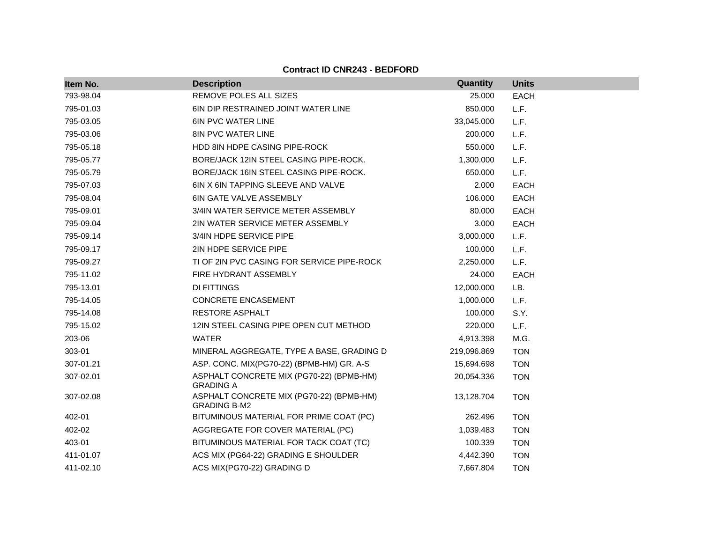| Item No.  | <b>Description</b>                                              | Quantity    | <b>Units</b> |
|-----------|-----------------------------------------------------------------|-------------|--------------|
| 793-98.04 | REMOVE POLES ALL SIZES                                          | 25.000      | <b>EACH</b>  |
| 795-01.03 | 6IN DIP RESTRAINED JOINT WATER LINE                             | 850.000     | L.F.         |
| 795-03.05 | <b>6IN PVC WATER LINE</b>                                       | 33,045.000  | L.F.         |
| 795-03.06 | <b>8IN PVC WATER LINE</b>                                       | 200.000     | L.F.         |
| 795-05.18 | HDD 8IN HDPE CASING PIPE-ROCK                                   | 550.000     | L.F.         |
| 795-05.77 | BORE/JACK 12IN STEEL CASING PIPE-ROCK.                          | 1,300.000   | L.F.         |
| 795-05.79 | BORE/JACK 16IN STEEL CASING PIPE-ROCK.                          | 650,000     | L.F.         |
| 795-07.03 | 6IN X 6IN TAPPING SLEEVE AND VALVE                              | 2.000       | <b>EACH</b>  |
| 795-08.04 | <b>6IN GATE VALVE ASSEMBLY</b>                                  | 106.000     | <b>EACH</b>  |
| 795-09.01 | 3/4IN WATER SERVICE METER ASSEMBLY                              | 80.000      | <b>EACH</b>  |
| 795-09.04 | 2IN WATER SERVICE METER ASSEMBLY                                | 3.000       | <b>EACH</b>  |
| 795-09.14 | 3/4IN HDPE SERVICE PIPE                                         | 3,000.000   | L.F.         |
| 795-09.17 | 2IN HDPE SERVICE PIPE                                           | 100.000     | L.F.         |
| 795-09.27 | TI OF 2IN PVC CASING FOR SERVICE PIPE-ROCK                      | 2,250.000   | L.F.         |
| 795-11.02 | FIRE HYDRANT ASSEMBLY                                           | 24.000      | <b>EACH</b>  |
| 795-13.01 | DI FITTINGS                                                     | 12,000.000  | LB.          |
| 795-14.05 | CONCRETE ENCASEMENT                                             | 1,000.000   | L.F.         |
| 795-14.08 | <b>RESTORE ASPHALT</b>                                          | 100.000     | S.Y.         |
| 795-15.02 | 12IN STEEL CASING PIPE OPEN CUT METHOD                          | 220.000     | L.F.         |
| 203-06    | <b>WATER</b>                                                    | 4,913.398   | M.G.         |
| 303-01    | MINERAL AGGREGATE, TYPE A BASE, GRADING D                       | 219,096.869 | <b>TON</b>   |
| 307-01.21 | ASP. CONC. MIX(PG70-22) (BPMB-HM) GR. A-S                       | 15,694.698  | <b>TON</b>   |
| 307-02.01 | ASPHALT CONCRETE MIX (PG70-22) (BPMB-HM)<br><b>GRADING A</b>    | 20,054.336  | <b>TON</b>   |
| 307-02.08 | ASPHALT CONCRETE MIX (PG70-22) (BPMB-HM)<br><b>GRADING B-M2</b> | 13,128.704  | <b>TON</b>   |
| 402-01    | BITUMINOUS MATERIAL FOR PRIME COAT (PC)                         | 262.496     | <b>TON</b>   |
| 402-02    | AGGREGATE FOR COVER MATERIAL (PC)                               | 1,039.483   | <b>TON</b>   |
| 403-01    | BITUMINOUS MATERIAL FOR TACK COAT (TC)                          | 100.339     | <b>TON</b>   |
| 411-01.07 | ACS MIX (PG64-22) GRADING E SHOULDER                            | 4,442.390   | <b>TON</b>   |
| 411-02.10 | ACS MIX(PG70-22) GRADING D                                      | 7,667.804   | <b>TON</b>   |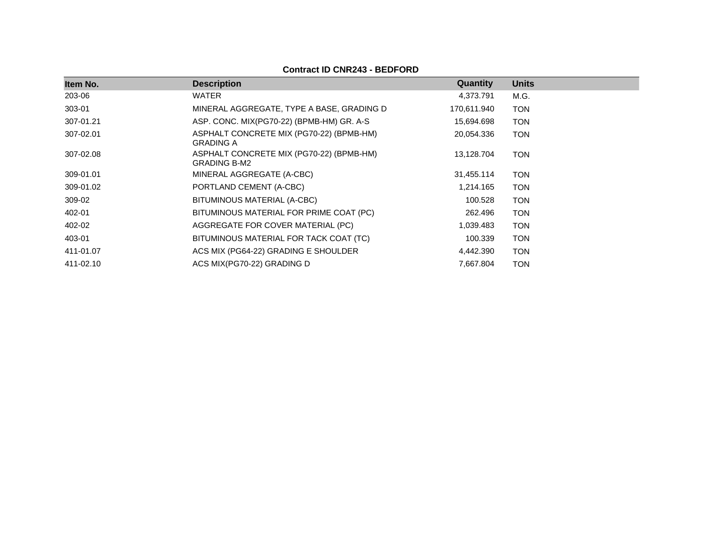| Item No.  | <b>Description</b>                                              | Quantity    | <b>Units</b> |
|-----------|-----------------------------------------------------------------|-------------|--------------|
| 203-06    | <b>WATER</b>                                                    | 4,373.791   | M.G.         |
| 303-01    | MINERAL AGGREGATE, TYPE A BASE, GRADING D                       | 170,611.940 | <b>TON</b>   |
| 307-01.21 | ASP. CONC. MIX(PG70-22) (BPMB-HM) GR. A-S                       | 15,694.698  | <b>TON</b>   |
| 307-02.01 | ASPHALT CONCRETE MIX (PG70-22) (BPMB-HM)<br><b>GRADING A</b>    | 20,054.336  | TON          |
| 307-02.08 | ASPHALT CONCRETE MIX (PG70-22) (BPMB-HM)<br><b>GRADING B-M2</b> | 13,128.704  | TON          |
| 309-01.01 | MINERAL AGGREGATE (A-CBC)                                       | 31,455.114  | <b>TON</b>   |
| 309-01.02 | PORTLAND CEMENT (A-CBC)                                         | 1,214.165   | <b>TON</b>   |
| 309-02    | BITUMINOUS MATERIAL (A-CBC)                                     | 100.528     | <b>TON</b>   |
| 402-01    | BITUMINOUS MATERIAL FOR PRIME COAT (PC)                         | 262.496     | <b>TON</b>   |
| 402-02    | AGGREGATE FOR COVER MATERIAL (PC)                               | 1,039.483   | <b>TON</b>   |
| 403-01    | BITUMINOUS MATERIAL FOR TACK COAT (TC)                          | 100.339     | TON          |
| 411-01.07 | ACS MIX (PG64-22) GRADING E SHOULDER                            | 4,442.390   | <b>TON</b>   |
| 411-02.10 | ACS MIX(PG70-22) GRADING D                                      | 7,667.804   | TON          |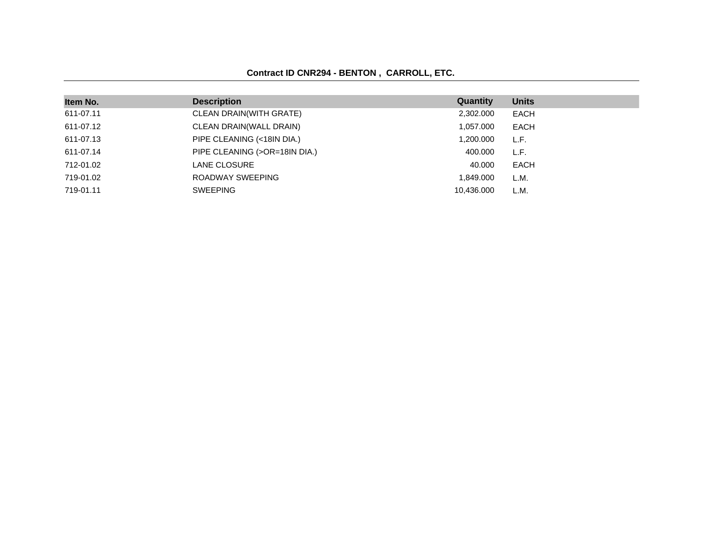### **Contract ID CNR294 - BENTON , CARROLL, ETC.**

| Item No.  | <b>Description</b>            | Quantity   | <b>Units</b> |
|-----------|-------------------------------|------------|--------------|
| 611-07.11 | CLEAN DRAIN(WITH GRATE)       | 2,302.000  | <b>EACH</b>  |
| 611-07.12 | CLEAN DRAIN(WALL DRAIN)       | 1,057.000  | EACH         |
| 611-07.13 | PIPE CLEANING (<18IN DIA.)    | 1,200.000  | L.F.         |
| 611-07.14 | PIPE CLEANING (>OR=18IN DIA.) | 400.000    | L.F.         |
| 712-01.02 | <b>LANE CLOSURE</b>           | 40.000     | <b>EACH</b>  |
| 719-01.02 | ROADWAY SWEEPING              | 1,849.000  | L.M.         |
| 719-01.11 | <b>SWEEPING</b>               | 10.436.000 | L.M.         |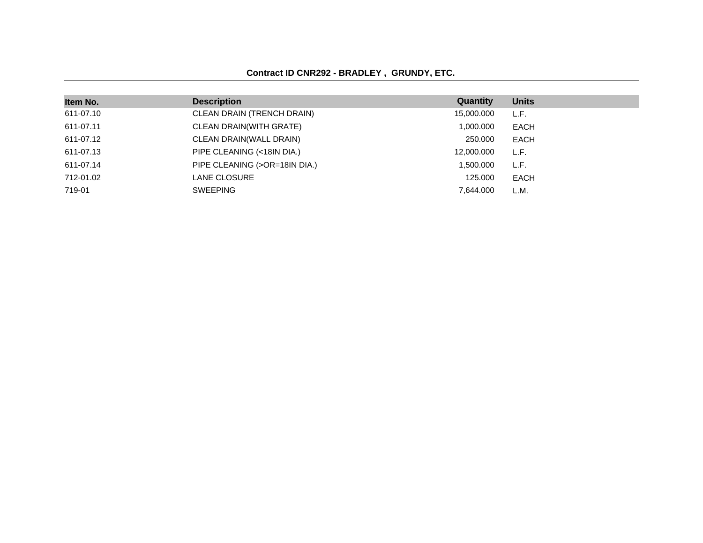### **Contract ID CNR292 - BRADLEY , GRUNDY, ETC.**

| Item No.  | <b>Description</b>            | Quantity   | <b>Units</b> |
|-----------|-------------------------------|------------|--------------|
| 611-07.10 | CLEAN DRAIN (TRENCH DRAIN)    | 15,000.000 | L.F.         |
| 611-07.11 | CLEAN DRAIN(WITH GRATE)       | 1,000.000  | <b>EACH</b>  |
| 611-07.12 | CLEAN DRAIN(WALL DRAIN)       | 250,000    | <b>EACH</b>  |
| 611-07.13 | PIPE CLEANING (<18IN DIA.)    | 12,000.000 | L.F.         |
| 611-07.14 | PIPE CLEANING (>OR=18IN DIA.) | 1.500.000  | L.F.         |
| 712-01.02 | LANE CLOSURE                  | 125,000    | EACH         |
| 719-01    | <b>SWEEPING</b>               | 7.644.000  | L.M.         |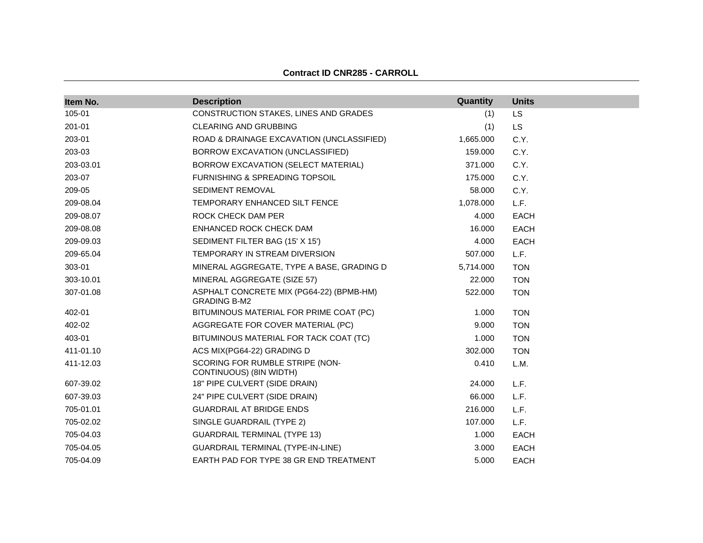| Item No.  | <b>Description</b>                                              | Quantity  | <b>Units</b> |
|-----------|-----------------------------------------------------------------|-----------|--------------|
| 105-01    | CONSTRUCTION STAKES, LINES AND GRADES                           | (1)       | <b>LS</b>    |
| 201-01    | <b>CLEARING AND GRUBBING</b>                                    | (1)       | <b>LS</b>    |
| 203-01    | ROAD & DRAINAGE EXCAVATION (UNCLASSIFIED)                       | 1,665.000 | C.Y.         |
| 203-03    | BORROW EXCAVATION (UNCLASSIFIED)                                | 159.000   | C.Y.         |
| 203-03.01 | BORROW EXCAVATION (SELECT MATERIAL)                             | 371.000   | C.Y.         |
| 203-07    | <b>FURNISHING &amp; SPREADING TOPSOIL</b>                       | 175.000   | C.Y.         |
| 209-05    | <b>SEDIMENT REMOVAL</b>                                         | 58.000    | C.Y.         |
| 209-08.04 | TEMPORARY ENHANCED SILT FENCE                                   | 1,078.000 | L.F.         |
| 209-08.07 | ROCK CHECK DAM PER                                              | 4.000     | <b>EACH</b>  |
| 209-08.08 | ENHANCED ROCK CHECK DAM                                         | 16.000    | <b>EACH</b>  |
| 209-09.03 | SEDIMENT FILTER BAG (15' X 15')                                 | 4.000     | <b>EACH</b>  |
| 209-65.04 | TEMPORARY IN STREAM DIVERSION                                   | 507.000   | L.F.         |
| 303-01    | MINERAL AGGREGATE, TYPE A BASE, GRADING D                       | 5,714.000 | <b>TON</b>   |
| 303-10.01 | MINERAL AGGREGATE (SIZE 57)                                     | 22.000    | <b>TON</b>   |
| 307-01.08 | ASPHALT CONCRETE MIX (PG64-22) (BPMB-HM)<br><b>GRADING B-M2</b> | 522.000   | <b>TON</b>   |
| 402-01    | BITUMINOUS MATERIAL FOR PRIME COAT (PC)                         | 1.000     | <b>TON</b>   |
| 402-02    | AGGREGATE FOR COVER MATERIAL (PC)                               | 9.000     | <b>TON</b>   |
| 403-01    | BITUMINOUS MATERIAL FOR TACK COAT (TC)                          | 1.000     | <b>TON</b>   |
| 411-01.10 | ACS MIX(PG64-22) GRADING D                                      | 302.000   | <b>TON</b>   |
| 411-12.03 | SCORING FOR RUMBLE STRIPE (NON-<br>CONTINUOUS) (8IN WIDTH)      | 0.410     | L.M.         |
| 607-39.02 | 18" PIPE CULVERT (SIDE DRAIN)                                   | 24.000    | L.F.         |
| 607-39.03 | 24" PIPE CULVERT (SIDE DRAIN)                                   | 66.000    | L.F.         |
| 705-01.01 | <b>GUARDRAIL AT BRIDGE ENDS</b>                                 | 216,000   | L.F.         |
| 705-02.02 | SINGLE GUARDRAIL (TYPE 2)                                       | 107.000   | L.F.         |
| 705-04.03 | <b>GUARDRAIL TERMINAL (TYPE 13)</b>                             | 1.000     | <b>EACH</b>  |
| 705-04.05 | <b>GUARDRAIL TERMINAL (TYPE-IN-LINE)</b>                        | 3.000     | EACH         |
| 705-04.09 | EARTH PAD FOR TYPE 38 GR END TREATMENT                          | 5.000     | <b>EACH</b>  |

#### **Contract ID CNR285 - CARROLL**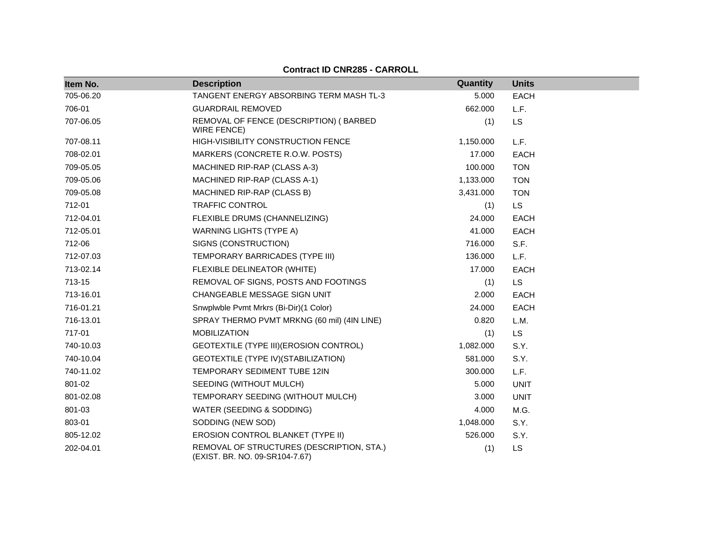| Item No.  | <b>Description</b>                                                          | Quantity  | <b>Units</b> |
|-----------|-----------------------------------------------------------------------------|-----------|--------------|
| 705-06.20 | TANGENT ENERGY ABSORBING TERM MASH TL-3                                     | 5.000     | <b>EACH</b>  |
| 706-01    | <b>GUARDRAIL REMOVED</b>                                                    | 662.000   | L.F.         |
| 707-06.05 | REMOVAL OF FENCE (DESCRIPTION) (BARBED<br>WIRE FENCE)                       | (1)       | <b>LS</b>    |
| 707-08.11 | HIGH-VISIBILITY CONSTRUCTION FENCE                                          | 1,150.000 | L.F.         |
| 708-02.01 | MARKERS (CONCRETE R.O.W. POSTS)                                             | 17.000    | <b>EACH</b>  |
| 709-05.05 | MACHINED RIP-RAP (CLASS A-3)                                                | 100.000   | <b>TON</b>   |
| 709-05.06 | MACHINED RIP-RAP (CLASS A-1)                                                | 1,133.000 | <b>TON</b>   |
| 709-05.08 | MACHINED RIP-RAP (CLASS B)                                                  | 3,431.000 | <b>TON</b>   |
| 712-01    | TRAFFIC CONTROL                                                             | (1)       | LS           |
| 712-04.01 | FLEXIBLE DRUMS (CHANNELIZING)                                               | 24.000    | <b>EACH</b>  |
| 712-05.01 | <b>WARNING LIGHTS (TYPE A)</b>                                              | 41.000    | <b>EACH</b>  |
| 712-06    | SIGNS (CONSTRUCTION)                                                        | 716.000   | S.F.         |
| 712-07.03 | TEMPORARY BARRICADES (TYPE III)                                             | 136.000   | L.F.         |
| 713-02.14 | FLEXIBLE DELINEATOR (WHITE)                                                 | 17.000    | <b>EACH</b>  |
| 713-15    | REMOVAL OF SIGNS, POSTS AND FOOTINGS                                        | (1)       | <b>LS</b>    |
| 713-16.01 | CHANGEABLE MESSAGE SIGN UNIT                                                | 2.000     | <b>EACH</b>  |
| 716-01.21 | Snwplwble Pvmt Mrkrs (Bi-Dir)(1 Color)                                      | 24.000    | <b>EACH</b>  |
| 716-13.01 | SPRAY THERMO PVMT MRKNG (60 mil) (4IN LINE)                                 | 0.820     | L.M.         |
| 717-01    | <b>MOBILIZATION</b>                                                         | (1)       | <b>LS</b>    |
| 740-10.03 | GEOTEXTILE (TYPE III) (EROSION CONTROL)                                     | 1,082.000 | S.Y.         |
| 740-10.04 | GEOTEXTILE (TYPE IV) (STABILIZATION)                                        | 581.000   | S.Y.         |
| 740-11.02 | TEMPORARY SEDIMENT TUBE 12IN                                                | 300.000   | L.F.         |
| 801-02    | SEEDING (WITHOUT MULCH)                                                     | 5.000     | <b>UNIT</b>  |
| 801-02.08 | TEMPORARY SEEDING (WITHOUT MULCH)                                           | 3.000     | <b>UNIT</b>  |
| 801-03    | WATER (SEEDING & SODDING)                                                   | 4.000     | M.G.         |
| 803-01    | SODDING (NEW SOD)                                                           | 1,048.000 | S.Y.         |
| 805-12.02 | EROSION CONTROL BLANKET (TYPE II)                                           | 526.000   | S.Y.         |
| 202-04.01 | REMOVAL OF STRUCTURES (DESCRIPTION, STA.)<br>(EXIST. BR. NO. 09-SR104-7.67) | (1)       | LS           |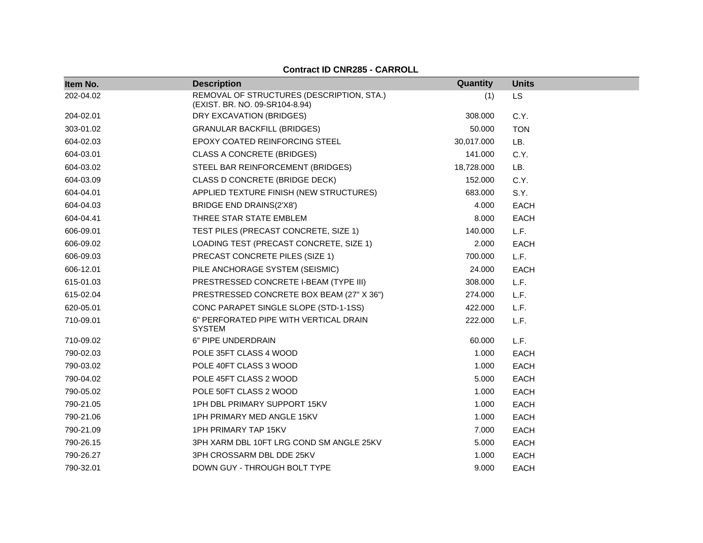| Item No.  | <b>Description</b>                                                          | Quantity   | <b>Units</b> |
|-----------|-----------------------------------------------------------------------------|------------|--------------|
| 202-04.02 | REMOVAL OF STRUCTURES (DESCRIPTION, STA.)<br>(EXIST. BR. NO. 09-SR104-8.94) | (1)        | LS.          |
| 204-02.01 | DRY EXCAVATION (BRIDGES)                                                    | 308.000    | C.Y.         |
| 303-01.02 | <b>GRANULAR BACKFILL (BRIDGES)</b>                                          | 50.000     | <b>TON</b>   |
| 604-02.03 | EPOXY COATED REINFORCING STEEL                                              | 30,017.000 | LB.          |
| 604-03.01 | <b>CLASS A CONCRETE (BRIDGES)</b>                                           | 141.000    | C.Y.         |
| 604-03.02 | STEEL BAR REINFORCEMENT (BRIDGES)                                           | 18,728.000 | LB.          |
| 604-03.09 | <b>CLASS D CONCRETE (BRIDGE DECK)</b>                                       | 152.000    | C.Y.         |
| 604-04.01 | APPLIED TEXTURE FINISH (NEW STRUCTURES)                                     | 683.000    | S.Y.         |
| 604-04.03 | BRIDGE END DRAINS(2'X8')                                                    | 4.000      | <b>EACH</b>  |
| 604-04.41 | THREE STAR STATE EMBLEM                                                     | 8.000      | <b>EACH</b>  |
| 606-09.01 | TEST PILES (PRECAST CONCRETE, SIZE 1)                                       | 140.000    | L.F.         |
| 606-09.02 | LOADING TEST (PRECAST CONCRETE, SIZE 1)                                     | 2.000      | <b>EACH</b>  |
| 606-09.03 | PRECAST CONCRETE PILES (SIZE 1)                                             | 700.000    | L.F.         |
| 606-12.01 | PILE ANCHORAGE SYSTEM (SEISMIC)                                             | 24.000     | <b>EACH</b>  |
| 615-01.03 | PRESTRESSED CONCRETE I-BEAM (TYPE III)                                      | 308.000    | L.F.         |
| 615-02.04 | PRESTRESSED CONCRETE BOX BEAM (27" X 36")                                   | 274.000    | L.F.         |
| 620-05.01 | CONC PARAPET SINGLE SLOPE (STD-1-1SS)                                       | 422.000    | L.F.         |
| 710-09.01 | 6" PERFORATED PIPE WITH VERTICAL DRAIN<br><b>SYSTEM</b>                     | 222.000    | L.F.         |
| 710-09.02 | 6" PIPE UNDERDRAIN                                                          | 60.000     | L.F.         |
| 790-02.03 | POLE 35FT CLASS 4 WOOD                                                      | 1.000      | <b>EACH</b>  |
| 790-03.02 | POLE 40FT CLASS 3 WOOD                                                      | 1.000      | <b>EACH</b>  |
| 790-04.02 | POLE 45FT CLASS 2 WOOD                                                      | 5.000      | <b>EACH</b>  |
| 790-05.02 | POLE 50FT CLASS 2 WOOD                                                      | 1.000      | <b>EACH</b>  |
| 790-21.05 | 1PH DBL PRIMARY SUPPORT 15KV                                                | 1.000      | <b>EACH</b>  |
| 790-21.06 | 1PH PRIMARY MED ANGLE 15KV                                                  | 1.000      | <b>EACH</b>  |
| 790-21.09 | 1PH PRIMARY TAP 15KV                                                        | 7.000      | <b>EACH</b>  |
| 790-26.15 | 3PH XARM DBL 10FT LRG COND SM ANGLE 25KV                                    | 5.000      | <b>EACH</b>  |
| 790-26.27 | 3PH CROSSARM DBL DDE 25KV                                                   | 1.000      | <b>EACH</b>  |
| 790-32.01 | DOWN GUY - THROUGH BOLT TYPE                                                | 9.000      | <b>EACH</b>  |

**Contract ID CNR285 - CARROLL**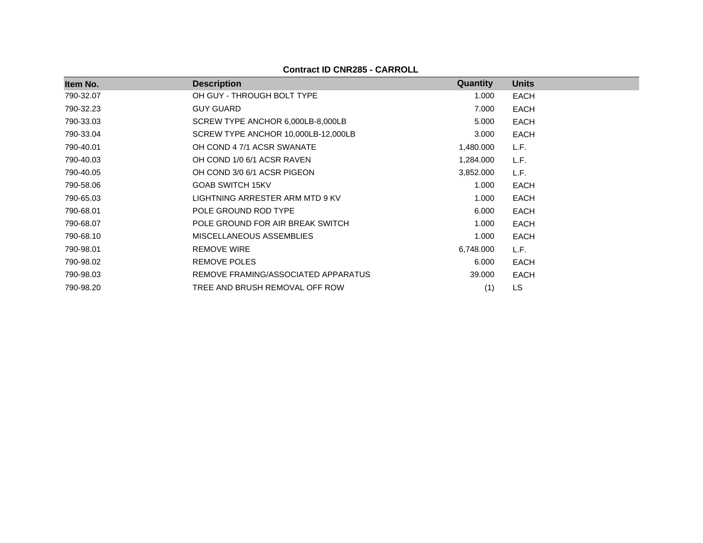| Item No.  | <b>Description</b>                  | Quantity  | <b>Units</b> |
|-----------|-------------------------------------|-----------|--------------|
| 790-32.07 | OH GUY - THROUGH BOLT TYPE          | 1.000     | <b>EACH</b>  |
| 790-32.23 | <b>GUY GUARD</b>                    | 7.000     | <b>EACH</b>  |
| 790-33.03 | SCREW TYPE ANCHOR 6,000LB-8,000LB   | 5.000     | <b>EACH</b>  |
| 790-33.04 | SCREW TYPE ANCHOR 10,000LB-12,000LB | 3.000     | <b>EACH</b>  |
| 790-40.01 | OH COND 4 7/1 ACSR SWANATE          | 1,480.000 | L.F.         |
| 790-40.03 | OH COND 1/0 6/1 ACSR RAVEN          | 1,284.000 | L.F.         |
| 790-40.05 | OH COND 3/0 6/1 ACSR PIGEON         | 3,852.000 | L.F.         |
| 790-58.06 | <b>GOAB SWITCH 15KV</b>             | 1.000     | <b>EACH</b>  |
| 790-65.03 | LIGHTNING ARRESTER ARM MTD 9 KV     | 1.000     | <b>EACH</b>  |
| 790-68.01 | POLE GROUND ROD TYPE                | 6.000     | <b>EACH</b>  |
| 790-68.07 | POLE GROUND FOR AIR BREAK SWITCH    | 1.000     | <b>EACH</b>  |
| 790-68.10 | MISCELLANEOUS ASSEMBLIES            | 1.000     | <b>EACH</b>  |
| 790-98.01 | <b>REMOVE WIRE</b>                  | 6,748.000 | L.F.         |
| 790-98.02 | <b>REMOVE POLES</b>                 | 6.000     | <b>EACH</b>  |
| 790-98.03 | REMOVE FRAMING/ASSOCIATED APPARATUS | 39.000    | <b>EACH</b>  |
| 790-98.20 | TREE AND BRUSH REMOVAL OFF ROW      | (1)       | <b>LS</b>    |

**Contract ID CNR285 - CARROLL**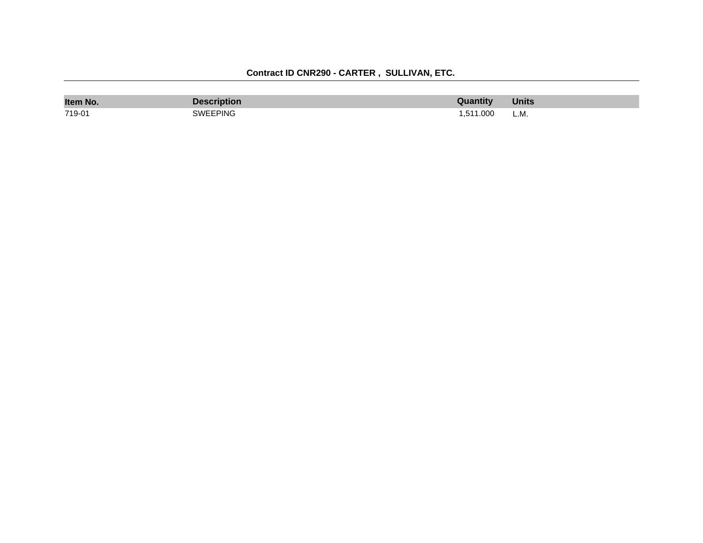| Item No. | Description     | Quantity | <b>Units</b> |
|----------|-----------------|----------|--------------|
| 719-01   | <b>SWEEPING</b> | .511.000 | L.M.         |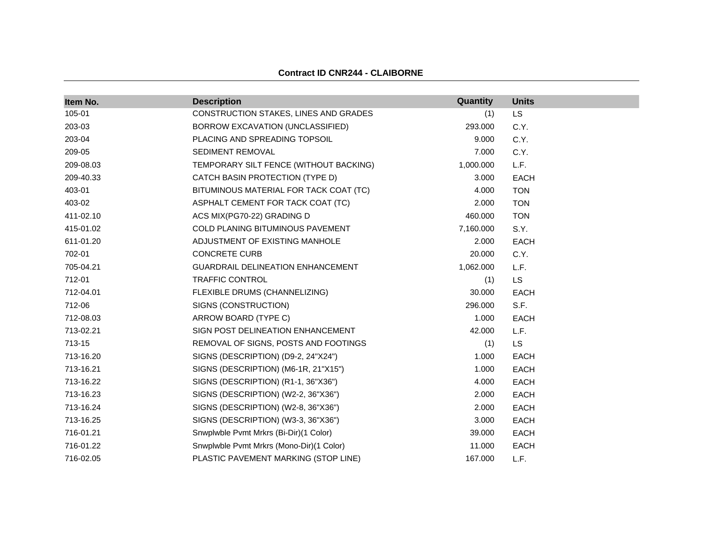|  |  | <b>Contract ID CNR244 - CLAIBORNE</b> |
|--|--|---------------------------------------|
|--|--|---------------------------------------|

| Item No.  | <b>Description</b>                       | Quantity  | <b>Units</b> |
|-----------|------------------------------------------|-----------|--------------|
| 105-01    | CONSTRUCTION STAKES, LINES AND GRADES    | (1)       | <b>LS</b>    |
| 203-03    | BORROW EXCAVATION (UNCLASSIFIED)         | 293.000   | C.Y.         |
| 203-04    | PLACING AND SPREADING TOPSOIL            | 9.000     | C.Y.         |
| 209-05    | SEDIMENT REMOVAL                         | 7.000     | C.Y.         |
| 209-08.03 | TEMPORARY SILT FENCE (WITHOUT BACKING)   | 1,000.000 | L.F.         |
| 209-40.33 | CATCH BASIN PROTECTION (TYPE D)          | 3.000     | <b>EACH</b>  |
| 403-01    | BITUMINOUS MATERIAL FOR TACK COAT (TC)   | 4.000     | <b>TON</b>   |
| 403-02    | ASPHALT CEMENT FOR TACK COAT (TC)        | 2.000     | <b>TON</b>   |
| 411-02.10 | ACS MIX(PG70-22) GRADING D               | 460.000   | <b>TON</b>   |
| 415-01.02 | COLD PLANING BITUMINOUS PAVEMENT         | 7,160.000 | S.Y.         |
| 611-01.20 | ADJUSTMENT OF EXISTING MANHOLE           | 2.000     | <b>EACH</b>  |
| 702-01    | <b>CONCRETE CURB</b>                     | 20.000    | C.Y.         |
| 705-04.21 | GUARDRAIL DELINEATION ENHANCEMENT        | 1,062.000 | L.F.         |
| 712-01    | <b>TRAFFIC CONTROL</b>                   | (1)       | <b>LS</b>    |
| 712-04.01 | FLEXIBLE DRUMS (CHANNELIZING)            | 30.000    | <b>EACH</b>  |
| 712-06    | SIGNS (CONSTRUCTION)                     | 296.000   | S.F.         |
| 712-08.03 | ARROW BOARD (TYPE C)                     | 1.000     | <b>EACH</b>  |
| 713-02.21 | SIGN POST DELINEATION ENHANCEMENT        | 42.000    | L.F.         |
| 713-15    | REMOVAL OF SIGNS, POSTS AND FOOTINGS     | (1)       | <b>LS</b>    |
| 713-16.20 | SIGNS (DESCRIPTION) (D9-2, 24"X24")      | 1.000     | <b>EACH</b>  |
| 713-16.21 | SIGNS (DESCRIPTION) (M6-1R, 21"X15")     | 1.000     | <b>EACH</b>  |
| 713-16.22 | SIGNS (DESCRIPTION) (R1-1, 36"X36")      | 4.000     | <b>EACH</b>  |
| 713-16.23 | SIGNS (DESCRIPTION) (W2-2, 36"X36")      | 2.000     | <b>EACH</b>  |
| 713-16.24 | SIGNS (DESCRIPTION) (W2-8, 36"X36")      | 2.000     | <b>EACH</b>  |
| 713-16.25 | SIGNS (DESCRIPTION) (W3-3, 36"X36")      | 3.000     | <b>EACH</b>  |
| 716-01.21 | Snwplwble Pvmt Mrkrs (Bi-Dir)(1 Color)   | 39.000    | EACH         |
| 716-01.22 | Snwplwble Pvmt Mrkrs (Mono-Dir)(1 Color) | 11.000    | <b>EACH</b>  |
| 716-02.05 | PLASTIC PAVEMENT MARKING (STOP LINE)     | 167.000   | L.F.         |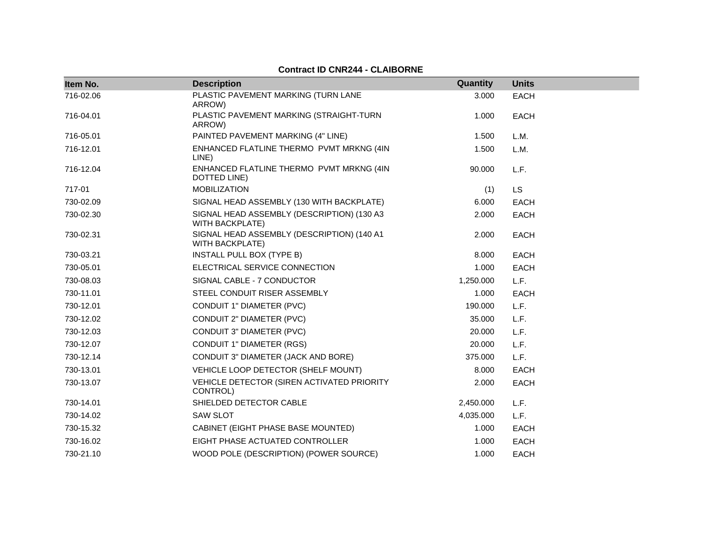#### **Item No. Description Quantity Units** 716-02.06 PLASTIC PAVEMENT MARKING (TURN LANE ARROW) 3.000 EACH 716-04.01 PLASTIC PAVEMENT MARKING (STRAIGHT-TURN ARROW) 1.000 EACH 716-05.01 **PAINTED PAVEMENT MARKING (4" LINE)** 1.500 L.M. 716-12.01 ENHANCED FLATLINE THERMO PVMT MRKNG (4IN LINE) 1.500 L.M. 716-12.04 ENHANCED FLATLINE THERMO PVMT MRKNG (4IN DOTTED LINE) 90.000 L.F. 717-01 MOBILIZATION (1) LS 730-02.09 SIGNAL HEAD ASSEMBLY (130 WITH BACKPLATE) 6.000 EACH 730-02.30 SIGNAL HEAD ASSEMBLY (DESCRIPTION) (130 A3 WITH BACKPLATE) 2.000 EACH 730-02.31 SIGNAL HEAD ASSEMBLY (DESCRIPTION) (140 A1 WITH BACKPLATE) 2.000 EACH 730-03.21 INSTALL PULL BOX (TYPE B) 8.000 EACH 730-05.01 ELECTRICAL SERVICE CONNECTION 1.000 EACH 730-08.03 SIGNAL CABLE - 7 CONDUCTOR 1,250.000 L.F. 730-11.01 STEEL CONDUIT RISER ASSEMBLY 1.000 EACH 730-12.01 CONDUIT 1" DIAMETER (PVC) 190.000 L.F. 730-12.02 CONDUIT 2" DIAMETER (PVC) 35.000 L.F. 730-12.03 CONDUIT 3" DIAMETER (PVC) 20.000 L.F. 730-12.07 CONDUIT 1" DIAMETER (RGS) 20.000 L.F. 730-12.14 CONDUIT 3" DIAMETER (JACK AND BORE) 375.000 L.F. 730-13.01 VEHICLE LOOP DETECTOR (SHELF MOUNT) 8.000 EACH 730-13.07 VEHICLE DETECTOR (SIREN ACTIVATED PRIORITY CONTROL) 2.000 EACH 730-14.01 SHIELDED DETECTOR CABLE 2,450.000 L.F. 730-14.02 SAW SLOT 4,035.000 L.F. 730-15.32 CABINET (EIGHT PHASE BASE MOUNTED) 1.000 EACH 730-16.02 EIGHT PHASE ACTUATED CONTROLLER 1.000 EACH 730-21.10 WOOD POLE (DESCRIPTION) (POWER SOURCE) 1.000 EACH

#### **Contract ID CNR244 - CLAIBORNE**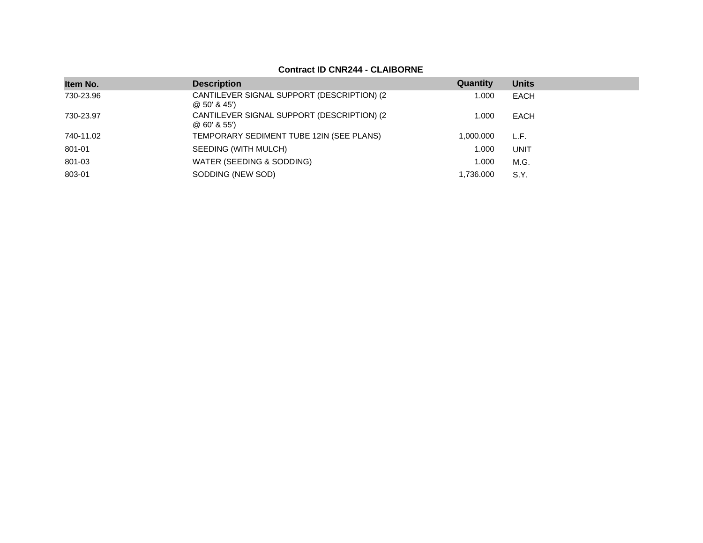## **Contract ID CNR244 - CLAIBORNE**

| Item No.  | <b>Description</b>                                           | Quantity  | <b>Units</b> |
|-----------|--------------------------------------------------------------|-----------|--------------|
| 730-23.96 | CANTILEVER SIGNAL SUPPORT (DESCRIPTION) (2)<br>@50'845'      | 1.000     | EACH         |
| 730-23.97 | CANTILEVER SIGNAL SUPPORT (DESCRIPTION) (2)<br>$@60'$ & 55') | 1.000     | EACH         |
| 740-11.02 | TEMPORARY SEDIMENT TUBE 12IN (SEE PLANS)                     | 1.000.000 | L.F.         |
| 801-01    | SEEDING (WITH MULCH)                                         | 1.000     | UNIT         |
| 801-03    | WATER (SEEDING & SODDING)                                    | 1.000     | M.G.         |
| 803-01    | SODDING (NEW SOD)                                            | .736.000  | S.Y.         |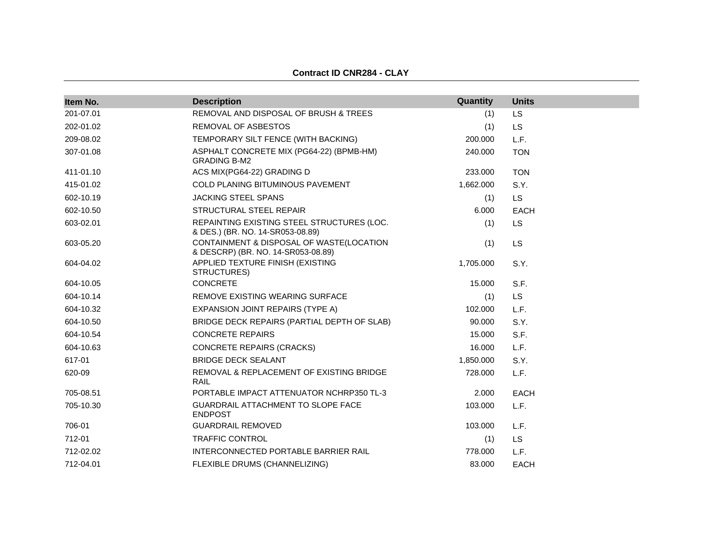| Item No.  | <b>Description</b>                                                             | Quantity  | <b>Units</b> |
|-----------|--------------------------------------------------------------------------------|-----------|--------------|
| 201-07.01 | REMOVAL AND DISPOSAL OF BRUSH & TREES                                          | (1)       | <b>LS</b>    |
| 202-01.02 | REMOVAL OF ASBESTOS                                                            | (1)       | <b>LS</b>    |
| 209-08.02 | TEMPORARY SILT FENCE (WITH BACKING)                                            | 200.000   | L.F.         |
| 307-01.08 | ASPHALT CONCRETE MIX (PG64-22) (BPMB-HM)<br><b>GRADING B-M2</b>                | 240.000   | <b>TON</b>   |
| 411-01.10 | ACS MIX(PG64-22) GRADING D                                                     | 233.000   | <b>TON</b>   |
| 415-01.02 | <b>COLD PLANING BITUMINOUS PAVEMENT</b>                                        | 1,662.000 | S.Y.         |
| 602-10.19 | <b>JACKING STEEL SPANS</b>                                                     | (1)       | <b>LS</b>    |
| 602-10.50 | STRUCTURAL STEEL REPAIR                                                        | 6.000     | <b>EACH</b>  |
| 603-02.01 | REPAINTING EXISTING STEEL STRUCTURES (LOC.<br>& DES.) (BR. NO. 14-SR053-08.89) | (1)       | <b>LS</b>    |
| 603-05.20 | CONTAINMENT & DISPOSAL OF WASTE(LOCATION<br>& DESCRP) (BR. NO. 14-SR053-08.89) | (1)       | LS           |
| 604-04.02 | APPLIED TEXTURE FINISH (EXISTING<br>STRUCTURES)                                | 1,705.000 | S.Y.         |
| 604-10.05 | <b>CONCRETE</b>                                                                | 15.000    | S.F.         |
| 604-10.14 | REMOVE EXISTING WEARING SURFACE                                                | (1)       | <b>LS</b>    |
| 604-10.32 | EXPANSION JOINT REPAIRS (TYPE A)                                               | 102.000   | L.F.         |
| 604-10.50 | BRIDGE DECK REPAIRS (PARTIAL DEPTH OF SLAB)                                    | 90.000    | S.Y.         |
| 604-10.54 | <b>CONCRETE REPAIRS</b>                                                        | 15.000    | S.F.         |
| 604-10.63 | <b>CONCRETE REPAIRS (CRACKS)</b>                                               | 16.000    | L.F.         |
| 617-01    | <b>BRIDGE DECK SEALANT</b>                                                     | 1,850.000 | S.Y.         |
| 620-09    | REMOVAL & REPLACEMENT OF EXISTING BRIDGE<br>RAIL                               | 728,000   | L.F.         |
| 705-08.51 | PORTABLE IMPACT ATTENUATOR NCHRP350 TL-3                                       | 2.000     | <b>EACH</b>  |
| 705-10.30 | <b>GUARDRAIL ATTACHMENT TO SLOPE FACE</b><br><b>ENDPOST</b>                    | 103.000   | L.F.         |
| 706-01    | <b>GUARDRAIL REMOVED</b>                                                       | 103.000   | L.F.         |
| 712-01    | <b>TRAFFIC CONTROL</b>                                                         | (1)       | <b>LS</b>    |
| 712-02.02 | INTERCONNECTED PORTABLE BARRIER RAIL                                           | 778.000   | L.F.         |
| 712-04.01 | FLEXIBLE DRUMS (CHANNELIZING)                                                  | 83.000    | <b>EACH</b>  |

**Contract ID CNR284 - CLAY**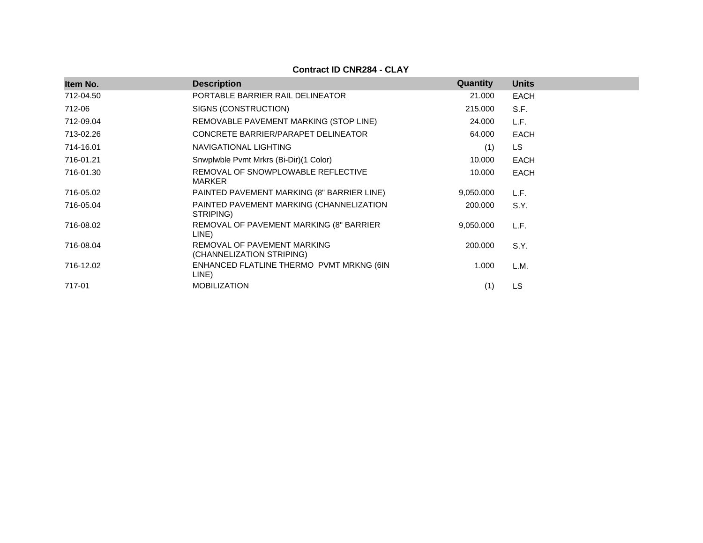| Item No.  | <b>Description</b>                                       | Quantity  | <b>Units</b> |
|-----------|----------------------------------------------------------|-----------|--------------|
| 712-04.50 | PORTABLE BARRIER RAIL DELINEATOR                         | 21.000    | <b>EACH</b>  |
| 712-06    | SIGNS (CONSTRUCTION)                                     | 215.000   | S.F.         |
| 712-09.04 | REMOVABLE PAVEMENT MARKING (STOP LINE)                   | 24.000    | L.F.         |
| 713-02.26 | CONCRETE BARRIER/PARAPET DELINEATOR                      | 64.000    | <b>EACH</b>  |
| 714-16.01 | NAVIGATIONAL LIGHTING                                    | (1)       | LS           |
| 716-01.21 | Snwplwble Pvmt Mrkrs (Bi-Dir)(1 Color)                   | 10.000    | <b>EACH</b>  |
| 716-01.30 | REMOVAL OF SNOWPLOWABLE REFLECTIVE<br>MARKER             | 10.000    | <b>EACH</b>  |
| 716-05.02 | PAINTED PAVEMENT MARKING (8" BARRIER LINE)               | 9,050.000 | L.F.         |
| 716-05.04 | PAINTED PAVEMENT MARKING (CHANNELIZATION<br>STRIPING)    | 200.000   | S.Y.         |
| 716-08.02 | REMOVAL OF PAVEMENT MARKING (8" BARRIER<br>LINE)         | 9,050.000 | L.F.         |
| 716-08.04 | REMOVAL OF PAVEMENT MARKING<br>(CHANNELIZATION STRIPING) | 200.000   | S.Y.         |
| 716-12.02 | ENHANCED FLATLINE THERMO PVMT MRKNG (6IN<br>LINE)        | 1.000     | L.M.         |
| 717-01    | <b>MOBILIZATION</b>                                      | (1)       | LS           |

## **Contract ID CNR284 - CLAY**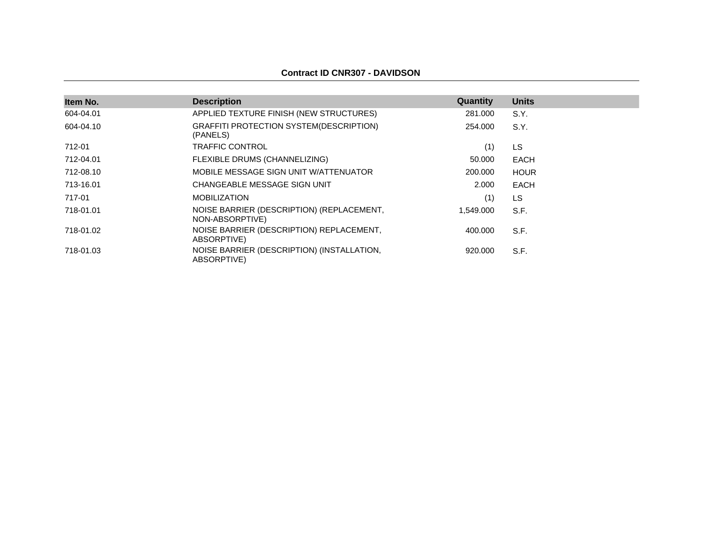#### **Contract ID CNR307 - DAVIDSON**

| Item No.  | <b>Description</b>                                           | Quantity  | <b>Units</b> |
|-----------|--------------------------------------------------------------|-----------|--------------|
| 604-04.01 | APPLIED TEXTURE FINISH (NEW STRUCTURES)                      | 281.000   | S.Y.         |
| 604-04.10 | GRAFFITI PROTECTION SYSTEM(DESCRIPTION)<br>(PANELS)          | 254.000   | S.Y.         |
| 712-01    | <b>TRAFFIC CONTROL</b>                                       | (1)       | LS           |
| 712-04.01 | FLEXIBLE DRUMS (CHANNELIZING)                                | 50,000    | <b>EACH</b>  |
| 712-08.10 | MOBILE MESSAGE SIGN UNIT W/ATTENUATOR                        | 200,000   | <b>HOUR</b>  |
| 713-16.01 | CHANGEABLE MESSAGE SIGN UNIT                                 | 2.000     | <b>EACH</b>  |
| 717-01    | <b>MOBILIZATION</b>                                          | (1)       | LS           |
| 718-01.01 | NOISE BARRIER (DESCRIPTION) (REPLACEMENT,<br>NON-ABSORPTIVE) | 1,549.000 | S.F.         |
| 718-01.02 | NOISE BARRIER (DESCRIPTION) REPLACEMENT,<br>ABSORPTIVE)      | 400.000   | S.F.         |
| 718-01.03 | NOISE BARRIER (DESCRIPTION) (INSTALLATION,<br>ABSORPTIVE)    | 920,000   | S.F.         |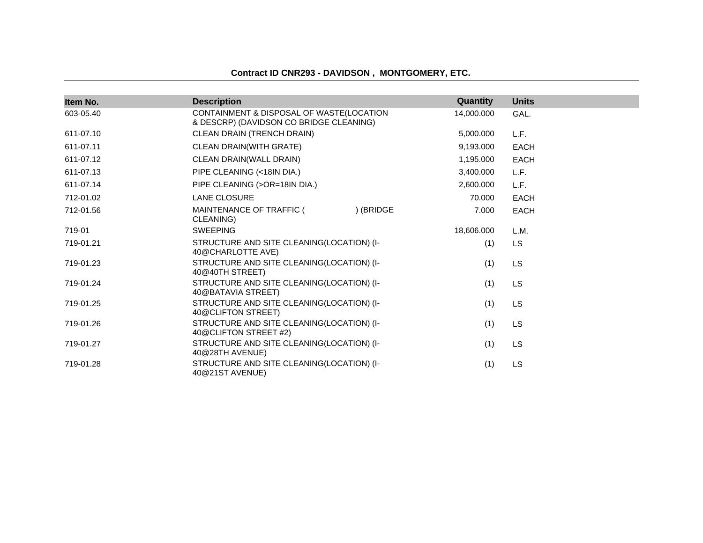### **Contract ID CNR293 - DAVIDSON , MONTGOMERY, ETC.**

| Item No.  | <b>Description</b>                                                                  | Quantity   | <b>Units</b> |
|-----------|-------------------------------------------------------------------------------------|------------|--------------|
| 603-05.40 | CONTAINMENT & DISPOSAL OF WASTE(LOCATION<br>& DESCRP) (DAVIDSON CO BRIDGE CLEANING) | 14,000.000 | GAL.         |
| 611-07.10 | CLEAN DRAIN (TRENCH DRAIN)                                                          | 5,000.000  | L.F.         |
| 611-07.11 | <b>CLEAN DRAIN(WITH GRATE)</b>                                                      | 9,193.000  | <b>EACH</b>  |
| 611-07.12 | CLEAN DRAIN(WALL DRAIN)                                                             | 1,195.000  | <b>EACH</b>  |
| 611-07.13 | PIPE CLEANING (<18IN DIA.)                                                          | 3,400.000  | L.F.         |
| 611-07.14 | PIPE CLEANING (>OR=18IN DIA.)                                                       | 2,600.000  | L.F.         |
| 712-01.02 | <b>LANE CLOSURE</b>                                                                 | 70.000     | <b>EACH</b>  |
| 712-01.56 | MAINTENANCE OF TRAFFIC (<br>) (BRIDGE<br>CLEANING)                                  | 7.000      | EACH         |
| 719-01    | <b>SWEEPING</b>                                                                     | 18,606.000 | L.M.         |
| 719-01.21 | STRUCTURE AND SITE CLEANING(LOCATION) (I-<br>40@CHARLOTTE AVE)                      | (1)        | <b>LS</b>    |
| 719-01.23 | STRUCTURE AND SITE CLEANING(LOCATION) (I-<br>40@40TH STREET)                        | (1)        | <b>LS</b>    |
| 719-01.24 | STRUCTURE AND SITE CLEANING(LOCATION) (I-<br>40@BATAVIA STREET)                     | (1)        | <b>LS</b>    |
| 719-01.25 | STRUCTURE AND SITE CLEANING(LOCATION) (I-<br>40@CLIFTON STREET)                     | (1)        | <b>LS</b>    |
| 719-01.26 | STRUCTURE AND SITE CLEANING(LOCATION) (I-<br>40@CLIFTON STREET #2)                  | (1)        | <b>LS</b>    |
| 719-01.27 | STRUCTURE AND SITE CLEANING(LOCATION) (I-<br>40@28TH AVENUE)                        | (1)        | <b>LS</b>    |
| 719-01.28 | STRUCTURE AND SITE CLEANING(LOCATION) (I-<br>40@21ST AVENUE)                        | (1)        | <b>LS</b>    |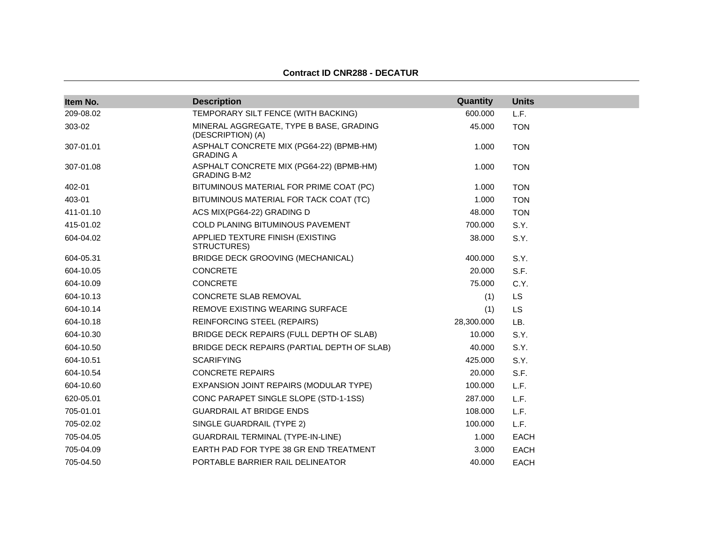| Item No.  | <b>Description</b>                                              | Quantity   | <b>Units</b> |
|-----------|-----------------------------------------------------------------|------------|--------------|
| 209-08.02 | TEMPORARY SILT FENCE (WITH BACKING)                             | 600.000    | L.F.         |
| 303-02    | MINERAL AGGREGATE, TYPE B BASE, GRADING<br>(DESCRIPTION) (A)    | 45.000     | <b>TON</b>   |
| 307-01.01 | ASPHALT CONCRETE MIX (PG64-22) (BPMB-HM)<br><b>GRADING A</b>    | 1.000      | <b>TON</b>   |
| 307-01.08 | ASPHALT CONCRETE MIX (PG64-22) (BPMB-HM)<br><b>GRADING B-M2</b> | 1.000      | <b>TON</b>   |
| 402-01    | BITUMINOUS MATERIAL FOR PRIME COAT (PC)                         | 1.000      | <b>TON</b>   |
| 403-01    | BITUMINOUS MATERIAL FOR TACK COAT (TC)                          | 1.000      | <b>TON</b>   |
| 411-01.10 | ACS MIX(PG64-22) GRADING D                                      | 48.000     | <b>TON</b>   |
| 415-01.02 | COLD PLANING BITUMINOUS PAVEMENT                                | 700.000    | S.Y.         |
| 604-04.02 | APPLIED TEXTURE FINISH (EXISTING<br>STRUCTURES)                 | 38.000     | S.Y.         |
| 604-05.31 | BRIDGE DECK GROOVING (MECHANICAL)                               | 400.000    | S.Y.         |
| 604-10.05 | <b>CONCRETE</b>                                                 | 20,000     | S.F.         |
| 604-10.09 | <b>CONCRETE</b>                                                 | 75.000     | C.Y.         |
| 604-10.13 | CONCRETE SLAB REMOVAL                                           | (1)        | <b>LS</b>    |
| 604-10.14 | REMOVE EXISTING WEARING SURFACE                                 | (1)        | <b>LS</b>    |
| 604-10.18 | REINFORCING STEEL (REPAIRS)                                     | 28,300.000 | LB.          |
| 604-10.30 | BRIDGE DECK REPAIRS (FULL DEPTH OF SLAB)                        | 10.000     | S.Y.         |
| 604-10.50 | BRIDGE DECK REPAIRS (PARTIAL DEPTH OF SLAB)                     | 40.000     | S.Y.         |
| 604-10.51 | <b>SCARIFYING</b>                                               | 425.000    | S.Y.         |
| 604-10.54 | <b>CONCRETE REPAIRS</b>                                         | 20,000     | S.F.         |
| 604-10.60 | EXPANSION JOINT REPAIRS (MODULAR TYPE)                          | 100.000    | L.F.         |
| 620-05.01 | CONC PARAPET SINGLE SLOPE (STD-1-1SS)                           | 287.000    | L.F.         |
| 705-01.01 | <b>GUARDRAIL AT BRIDGE ENDS</b>                                 | 108.000    | L.F.         |
| 705-02.02 | SINGLE GUARDRAIL (TYPE 2)                                       | 100.000    | L.F.         |
| 705-04.05 | <b>GUARDRAIL TERMINAL (TYPE-IN-LINE)</b>                        | 1.000      | <b>EACH</b>  |
| 705-04.09 | EARTH PAD FOR TYPE 38 GR END TREATMENT                          | 3.000      | <b>EACH</b>  |
| 705-04.50 | PORTABLE BARRIER RAIL DELINEATOR                                | 40.000     | <b>EACH</b>  |

#### **Contract ID CNR288 - DECATUR**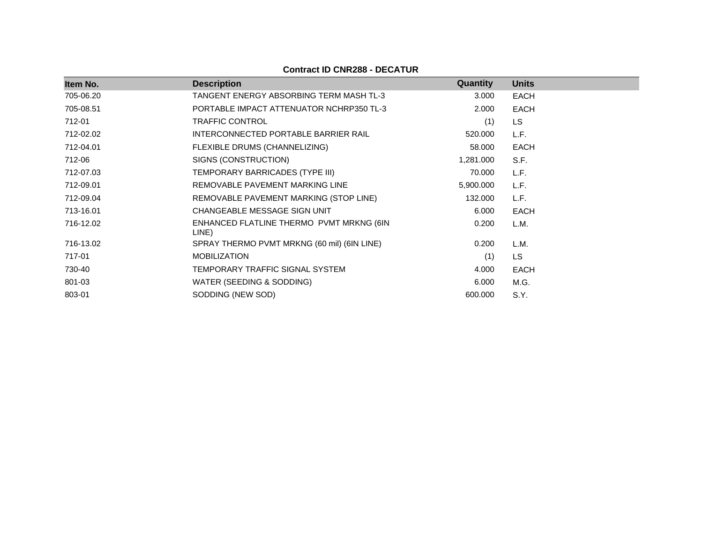| Item No.  | <b>Description</b>                                | Quantity  | <b>Units</b> |
|-----------|---------------------------------------------------|-----------|--------------|
| 705-06.20 | TANGENT ENERGY ABSORBING TERM MASH TL-3           | 3.000     | <b>EACH</b>  |
| 705-08.51 | PORTABLE IMPACT ATTENUATOR NCHRP350 TL-3          | 2.000     | <b>EACH</b>  |
| 712-01    | <b>TRAFFIC CONTROL</b>                            | (1)       | <b>LS</b>    |
| 712-02.02 | INTERCONNECTED PORTABLE BARRIER RAIL              | 520.000   | L.F.         |
| 712-04.01 | FLEXIBLE DRUMS (CHANNELIZING)                     | 58.000    | <b>EACH</b>  |
| 712-06    | SIGNS (CONSTRUCTION)                              | 1,281.000 | S.F.         |
| 712-07.03 | TEMPORARY BARRICADES (TYPE III)                   | 70.000    | L.F.         |
| 712-09.01 | REMOVABLE PAVEMENT MARKING LINE                   | 5,900.000 | L.F.         |
| 712-09.04 | REMOVABLE PAVEMENT MARKING (STOP LINE)            | 132.000   | L.F.         |
| 713-16.01 | CHANGEABLE MESSAGE SIGN UNIT                      | 6.000     | <b>EACH</b>  |
| 716-12.02 | ENHANCED FLATLINE THERMO PVMT MRKNG (6IN<br>LINE) | 0.200     | L.M.         |
| 716-13.02 | SPRAY THERMO PVMT MRKNG (60 mil) (6IN LINE)       | 0.200     | L.M.         |
| 717-01    | <b>MOBILIZATION</b>                               | (1)       | <b>LS</b>    |
| 730-40    | TEMPORARY TRAFFIC SIGNAL SYSTEM                   | 4.000     | <b>EACH</b>  |
| 801-03    | WATER (SEEDING & SODDING)                         | 6.000     | M.G.         |
| 803-01    | SODDING (NEW SOD)                                 | 600.000   | S.Y.         |

**Contract ID CNR288 - DECATUR**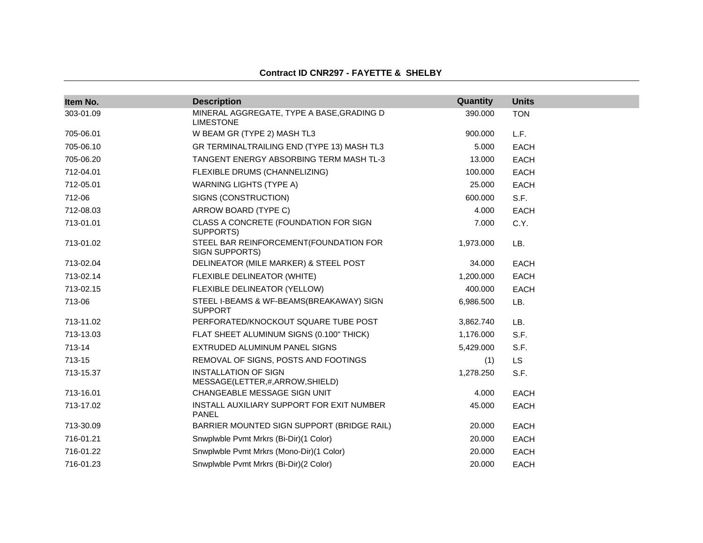#### **Contract ID CNR297 - FAYETTE & SHELBY**

| Item No.  | <b>Description</b>                                            | Quantity  | <b>Units</b> |
|-----------|---------------------------------------------------------------|-----------|--------------|
| 303-01.09 | MINERAL AGGREGATE, TYPE A BASE, GRADING D<br><b>LIMESTONE</b> | 390.000   | <b>TON</b>   |
| 705-06.01 | W BEAM GR (TYPE 2) MASH TL3                                   | 900.000   | L.F.         |
| 705-06.10 | GR TERMINALTRAILING END (TYPE 13) MASH TL3                    | 5.000     | <b>EACH</b>  |
| 705-06.20 | TANGENT ENERGY ABSORBING TERM MASH TL-3                       | 13.000    | <b>EACH</b>  |
| 712-04.01 | FLEXIBLE DRUMS (CHANNELIZING)                                 | 100.000   | <b>EACH</b>  |
| 712-05.01 | <b>WARNING LIGHTS (TYPE A)</b>                                | 25,000    | <b>EACH</b>  |
| 712-06    | SIGNS (CONSTRUCTION)                                          | 600.000   | S.F.         |
| 712-08.03 | ARROW BOARD (TYPE C)                                          | 4.000     | <b>EACH</b>  |
| 713-01.01 | CLASS A CONCRETE (FOUNDATION FOR SIGN<br>SUPPORTS)            | 7.000     | C.Y.         |
| 713-01.02 | STEEL BAR REINFORCEMENT(FOUNDATION FOR<br>SIGN SUPPORTS)      | 1,973.000 | LB.          |
| 713-02.04 | DELINEATOR (MILE MARKER) & STEEL POST                         | 34.000    | <b>EACH</b>  |
| 713-02.14 | FLEXIBLE DELINEATOR (WHITE)                                   | 1,200.000 | <b>EACH</b>  |
| 713-02.15 | FLEXIBLE DELINEATOR (YELLOW)                                  | 400.000   | <b>EACH</b>  |
| 713-06    | STEEL I-BEAMS & WF-BEAMS(BREAKAWAY) SIGN<br><b>SUPPORT</b>    | 6,986.500 | LB.          |
| 713-11.02 | PERFORATED/KNOCKOUT SQUARE TUBE POST                          | 3,862.740 | LB.          |
| 713-13.03 | FLAT SHEET ALUMINUM SIGNS (0.100" THICK)                      | 1,176.000 | S.F.         |
| 713-14    | EXTRUDED ALUMINUM PANEL SIGNS                                 | 5,429.000 | S.F.         |
| 713-15    | REMOVAL OF SIGNS, POSTS AND FOOTINGS                          | (1)       | <b>LS</b>    |
| 713-15.37 | <b>INSTALLATION OF SIGN</b><br>MESSAGE(LETTER,#,ARROW,SHIELD) | 1,278.250 | S.F.         |
| 713-16.01 | CHANGEABLE MESSAGE SIGN UNIT                                  | 4.000     | <b>EACH</b>  |
| 713-17.02 | INSTALL AUXILIARY SUPPORT FOR EXIT NUMBER<br>PANEL            | 45.000    | <b>EACH</b>  |
| 713-30.09 | BARRIER MOUNTED SIGN SUPPORT (BRIDGE RAIL)                    | 20.000    | <b>EACH</b>  |
| 716-01.21 | Snwplwble Pvmt Mrkrs (Bi-Dir)(1 Color)                        | 20.000    | <b>EACH</b>  |
| 716-01.22 | Snwplwble Pvmt Mrkrs (Mono-Dir)(1 Color)                      | 20.000    | <b>EACH</b>  |
| 716-01.23 | Snwplwble Pvmt Mrkrs (Bi-Dir)(2 Color)                        | 20,000    | <b>EACH</b>  |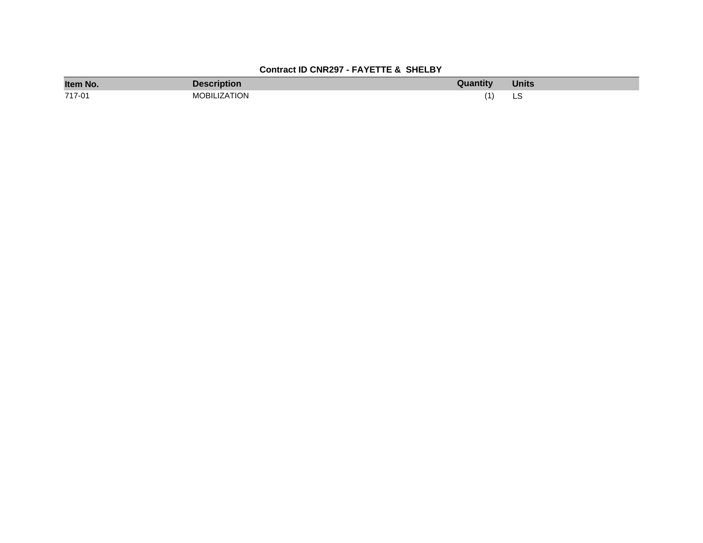# **Contract ID CNR297 - FAYETTE & SHELBY**

| Item No. | <b>Description</b>  | Quantity | <b>Units</b> |
|----------|---------------------|----------|--------------|
| 717-01   | <b>MOBILIZATION</b> |          | نٽ<br>$\sim$ |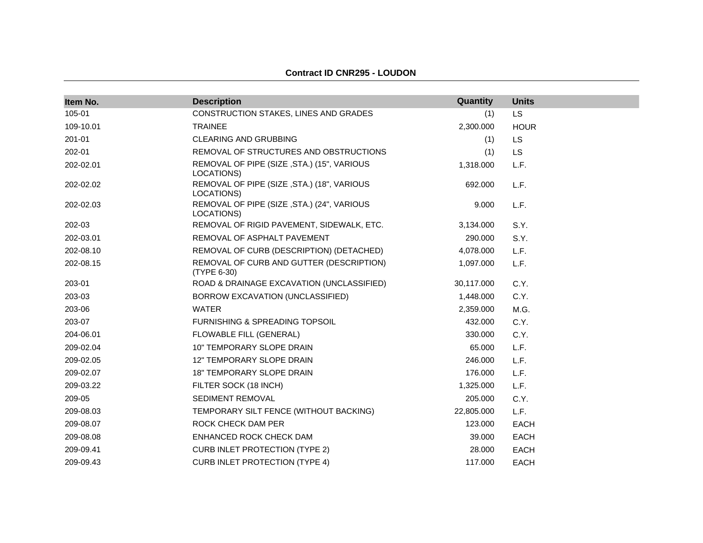| Item No.  | <b>Description</b>                                       | Quantity   | <b>Units</b> |
|-----------|----------------------------------------------------------|------------|--------------|
| 105-01    | CONSTRUCTION STAKES, LINES AND GRADES                    | (1)        | LS           |
| 109-10.01 | <b>TRAINEE</b>                                           | 2,300.000  | <b>HOUR</b>  |
| 201-01    | <b>CLEARING AND GRUBBING</b>                             | (1)        | LS           |
| 202-01    | REMOVAL OF STRUCTURES AND OBSTRUCTIONS                   | (1)        | <b>LS</b>    |
| 202-02.01 | REMOVAL OF PIPE (SIZE, STA.) (15", VARIOUS<br>LOCATIONS) | 1,318.000  | L.F.         |
| 202-02.02 | REMOVAL OF PIPE (SIZE, STA.) (18", VARIOUS<br>LOCATIONS) | 692.000    | L.F.         |
| 202-02.03 | REMOVAL OF PIPE (SIZE, STA.) (24", VARIOUS<br>LOCATIONS) | 9.000      | L.F.         |
| 202-03    | REMOVAL OF RIGID PAVEMENT, SIDEWALK, ETC.                | 3,134.000  | S.Y.         |
| 202-03.01 | REMOVAL OF ASPHALT PAVEMENT                              | 290.000    | S.Y.         |
| 202-08.10 | REMOVAL OF CURB (DESCRIPTION) (DETACHED)                 | 4,078.000  | L.F.         |
| 202-08.15 | REMOVAL OF CURB AND GUTTER (DESCRIPTION)<br>(TYPE 6-30)  | 1,097.000  | L.F.         |
| 203-01    | ROAD & DRAINAGE EXCAVATION (UNCLASSIFIED)                | 30,117.000 | C.Y.         |
| 203-03    | BORROW EXCAVATION (UNCLASSIFIED)                         | 1,448.000  | C.Y.         |
| 203-06    | <b>WATER</b>                                             | 2,359.000  | M.G.         |
| 203-07    | FURNISHING & SPREADING TOPSOIL                           | 432.000    | C.Y.         |
| 204-06.01 | FLOWABLE FILL (GENERAL)                                  | 330.000    | C.Y.         |
| 209-02.04 | 10" TEMPORARY SLOPE DRAIN                                | 65.000     | L.F.         |
| 209-02.05 | 12" TEMPORARY SLOPE DRAIN                                | 246.000    | L.F.         |
| 209-02.07 | <b>18" TEMPORARY SLOPE DRAIN</b>                         | 176.000    | L.F.         |
| 209-03.22 | FILTER SOCK (18 INCH)                                    | 1,325.000  | L.F.         |
| 209-05    | <b>SEDIMENT REMOVAL</b>                                  | 205.000    | C.Y.         |
| 209-08.03 | TEMPORARY SILT FENCE (WITHOUT BACKING)                   | 22,805.000 | L.F.         |
| 209-08.07 | ROCK CHECK DAM PER                                       | 123.000    | <b>EACH</b>  |
| 209-08.08 | ENHANCED ROCK CHECK DAM                                  | 39.000     | <b>EACH</b>  |
| 209-09.41 | <b>CURB INLET PROTECTION (TYPE 2)</b>                    | 28.000     | <b>EACH</b>  |
| 209-09.43 | <b>CURB INLET PROTECTION (TYPE 4)</b>                    | 117.000    | <b>EACH</b>  |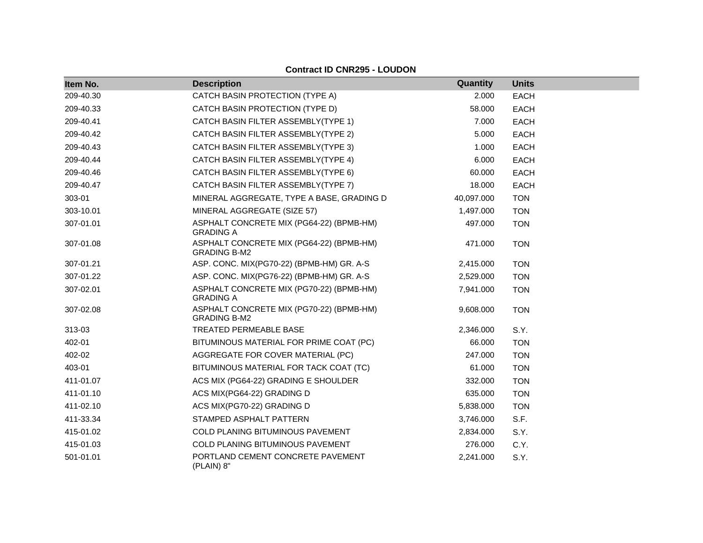| Item No.  | <b>Description</b>                                              | Quantity   | <b>Units</b> |
|-----------|-----------------------------------------------------------------|------------|--------------|
| 209-40.30 | CATCH BASIN PROTECTION (TYPE A)                                 | 2.000      | <b>EACH</b>  |
| 209-40.33 | CATCH BASIN PROTECTION (TYPE D)                                 | 58.000     | <b>EACH</b>  |
| 209-40.41 | CATCH BASIN FILTER ASSEMBLY(TYPE 1)                             | 7.000      | <b>EACH</b>  |
| 209-40.42 | CATCH BASIN FILTER ASSEMBLY(TYPE 2)                             | 5.000      | <b>EACH</b>  |
| 209-40.43 | CATCH BASIN FILTER ASSEMBLY(TYPE 3)                             | 1.000      | EACH         |
| 209-40.44 | CATCH BASIN FILTER ASSEMBLY(TYPE 4)                             | 6.000      | <b>EACH</b>  |
| 209-40.46 | CATCH BASIN FILTER ASSEMBLY(TYPE 6)                             | 60.000     | <b>EACH</b>  |
| 209-40.47 | CATCH BASIN FILTER ASSEMBLY(TYPE 7)                             | 18.000     | <b>EACH</b>  |
| 303-01    | MINERAL AGGREGATE, TYPE A BASE, GRADING D                       | 40,097.000 | <b>TON</b>   |
| 303-10.01 | MINERAL AGGREGATE (SIZE 57)                                     | 1,497.000  | <b>TON</b>   |
| 307-01.01 | ASPHALT CONCRETE MIX (PG64-22) (BPMB-HM)<br><b>GRADING A</b>    | 497.000    | <b>TON</b>   |
| 307-01.08 | ASPHALT CONCRETE MIX (PG64-22) (BPMB-HM)<br><b>GRADING B-M2</b> | 471.000    | <b>TON</b>   |
| 307-01.21 | ASP. CONC. MIX(PG70-22) (BPMB-HM) GR. A-S                       | 2,415.000  | <b>TON</b>   |
| 307-01.22 | ASP. CONC. MIX(PG76-22) (BPMB-HM) GR. A-S                       | 2,529.000  | <b>TON</b>   |
| 307-02.01 | ASPHALT CONCRETE MIX (PG70-22) (BPMB-HM)<br><b>GRADING A</b>    | 7,941.000  | <b>TON</b>   |
| 307-02.08 | ASPHALT CONCRETE MIX (PG70-22) (BPMB-HM)<br><b>GRADING B-M2</b> | 9,608.000  | <b>TON</b>   |
| 313-03    | <b>TREATED PERMEABLE BASE</b>                                   | 2,346.000  | S.Y.         |
| 402-01    | BITUMINOUS MATERIAL FOR PRIME COAT (PC)                         | 66.000     | <b>TON</b>   |
| 402-02    | AGGREGATE FOR COVER MATERIAL (PC)                               | 247.000    | <b>TON</b>   |
| 403-01    | BITUMINOUS MATERIAL FOR TACK COAT (TC)                          | 61.000     | <b>TON</b>   |
| 411-01.07 | ACS MIX (PG64-22) GRADING E SHOULDER                            | 332.000    | <b>TON</b>   |
| 411-01.10 | ACS MIX(PG64-22) GRADING D                                      | 635.000    | <b>TON</b>   |
| 411-02.10 | ACS MIX(PG70-22) GRADING D                                      | 5,838.000  | <b>TON</b>   |
| 411-33.34 | STAMPED ASPHALT PATTERN                                         | 3,746.000  | S.F.         |
| 415-01.02 | COLD PLANING BITUMINOUS PAVEMENT                                | 2,834.000  | S.Y.         |
| 415-01.03 | COLD PLANING BITUMINOUS PAVEMENT                                | 276.000    | C.Y.         |
| 501-01.01 | PORTLAND CEMENT CONCRETE PAVEMENT<br>(PLAIN) 8"                 | 2,241.000  | S.Y.         |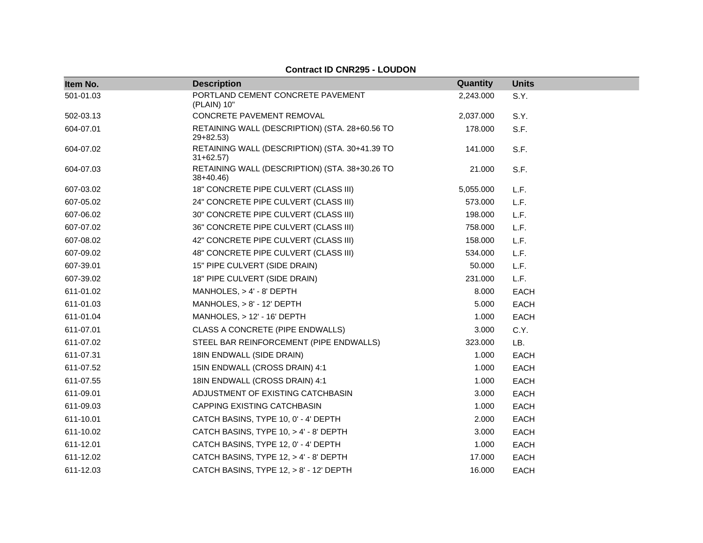| Item No.  | <b>Description</b>                                           | Quantity  | <b>Units</b> |
|-----------|--------------------------------------------------------------|-----------|--------------|
| 501-01.03 | PORTLAND CEMENT CONCRETE PAVEMENT<br>(PLAIN) 10"             | 2,243.000 | S.Y.         |
| 502-03.13 | CONCRETE PAVEMENT REMOVAL                                    | 2,037.000 | S.Y.         |
| 604-07.01 | RETAINING WALL (DESCRIPTION) (STA. 28+60.56 TO<br>$29+82.53$ | 178.000   | S.F.         |
| 604-07.02 | RETAINING WALL (DESCRIPTION) (STA. 30+41.39 TO<br>$31+62.57$ | 141.000   | S.F.         |
| 604-07.03 | RETAINING WALL (DESCRIPTION) (STA. 38+30.26 TO<br>$38+40.46$ | 21.000    | S.F.         |
| 607-03.02 | 18" CONCRETE PIPE CULVERT (CLASS III)                        | 5,055.000 | L.F.         |
| 607-05.02 | 24" CONCRETE PIPE CULVERT (CLASS III)                        | 573.000   | L.F.         |
| 607-06.02 | 30" CONCRETE PIPE CULVERT (CLASS III)                        | 198.000   | L.F.         |
| 607-07.02 | 36" CONCRETE PIPE CULVERT (CLASS III)                        | 758.000   | L.F.         |
| 607-08.02 | 42" CONCRETE PIPE CULVERT (CLASS III)                        | 158.000   | L.F.         |
| 607-09.02 | 48" CONCRETE PIPE CULVERT (CLASS III)                        | 534.000   | L.F.         |
| 607-39.01 | 15" PIPE CULVERT (SIDE DRAIN)                                | 50.000    | L.F.         |
| 607-39.02 | 18" PIPE CULVERT (SIDE DRAIN)                                | 231.000   | L.F.         |
| 611-01.02 | MANHOLES, > 4' - 8' DEPTH                                    | 8.000     | <b>EACH</b>  |
| 611-01.03 | MANHOLES, $> 8'$ - 12' DEPTH                                 | 5.000     | <b>EACH</b>  |
| 611-01.04 | MANHOLES, $> 12' - 16'$ DEPTH                                | 1.000     | <b>EACH</b>  |
| 611-07.01 | CLASS A CONCRETE (PIPE ENDWALLS)                             | 3.000     | C.Y.         |
| 611-07.02 | STEEL BAR REINFORCEMENT (PIPE ENDWALLS)                      | 323.000   | LB.          |
| 611-07.31 | 18IN ENDWALL (SIDE DRAIN)                                    | 1.000     | <b>EACH</b>  |
| 611-07.52 | 15IN ENDWALL (CROSS DRAIN) 4:1                               | 1.000     | <b>EACH</b>  |
| 611-07.55 | 18IN ENDWALL (CROSS DRAIN) 4:1                               | 1.000     | <b>EACH</b>  |
| 611-09.01 | ADJUSTMENT OF EXISTING CATCHBASIN                            | 3.000     | EACH         |
| 611-09.03 | CAPPING EXISTING CATCHBASIN                                  | 1.000     | <b>EACH</b>  |
| 611-10.01 | CATCH BASINS, TYPE 10, 0' - 4' DEPTH                         | 2.000     | EACH         |
| 611-10.02 | CATCH BASINS, TYPE 10, > 4' - 8' DEPTH                       | 3.000     | <b>EACH</b>  |
| 611-12.01 | CATCH BASINS, TYPE 12, 0' - 4' DEPTH                         | 1.000     | <b>EACH</b>  |
| 611-12.02 | CATCH BASINS, TYPE 12, > 4' - 8' DEPTH                       | 17.000    | <b>EACH</b>  |
| 611-12.03 | CATCH BASINS, TYPE 12, > 8' - 12' DEPTH                      | 16.000    | <b>EACH</b>  |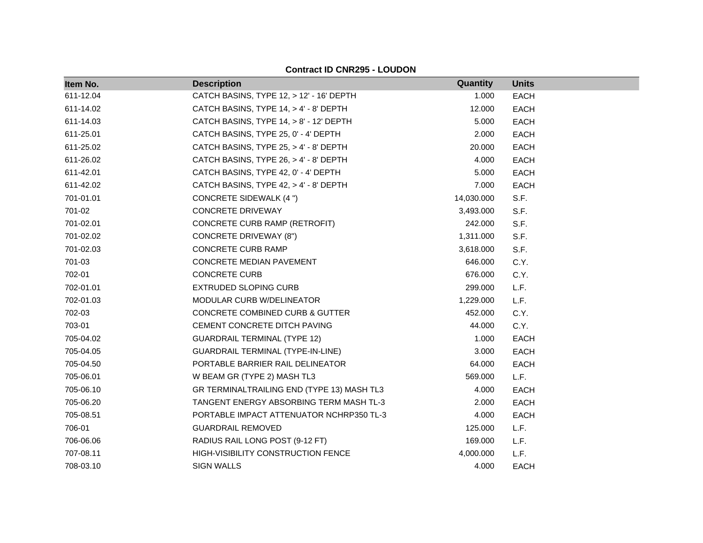| Item No.  | <b>Description</b>                         | Quantity   | <b>Units</b> |
|-----------|--------------------------------------------|------------|--------------|
| 611-12.04 | CATCH BASINS, TYPE 12, > 12' - 16' DEPTH   | 1.000      | <b>EACH</b>  |
| 611-14.02 | CATCH BASINS, TYPE 14, > 4' - 8' DEPTH     | 12.000     | <b>EACH</b>  |
| 611-14.03 | CATCH BASINS, TYPE 14, > 8' - 12' DEPTH    | 5.000      | <b>EACH</b>  |
| 611-25.01 | CATCH BASINS, TYPE 25, 0' - 4' DEPTH       | 2.000      | <b>EACH</b>  |
| 611-25.02 | CATCH BASINS, TYPE 25, > 4' - 8' DEPTH     | 20.000     | <b>EACH</b>  |
| 611-26.02 | CATCH BASINS, TYPE 26, > 4' - 8' DEPTH     | 4.000      | <b>EACH</b>  |
| 611-42.01 | CATCH BASINS, TYPE 42, 0' - 4' DEPTH       | 5.000      | <b>EACH</b>  |
| 611-42.02 | CATCH BASINS, TYPE 42, > 4' - 8' DEPTH     | 7.000      | <b>EACH</b>  |
| 701-01.01 | CONCRETE SIDEWALK (4 ")                    | 14,030.000 | S.F.         |
| 701-02    | <b>CONCRETE DRIVEWAY</b>                   | 3,493.000  | S.F.         |
| 701-02.01 | CONCRETE CURB RAMP (RETROFIT)              | 242.000    | S.F.         |
| 701-02.02 | <b>CONCRETE DRIVEWAY (8")</b>              | 1,311.000  | S.F.         |
| 701-02.03 | CONCRETE CURB RAMP                         | 3,618.000  | S.F.         |
| 701-03    | CONCRETE MEDIAN PAVEMENT                   | 646.000    | C.Y.         |
| 702-01    | <b>CONCRETE CURB</b>                       | 676.000    | C.Y.         |
| 702-01.01 | <b>EXTRUDED SLOPING CURB</b>               | 299.000    | L.F.         |
| 702-01.03 | MODULAR CURB W/DELINEATOR                  | 1,229.000  | L.F.         |
| 702-03    | CONCRETE COMBINED CURB & GUTTER            | 452.000    | C.Y.         |
| 703-01    | CEMENT CONCRETE DITCH PAVING               | 44.000     | C.Y.         |
| 705-04.02 | <b>GUARDRAIL TERMINAL (TYPE 12)</b>        | 1.000      | <b>EACH</b>  |
| 705-04.05 | GUARDRAIL TERMINAL (TYPE-IN-LINE)          | 3.000      | <b>EACH</b>  |
| 705-04.50 | PORTABLE BARRIER RAIL DELINEATOR           | 64.000     | <b>EACH</b>  |
| 705-06.01 | W BEAM GR (TYPE 2) MASH TL3                | 569.000    | L.F.         |
| 705-06.10 | GR TERMINALTRAILING END (TYPE 13) MASH TL3 | 4.000      | <b>EACH</b>  |
| 705-06.20 | TANGENT ENERGY ABSORBING TERM MASH TL-3    | 2.000      | <b>EACH</b>  |
| 705-08.51 | PORTABLE IMPACT ATTENUATOR NCHRP350 TL-3   | 4.000      | <b>EACH</b>  |
| 706-01    | <b>GUARDRAIL REMOVED</b>                   | 125.000    | L.F.         |
| 706-06.06 | RADIUS RAIL LONG POST (9-12 FT)            | 169.000    | L.F.         |
| 707-08.11 | HIGH-VISIBILITY CONSTRUCTION FENCE         | 4,000.000  | L.F.         |
| 708-03.10 | <b>SIGN WALLS</b>                          | 4.000      | <b>EACH</b>  |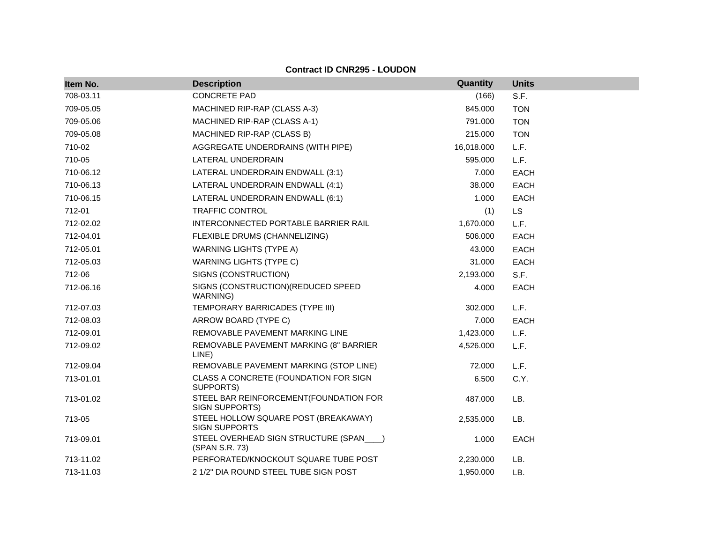| Item No.  | <b>Description</b>                                           | Quantity   | <b>Units</b> |
|-----------|--------------------------------------------------------------|------------|--------------|
| 708-03.11 | <b>CONCRETE PAD</b>                                          | (166)      | S.F.         |
| 709-05.05 | MACHINED RIP-RAP (CLASS A-3)                                 | 845.000    | <b>TON</b>   |
| 709-05.06 | MACHINED RIP-RAP (CLASS A-1)                                 | 791.000    | <b>TON</b>   |
| 709-05.08 | MACHINED RIP-RAP (CLASS B)                                   | 215.000    | <b>TON</b>   |
| 710-02    | AGGREGATE UNDERDRAINS (WITH PIPE)                            | 16,018.000 | L.F.         |
| 710-05    | LATERAL UNDERDRAIN                                           | 595.000    | L.F.         |
| 710-06.12 | LATERAL UNDERDRAIN ENDWALL (3:1)                             | 7.000      | <b>EACH</b>  |
| 710-06.13 | LATERAL UNDERDRAIN ENDWALL (4:1)                             | 38.000     | <b>EACH</b>  |
| 710-06.15 | LATERAL UNDERDRAIN ENDWALL (6:1)                             | 1.000      | <b>EACH</b>  |
| 712-01    | <b>TRAFFIC CONTROL</b>                                       | (1)        | <b>LS</b>    |
| 712-02.02 | INTERCONNECTED PORTABLE BARRIER RAIL                         | 1,670.000  | L.F.         |
| 712-04.01 | FLEXIBLE DRUMS (CHANNELIZING)                                | 506.000    | <b>EACH</b>  |
| 712-05.01 | <b>WARNING LIGHTS (TYPE A)</b>                               | 43.000     | <b>EACH</b>  |
| 712-05.03 | <b>WARNING LIGHTS (TYPE C)</b>                               | 31.000     | <b>EACH</b>  |
| 712-06    | SIGNS (CONSTRUCTION)                                         | 2,193.000  | S.F.         |
| 712-06.16 | SIGNS (CONSTRUCTION) (REDUCED SPEED<br>WARNING)              | 4.000      | <b>EACH</b>  |
| 712-07.03 | TEMPORARY BARRICADES (TYPE III)                              | 302.000    | L.F.         |
| 712-08.03 | ARROW BOARD (TYPE C)                                         | 7.000      | <b>EACH</b>  |
| 712-09.01 | REMOVABLE PAVEMENT MARKING LINE                              | 1,423.000  | L.F.         |
| 712-09.02 | REMOVABLE PAVEMENT MARKING (8" BARRIER<br>LINE)              | 4,526.000  | L.F.         |
| 712-09.04 | REMOVABLE PAVEMENT MARKING (STOP LINE)                       | 72.000     | L.F.         |
| 713-01.01 | CLASS A CONCRETE (FOUNDATION FOR SIGN<br>SUPPORTS)           | 6.500      | C.Y.         |
| 713-01.02 | STEEL BAR REINFORCEMENT(FOUNDATION FOR<br>SIGN SUPPORTS)     | 487.000    | LB.          |
| 713-05    | STEEL HOLLOW SQUARE POST (BREAKAWAY)<br><b>SIGN SUPPORTS</b> | 2,535.000  | LB.          |
| 713-09.01 | STEEL OVERHEAD SIGN STRUCTURE (SPAN___)<br>(SPAN S.R. 73)    | 1.000      | <b>EACH</b>  |
| 713-11.02 | PERFORATED/KNOCKOUT SQUARE TUBE POST                         | 2,230.000  | LB.          |
| 713-11.03 | 2 1/2" DIA ROUND STEEL TUBE SIGN POST                        | 1.950.000  | LB.          |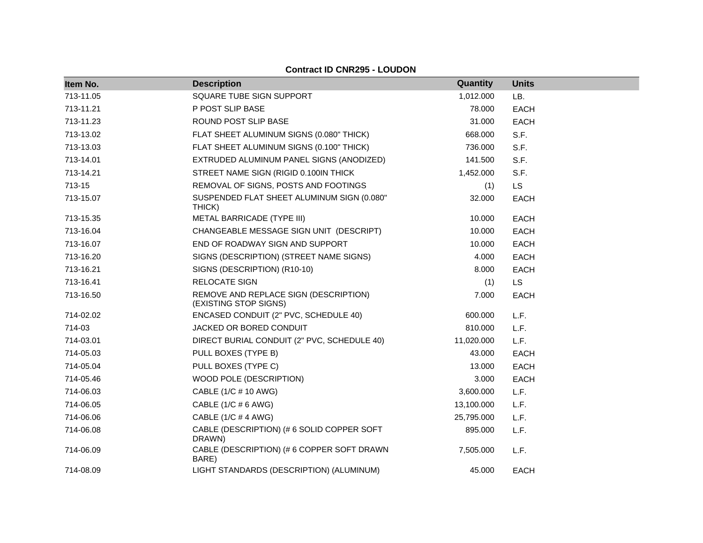| Item No.  | <b>Description</b>                                             | Quantity   | <b>Units</b> |
|-----------|----------------------------------------------------------------|------------|--------------|
| 713-11.05 | SQUARE TUBE SIGN SUPPORT                                       | 1,012.000  | LB.          |
| 713-11.21 | P POST SLIP BASE                                               | 78.000     | <b>EACH</b>  |
| 713-11.23 | ROUND POST SLIP BASE                                           | 31.000     | <b>EACH</b>  |
| 713-13.02 | FLAT SHEET ALUMINUM SIGNS (0.080" THICK)                       | 668.000    | S.F.         |
| 713-13.03 | FLAT SHEET ALUMINUM SIGNS (0.100" THICK)                       | 736.000    | S.F.         |
| 713-14.01 | EXTRUDED ALUMINUM PANEL SIGNS (ANODIZED)                       | 141.500    | S.F.         |
| 713-14.21 | STREET NAME SIGN (RIGID 0.100IN THICK                          | 1,452.000  | S.F.         |
| 713-15    | REMOVAL OF SIGNS, POSTS AND FOOTINGS                           | (1)        | <b>LS</b>    |
| 713-15.07 | SUSPENDED FLAT SHEET ALUMINUM SIGN (0.080"<br>THICK)           | 32.000     | <b>EACH</b>  |
| 713-15.35 | METAL BARRICADE (TYPE III)                                     | 10.000     | <b>EACH</b>  |
| 713-16.04 | CHANGEABLE MESSAGE SIGN UNIT (DESCRIPT)                        | 10.000     | <b>EACH</b>  |
| 713-16.07 | END OF ROADWAY SIGN AND SUPPORT                                | 10.000     | EACH         |
| 713-16.20 | SIGNS (DESCRIPTION) (STREET NAME SIGNS)                        | 4.000      | EACH         |
| 713-16.21 | SIGNS (DESCRIPTION) (R10-10)                                   | 8.000      | <b>EACH</b>  |
| 713-16.41 | <b>RELOCATE SIGN</b>                                           | (1)        | <b>LS</b>    |
| 713-16.50 | REMOVE AND REPLACE SIGN (DESCRIPTION)<br>(EXISTING STOP SIGNS) | 7.000      | <b>EACH</b>  |
| 714-02.02 | ENCASED CONDUIT (2" PVC, SCHEDULE 40)                          | 600.000    | L.F.         |
| 714-03    | JACKED OR BORED CONDUIT                                        | 810.000    | L.F.         |
| 714-03.01 | DIRECT BURIAL CONDUIT (2" PVC, SCHEDULE 40)                    | 11,020.000 | L.F.         |
| 714-05.03 | PULL BOXES (TYPE B)                                            | 43.000     | EACH         |
| 714-05.04 | PULL BOXES (TYPE C)                                            | 13.000     | EACH         |
| 714-05.46 | WOOD POLE (DESCRIPTION)                                        | 3.000      | <b>EACH</b>  |
| 714-06.03 | CABLE (1/C # 10 AWG)                                           | 3,600.000  | L.F.         |
| 714-06.05 | CABLE $(1/C \# 6 \text{ AWG})$                                 | 13,100.000 | L.F.         |
| 714-06.06 | CABLE (1/C # 4 AWG)                                            | 25,795.000 | L.F.         |
| 714-06.08 | CABLE (DESCRIPTION) (# 6 SOLID COPPER SOFT<br>DRAWN)           | 895.000    | L.F.         |
| 714-06.09 | CABLE (DESCRIPTION) (# 6 COPPER SOFT DRAWN<br>BARE)            | 7,505.000  | L.F.         |
| 714-08.09 | LIGHT STANDARDS (DESCRIPTION) (ALUMINUM)                       | 45.000     | <b>EACH</b>  |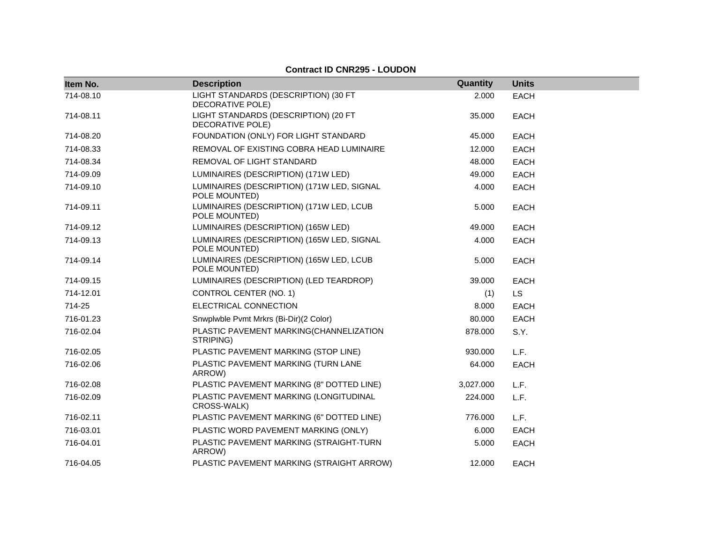| Item No.  | <b>Description</b>                                          | Quantity  | <b>Units</b> |
|-----------|-------------------------------------------------------------|-----------|--------------|
| 714-08.10 | LIGHT STANDARDS (DESCRIPTION) (30 FT<br>DECORATIVE POLE)    | 2.000     | <b>EACH</b>  |
| 714-08.11 | LIGHT STANDARDS (DESCRIPTION) (20 FT<br>DECORATIVE POLE)    | 35.000    | <b>EACH</b>  |
| 714-08.20 | FOUNDATION (ONLY) FOR LIGHT STANDARD                        | 45.000    | <b>EACH</b>  |
| 714-08.33 | REMOVAL OF EXISTING COBRA HEAD LUMINAIRE                    | 12.000    | <b>EACH</b>  |
| 714-08.34 | REMOVAL OF LIGHT STANDARD                                   | 48.000    | <b>EACH</b>  |
| 714-09.09 | LUMINAIRES (DESCRIPTION) (171W LED)                         | 49.000    | <b>EACH</b>  |
| 714-09.10 | LUMINAIRES (DESCRIPTION) (171W LED, SIGNAL<br>POLE MOUNTED) | 4.000     | EACH         |
| 714-09.11 | LUMINAIRES (DESCRIPTION) (171W LED, LCUB<br>POLE MOUNTED)   | 5.000     | <b>EACH</b>  |
| 714-09.12 | LUMINAIRES (DESCRIPTION) (165W LED)                         | 49.000    | <b>EACH</b>  |
| 714-09.13 | LUMINAIRES (DESCRIPTION) (165W LED, SIGNAL<br>POLE MOUNTED) | 4.000     | <b>EACH</b>  |
| 714-09.14 | LUMINAIRES (DESCRIPTION) (165W LED, LCUB<br>POLE MOUNTED)   | 5.000     | <b>EACH</b>  |
| 714-09.15 | LUMINAIRES (DESCRIPTION) (LED TEARDROP)                     | 39.000    | <b>EACH</b>  |
| 714-12.01 | CONTROL CENTER (NO. 1)                                      | (1)       | LS           |
| 714-25    | ELECTRICAL CONNECTION                                       | 8.000     | <b>EACH</b>  |
| 716-01.23 | Snwplwble Pvmt Mrkrs (Bi-Dir)(2 Color)                      | 80.000    | <b>EACH</b>  |
| 716-02.04 | PLASTIC PAVEMENT MARKING(CHANNELIZATION<br>STRIPING)        | 878.000   | S.Y.         |
| 716-02.05 | PLASTIC PAVEMENT MARKING (STOP LINE)                        | 930.000   | L.F.         |
| 716-02.06 | PLASTIC PAVEMENT MARKING (TURN LANE<br>ARROW)               | 64.000    | EACH         |
| 716-02.08 | PLASTIC PAVEMENT MARKING (8" DOTTED LINE)                   | 3,027.000 | L.F.         |
| 716-02.09 | PLASTIC PAVEMENT MARKING (LONGITUDINAL<br>CROSS-WALK)       | 224.000   | L.F.         |
| 716-02.11 | PLASTIC PAVEMENT MARKING (6" DOTTED LINE)                   | 776.000   | L.F.         |
| 716-03.01 | PLASTIC WORD PAVEMENT MARKING (ONLY)                        | 6.000     | EACH         |
| 716-04.01 | PLASTIC PAVEMENT MARKING (STRAIGHT-TURN<br>ARROW)           | 5.000     | <b>EACH</b>  |
| 716-04.05 | PLASTIC PAVEMENT MARKING (STRAIGHT ARROW)                   | 12.000    | <b>EACH</b>  |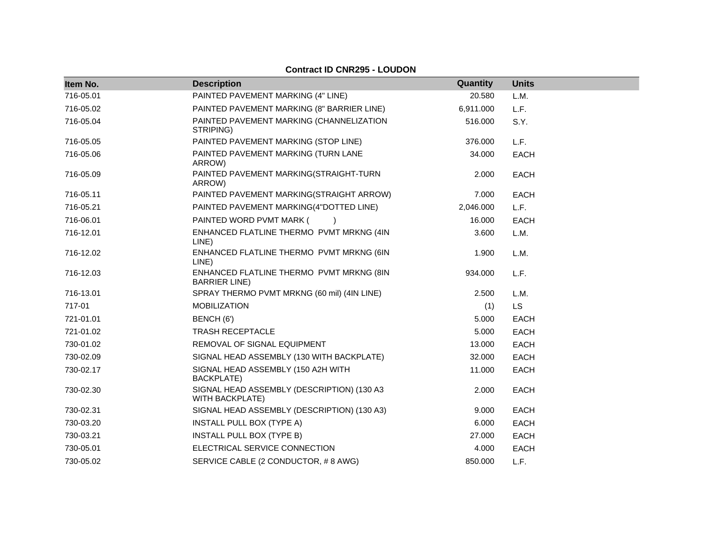| Item No.  | <b>Description</b>                                                   | Quantity  | <b>Units</b> |
|-----------|----------------------------------------------------------------------|-----------|--------------|
| 716-05.01 | PAINTED PAVEMENT MARKING (4" LINE)                                   | 20.580    | L.M.         |
| 716-05.02 | PAINTED PAVEMENT MARKING (8" BARRIER LINE)                           | 6,911.000 | L.F.         |
| 716-05.04 | PAINTED PAVEMENT MARKING (CHANNELIZATION<br>STRIPING)                | 516.000   | S.Y.         |
| 716-05.05 | PAINTED PAVEMENT MARKING (STOP LINE)                                 | 376.000   | L.F.         |
| 716-05.06 | PAINTED PAVEMENT MARKING (TURN LANE<br>ARROW)                        | 34.000    | <b>EACH</b>  |
| 716-05.09 | PAINTED PAVEMENT MARKING(STRAIGHT-TURN<br>ARROW)                     | 2.000     | <b>EACH</b>  |
| 716-05.11 | PAINTED PAVEMENT MARKING(STRAIGHT ARROW)                             | 7.000     | <b>EACH</b>  |
| 716-05.21 | PAINTED PAVEMENT MARKING(4"DOTTED LINE)                              | 2,046.000 | L.F.         |
| 716-06.01 | PAINTED WORD PVMT MARK (                                             | 16.000    | EACH         |
| 716-12.01 | ENHANCED FLATLINE THERMO PVMT MRKNG (4IN<br>LINE)                    | 3.600     | L.M.         |
| 716-12.02 | ENHANCED FLATLINE THERMO PVMT MRKNG (6IN<br>LINE)                    | 1.900     | L.M.         |
| 716-12.03 | ENHANCED FLATLINE THERMO PVMT MRKNG (8IN<br><b>BARRIER LINE)</b>     | 934.000   | L.F.         |
| 716-13.01 | SPRAY THERMO PVMT MRKNG (60 mil) (4IN LINE)                          | 2.500     | L.M.         |
| 717-01    | <b>MOBILIZATION</b>                                                  | (1)       | <b>LS</b>    |
| 721-01.01 | BENCH (6')                                                           | 5.000     | <b>EACH</b>  |
| 721-01.02 | <b>TRASH RECEPTACLE</b>                                              | 5.000     | EACH         |
| 730-01.02 | REMOVAL OF SIGNAL EQUIPMENT                                          | 13.000    | <b>EACH</b>  |
| 730-02.09 | SIGNAL HEAD ASSEMBLY (130 WITH BACKPLATE)                            | 32.000    | <b>EACH</b>  |
| 730-02.17 | SIGNAL HEAD ASSEMBLY (150 A2H WITH<br><b>BACKPLATE)</b>              | 11.000    | <b>EACH</b>  |
| 730-02.30 | SIGNAL HEAD ASSEMBLY (DESCRIPTION) (130 A3<br><b>WITH BACKPLATE)</b> | 2.000     | <b>EACH</b>  |
| 730-02.31 | SIGNAL HEAD ASSEMBLY (DESCRIPTION) (130 A3)                          | 9.000     | EACH         |
| 730-03.20 | <b>INSTALL PULL BOX (TYPE A)</b>                                     | 6.000     | <b>EACH</b>  |
| 730-03.21 | INSTALL PULL BOX (TYPE B)                                            | 27.000    | <b>EACH</b>  |
| 730-05.01 | ELECTRICAL SERVICE CONNECTION                                        | 4.000     | <b>EACH</b>  |
| 730-05.02 | SERVICE CABLE (2 CONDUCTOR, #8 AWG)                                  | 850.000   | L.F.         |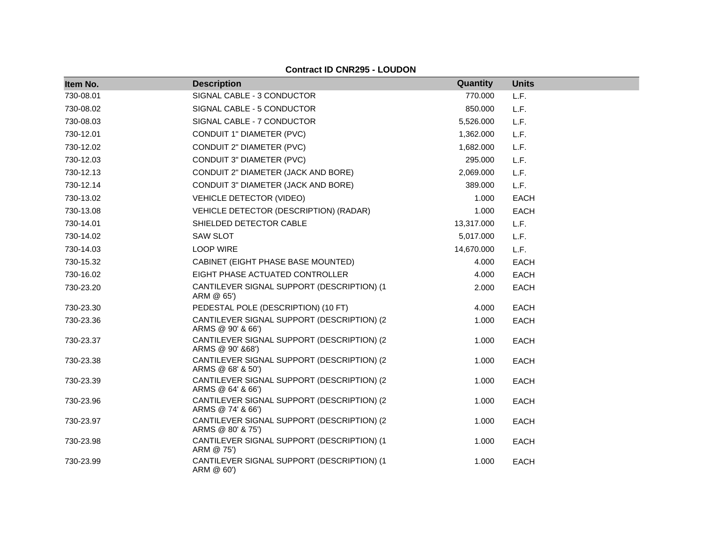| Item No.  | <b>Description</b>                                               | <b>Quantity</b> | <b>Units</b> |
|-----------|------------------------------------------------------------------|-----------------|--------------|
| 730-08.01 | SIGNAL CABLE - 3 CONDUCTOR                                       | 770.000         | L.F.         |
| 730-08.02 | SIGNAL CABLE - 5 CONDUCTOR                                       | 850.000         | L.F.         |
| 730-08.03 | SIGNAL CABLE - 7 CONDUCTOR                                       | 5,526.000       | L.F.         |
| 730-12.01 | CONDUIT 1" DIAMETER (PVC)                                        | 1,362.000       | L.F.         |
| 730-12.02 | CONDUIT 2" DIAMETER (PVC)                                        | 1,682.000       | L.F.         |
| 730-12.03 | CONDUIT 3" DIAMETER (PVC)                                        | 295.000         | L.F.         |
| 730-12.13 | CONDUIT 2" DIAMETER (JACK AND BORE)                              | 2,069.000       | L.F.         |
| 730-12.14 | CONDUIT 3" DIAMETER (JACK AND BORE)                              | 389.000         | L.F.         |
| 730-13.02 | <b>VEHICLE DETECTOR (VIDEO)</b>                                  | 1.000           | <b>EACH</b>  |
| 730-13.08 | VEHICLE DETECTOR (DESCRIPTION) (RADAR)                           | 1.000           | <b>EACH</b>  |
| 730-14.01 | SHIELDED DETECTOR CABLE                                          | 13,317.000      | L.F.         |
| 730-14.02 | <b>SAW SLOT</b>                                                  | 5,017.000       | L.F.         |
| 730-14.03 | <b>LOOP WIRE</b>                                                 | 14,670.000      | L.F.         |
| 730-15.32 | CABINET (EIGHT PHASE BASE MOUNTED)                               | 4.000           | <b>EACH</b>  |
| 730-16.02 | EIGHT PHASE ACTUATED CONTROLLER                                  | 4.000           | <b>EACH</b>  |
| 730-23.20 | CANTILEVER SIGNAL SUPPORT (DESCRIPTION) (1<br>ARM @ 65')         | 2.000           | <b>EACH</b>  |
| 730-23.30 | PEDESTAL POLE (DESCRIPTION) (10 FT)                              | 4.000           | <b>EACH</b>  |
| 730-23.36 | CANTILEVER SIGNAL SUPPORT (DESCRIPTION) (2<br>ARMS @ 90' & 66')  | 1.000           | <b>EACH</b>  |
| 730-23.37 | CANTILEVER SIGNAL SUPPORT (DESCRIPTION) (2<br>ARMS @ 90' & 68')  | 1.000           | <b>EACH</b>  |
| 730-23.38 | CANTILEVER SIGNAL SUPPORT (DESCRIPTION) (2)<br>ARMS @ 68' & 50') | 1.000           | <b>EACH</b>  |
| 730-23.39 | CANTILEVER SIGNAL SUPPORT (DESCRIPTION) (2<br>ARMS @ 64' & 66')  | 1.000           | <b>EACH</b>  |
| 730-23.96 | CANTILEVER SIGNAL SUPPORT (DESCRIPTION) (2)<br>ARMS @ 74' & 66') | 1.000           | <b>EACH</b>  |
| 730-23.97 | CANTILEVER SIGNAL SUPPORT (DESCRIPTION) (2<br>ARMS @ 80' & 75')  | 1.000           | <b>EACH</b>  |
| 730-23.98 | CANTILEVER SIGNAL SUPPORT (DESCRIPTION) (1<br>ARM @ 75')         | 1.000           | <b>EACH</b>  |
| 730-23.99 | CANTILEVER SIGNAL SUPPORT (DESCRIPTION) (1<br>ARM @ 60')         | 1.000           | <b>EACH</b>  |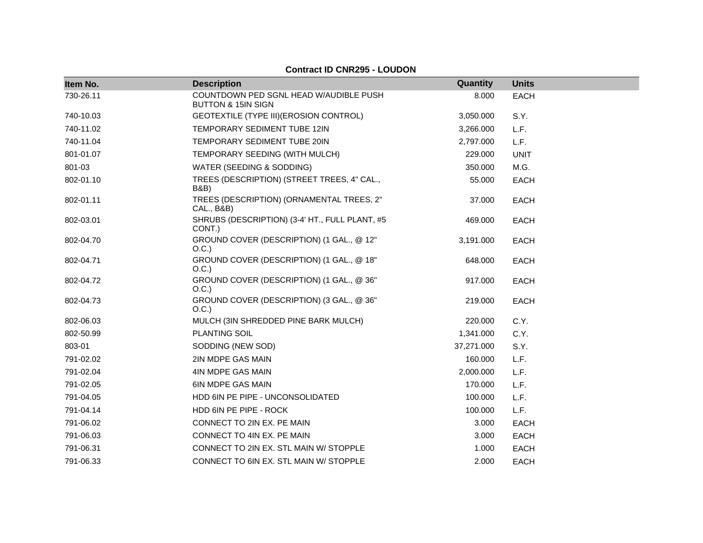| Item No.  | <b>Description</b>                                                      | Quantity   | <b>Units</b> |
|-----------|-------------------------------------------------------------------------|------------|--------------|
| 730-26.11 | COUNTDOWN PED SGNL HEAD W/AUDIBLE PUSH<br><b>BUTTON &amp; 15IN SIGN</b> | 8.000      | <b>EACH</b>  |
| 740-10.03 | GEOTEXTILE (TYPE III) (EROSION CONTROL)                                 | 3,050.000  | S.Y.         |
| 740-11.02 | TEMPORARY SEDIMENT TUBE 12IN                                            | 3,266.000  | L.F.         |
| 740-11.04 | TEMPORARY SEDIMENT TUBE 20IN                                            | 2,797.000  | L.F.         |
| 801-01.07 | TEMPORARY SEEDING (WITH MULCH)                                          | 229.000    | <b>UNIT</b>  |
| 801-03    | WATER (SEEDING & SODDING)                                               | 350.000    | M.G.         |
| 802-01.10 | TREES (DESCRIPTION) (STREET TREES, 4" CAL.,<br><b>B&amp;B</b> )         | 55.000     | <b>EACH</b>  |
| 802-01.11 | TREES (DESCRIPTION) (ORNAMENTAL TREES, 2"<br>CAL., B&B)                 | 37.000     | <b>EACH</b>  |
| 802-03.01 | SHRUBS (DESCRIPTION) (3-4' HT., FULL PLANT, #5<br>CONT.)                | 469.000    | <b>EACH</b>  |
| 802-04.70 | GROUND COVER (DESCRIPTION) (1 GAL., @ 12"<br>O.C.)                      | 3,191.000  | <b>EACH</b>  |
| 802-04.71 | GROUND COVER (DESCRIPTION) (1 GAL., @ 18"<br>O.C.)                      | 648.000    | <b>EACH</b>  |
| 802-04.72 | GROUND COVER (DESCRIPTION) (1 GAL., @ 36"<br>O.C.)                      | 917.000    | <b>EACH</b>  |
| 802-04.73 | GROUND COVER (DESCRIPTION) (3 GAL., @ 36"<br>O.C.)                      | 219.000    | <b>EACH</b>  |
| 802-06.03 | MULCH (3IN SHREDDED PINE BARK MULCH)                                    | 220.000    | C.Y.         |
| 802-50.99 | <b>PLANTING SOIL</b>                                                    | 1,341.000  | C.Y.         |
| 803-01    | SODDING (NEW SOD)                                                       | 37,271.000 | S.Y.         |
| 791-02.02 | 2IN MDPE GAS MAIN                                                       | 160.000    | L.F.         |
| 791-02.04 | 4IN MDPE GAS MAIN                                                       | 2,000.000  | L.F.         |
| 791-02.05 | <b>6IN MDPE GAS MAIN</b>                                                | 170.000    | L.F.         |
| 791-04.05 | HDD 6IN PE PIPE - UNCONSOLIDATED                                        | 100.000    | L.F.         |
| 791-04.14 | HDD 6IN PE PIPE - ROCK                                                  | 100.000    | L.F.         |
| 791-06.02 | CONNECT TO 2IN EX. PE MAIN                                              | 3.000      | EACH         |
| 791-06.03 | CONNECT TO 4IN EX. PE MAIN                                              | 3.000      | <b>EACH</b>  |
| 791-06.31 | CONNECT TO 2IN EX. STL MAIN W/ STOPPLE                                  | 1.000      | <b>EACH</b>  |
| 791-06.33 | CONNECT TO 6IN EX. STL MAIN W/ STOPPLE                                  | 2.000      | <b>EACH</b>  |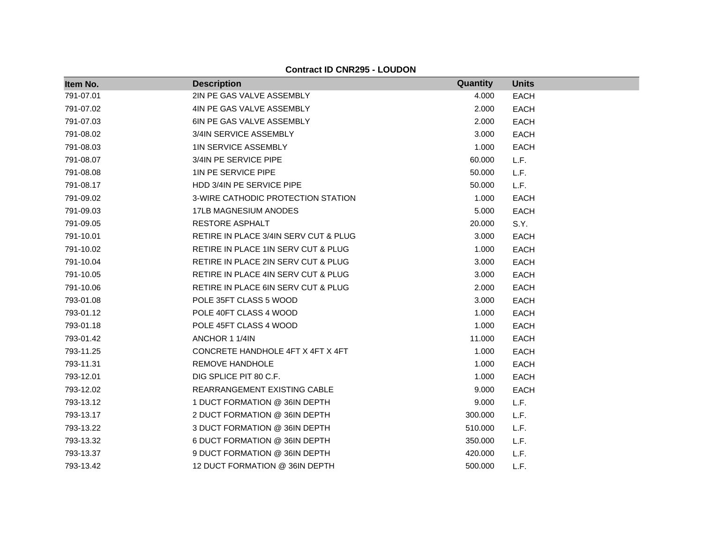| Item No.  | <b>Description</b>                    | Quantity | <b>Units</b> |
|-----------|---------------------------------------|----------|--------------|
| 791-07.01 | 2IN PE GAS VALVE ASSEMBLY             | 4.000    | <b>EACH</b>  |
| 791-07.02 | 4IN PE GAS VALVE ASSEMBLY             | 2.000    | <b>EACH</b>  |
| 791-07.03 | 6IN PE GAS VALVE ASSEMBLY             | 2.000    | <b>EACH</b>  |
| 791-08.02 | 3/4IN SERVICE ASSEMBLY                | 3.000    | <b>EACH</b>  |
| 791-08.03 | <b>1IN SERVICE ASSEMBLY</b>           | 1.000    | <b>EACH</b>  |
| 791-08.07 | 3/4IN PE SERVICE PIPE                 | 60.000   | L.F.         |
| 791-08.08 | 1IN PE SERVICE PIPE                   | 50.000   | L.F.         |
| 791-08.17 | HDD 3/4IN PE SERVICE PIPE             | 50.000   | L.F.         |
| 791-09.02 | 3-WIRE CATHODIC PROTECTION STATION    | 1.000    | <b>EACH</b>  |
| 791-09.03 | <b>17LB MAGNESIUM ANODES</b>          | 5.000    | <b>EACH</b>  |
| 791-09.05 | RESTORE ASPHALT                       | 20.000   | S.Y.         |
| 791-10.01 | RETIRE IN PLACE 3/4IN SERV CUT & PLUG | 3.000    | <b>EACH</b>  |
| 791-10.02 | RETIRE IN PLACE 1IN SERV CUT & PLUG   | 1.000    | <b>EACH</b>  |
| 791-10.04 | RETIRE IN PLACE 2IN SERV CUT & PLUG   | 3.000    | <b>EACH</b>  |
| 791-10.05 | RETIRE IN PLACE 4IN SERV CUT & PLUG   | 3.000    | <b>EACH</b>  |
| 791-10.06 | RETIRE IN PLACE 6IN SERV CUT & PLUG   | 2.000    | <b>EACH</b>  |
| 793-01.08 | POLE 35FT CLASS 5 WOOD                | 3.000    | <b>EACH</b>  |
| 793-01.12 | POLE 40FT CLASS 4 WOOD                | 1.000    | <b>EACH</b>  |
| 793-01.18 | POLE 45FT CLASS 4 WOOD                | 1.000    | <b>EACH</b>  |
| 793-01.42 | ANCHOR 1 1/4IN                        | 11.000   | <b>EACH</b>  |
| 793-11.25 | CONCRETE HANDHOLE 4FT X 4FT X 4FT     | 1.000    | <b>EACH</b>  |
| 793-11.31 | <b>REMOVE HANDHOLE</b>                | 1.000    | <b>EACH</b>  |
| 793-12.01 | DIG SPLICE PIT 80 C.F.                | 1.000    | <b>EACH</b>  |
| 793-12.02 | <b>REARRANGEMENT EXISTING CABLE</b>   | 9.000    | <b>EACH</b>  |
| 793-13.12 | 1 DUCT FORMATION @ 36IN DEPTH         | 9.000    | L.F.         |
| 793-13.17 | 2 DUCT FORMATION @ 36IN DEPTH         | 300.000  | L.F.         |
| 793-13.22 | 3 DUCT FORMATION @ 36IN DEPTH         | 510.000  | L.F.         |
| 793-13.32 | 6 DUCT FORMATION @ 36IN DEPTH         | 350.000  | L.F.         |
| 793-13.37 | 9 DUCT FORMATION @ 36IN DEPTH         | 420.000  | L.F.         |
| 793-13.42 | 12 DUCT FORMATION @ 36IN DEPTH        | 500.000  | L.F.         |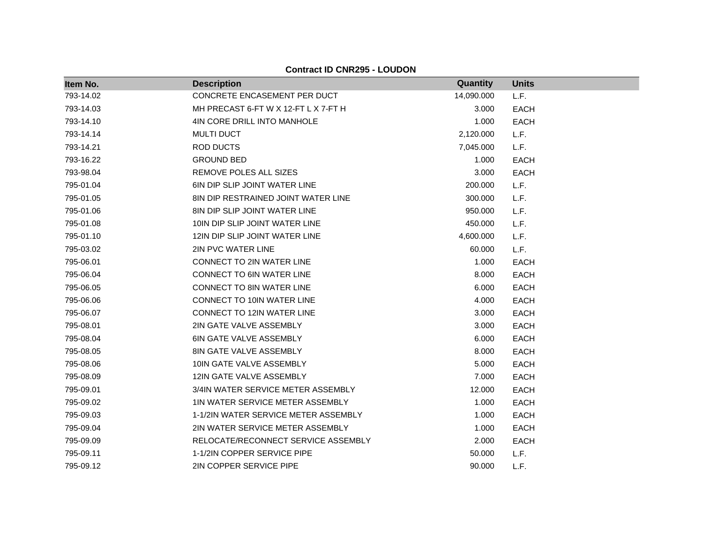**Item No. Description Quantity Units** 793-14.02 CONCRETE ENCASEMENT PER DUCT 14,090.000 L.F. 793-14.03 MH PRECAST 6-FT W X 12-FT L X 7-FT H 3.000 EACH 793-14.10 4IN CORE DRILL INTO MANHOLE 1.000 EACH 793-14.14 MULTI DUCT 2,120.000 L.F. 793-14.21 ROD DUCTS 7,045.000 L.F. 793-16.22 GROUND BED 1.000 EACH 793-98.04 REMOVE POLES ALL SIZES 3.000 EACH 795-01.04 6IN DIP SLIP JOINT WATER LINE 200.000 L.F. 795-01.05 8IN DIP RESTRAINED JOINT WATER LINE 300.000 L.F. 795-01.06 8IN DIP SLIP JOINT WATER LINE 950.000 L.F. 795-01.08 10IN DIP SLIP JOINT WATER LINE 450.000 L.F. 795-01.10 12IN DIP SLIP JOINT WATER LINE 4,600.000 L.F. 795-03.02 2IN PVC WATER LINE 60.000 L.F. 795-06.01 CONNECT TO 2IN WATER LINE 1.000 EACH 795-06.04 CONNECT TO 6IN WATER LINE CONNECT TO 6IN WATER LINE 795-06.05 CONNECT TO 8IN WATER LINE 6.000 EACH 795-06.06 CONNECT TO 10IN WATER LINE 4.000 EACH 795-06.07 CONNECT TO 12IN WATER LINE 3.000 EACH 795-08.01 2IN GATE VALVE ASSEMBLY 3.000 EACH 795-08.04 6IN GATE VALVE ASSEMBLY 6.000 EACH 795-08.05 8IN GATE VALVE ASSEMBLY 8.000 EACH 795-08.06 10IN GATE VALVE ASSEMBLY 5.000 EACH 795-08.09 12IN GATE VALVE ASSEMBLY 7.000 EACH 795-09.01 3/4IN WATER SERVICE METER ASSEMBLY 12.000 EACH 795-09.02 1IN WATER SERVICE METER ASSEMBLY 1.000 EACH 795-09.03 1-1/2IN WATER SERVICE METER ASSEMBLY 1.000 EACH 795-09.04 2IN WATER SERVICE METER ASSEMBLY 1.000 EACH 795-09.09 RELOCATE/RECONNECT SERVICE ASSEMBLY 2.000 EACH 795-09.11 1-1/2IN COPPER SERVICE PIPE 50.000 L.F. 795-09.12 2IN COPPER SERVICE PIPE 90.000 L.F.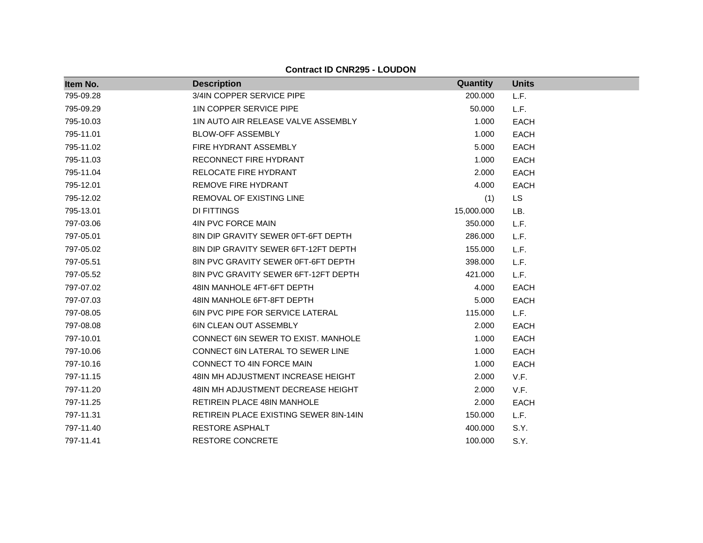| Item No.  | <b>Description</b>                            | Quantity   | <b>Units</b> |
|-----------|-----------------------------------------------|------------|--------------|
| 795-09.28 | 3/4IN COPPER SERVICE PIPE                     | 200.000    | L.F.         |
| 795-09.29 | <b>1IN COPPER SERVICE PIPE</b>                | 50,000     | L.F.         |
| 795-10.03 | 1IN AUTO AIR RELEASE VALVE ASSEMBLY           | 1.000      | <b>EACH</b>  |
| 795-11.01 | <b>BLOW-OFF ASSEMBLY</b>                      | 1.000      | <b>EACH</b>  |
| 795-11.02 | FIRE HYDRANT ASSEMBLY                         | 5.000      | <b>EACH</b>  |
| 795-11.03 | RECONNECT FIRE HYDRANT                        | 1.000      | <b>EACH</b>  |
| 795-11.04 | RELOCATE FIRE HYDRANT                         | 2.000      | <b>EACH</b>  |
| 795-12.01 | <b>REMOVE FIRE HYDRANT</b>                    | 4.000      | <b>EACH</b>  |
| 795-12.02 | <b>REMOVAL OF EXISTING LINE</b>               | (1)        | LS.          |
| 795-13.01 | DI FITTINGS                                   | 15,000.000 | LB.          |
| 797-03.06 | 4IN PVC FORCE MAIN                            | 350.000    | L.F.         |
| 797-05.01 | 8IN DIP GRAVITY SEWER 0FT-6FT DEPTH           | 286.000    | L.F.         |
| 797-05.02 | 8IN DIP GRAVITY SEWER 6FT-12FT DEPTH          | 155.000    | L.F.         |
| 797-05.51 | 8IN PVC GRAVITY SEWER 0FT-6FT DEPTH           | 398.000    | L.F.         |
| 797-05.52 | 8IN PVC GRAVITY SEWER 6FT-12FT DEPTH          | 421.000    | L.F.         |
| 797-07.02 | 48IN MANHOLE 4FT-6FT DEPTH                    | 4.000      | <b>EACH</b>  |
| 797-07.03 | 48IN MANHOLE 6FT-8FT DEPTH                    | 5.000      | <b>EACH</b>  |
| 797-08.05 | <b>6IN PVC PIPE FOR SERVICE LATERAL</b>       | 115.000    | L.F.         |
| 797-08.08 | 6IN CLEAN OUT ASSEMBLY                        | 2.000      | <b>EACH</b>  |
| 797-10.01 | CONNECT 6IN SEWER TO EXIST. MANHOLE           | 1.000      | <b>EACH</b>  |
| 797-10.06 | <b>CONNECT 6IN LATERAL TO SEWER LINE</b>      | 1.000      | <b>EACH</b>  |
| 797-10.16 | CONNECT TO 4IN FORCE MAIN                     | 1.000      | <b>EACH</b>  |
| 797-11.15 | 48IN MH ADJUSTMENT INCREASE HEIGHT            | 2.000      | V.F.         |
| 797-11.20 | 48IN MH ADJUSTMENT DECREASE HEIGHT            | 2.000      | V.F.         |
| 797-11.25 | <b>RETIREIN PLACE 48IN MANHOLE</b>            | 2.000      | <b>EACH</b>  |
| 797-11.31 | <b>RETIREIN PLACE EXISTING SEWER 8IN-14IN</b> | 150.000    | L.F.         |
| 797-11.40 | RESTORE ASPHALT                               | 400.000    | S.Y.         |
| 797-11.41 | <b>RESTORE CONCRETE</b>                       | 100.000    | S.Y.         |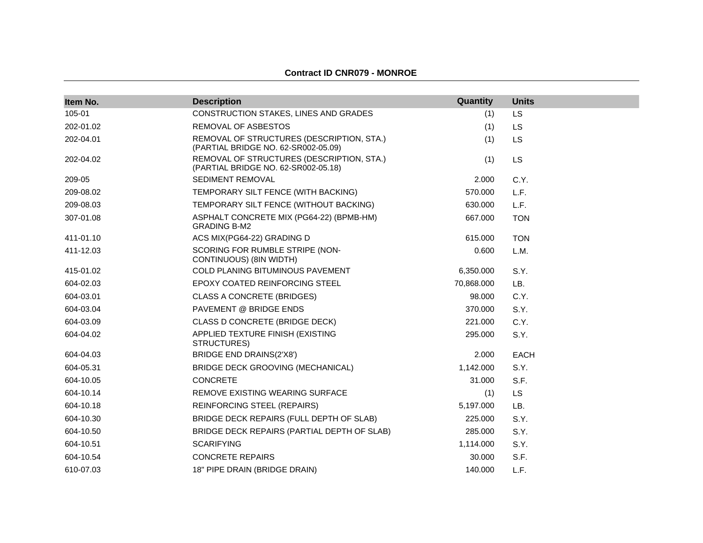#### **Contract ID CNR079 - MONROE**

| Item No.  | <b>Description</b>                                                               | Quantity   | <b>Units</b> |
|-----------|----------------------------------------------------------------------------------|------------|--------------|
| 105-01    | CONSTRUCTION STAKES, LINES AND GRADES                                            | (1)        | LS           |
| 202-01.02 | REMOVAL OF ASBESTOS                                                              | (1)        | <b>LS</b>    |
| 202-04.01 | REMOVAL OF STRUCTURES (DESCRIPTION, STA.)<br>(PARTIAL BRIDGE NO. 62-SR002-05.09) | (1)        | <b>LS</b>    |
| 202-04.02 | REMOVAL OF STRUCTURES (DESCRIPTION, STA.)<br>(PARTIAL BRIDGE NO. 62-SR002-05.18) | (1)        | <b>LS</b>    |
| 209-05    | SEDIMENT REMOVAL                                                                 | 2.000      | C.Y.         |
| 209-08.02 | TEMPORARY SILT FENCE (WITH BACKING)                                              | 570.000    | L.F.         |
| 209-08.03 | TEMPORARY SILT FENCE (WITHOUT BACKING)                                           | 630.000    | L.F.         |
| 307-01.08 | ASPHALT CONCRETE MIX (PG64-22) (BPMB-HM)<br><b>GRADING B-M2</b>                  | 667.000    | <b>TON</b>   |
| 411-01.10 | ACS MIX(PG64-22) GRADING D                                                       | 615.000    | <b>TON</b>   |
| 411-12.03 | SCORING FOR RUMBLE STRIPE (NON-<br>CONTINUOUS) (8IN WIDTH)                       | 0.600      | L.M.         |
| 415-01.02 | COLD PLANING BITUMINOUS PAVEMENT                                                 | 6,350.000  | S.Y.         |
| 604-02.03 | EPOXY COATED REINFORCING STEEL                                                   | 70,868.000 | LB.          |
| 604-03.01 | <b>CLASS A CONCRETE (BRIDGES)</b>                                                | 98.000     | C.Y.         |
| 604-03.04 | PAVEMENT @ BRIDGE ENDS                                                           | 370,000    | S.Y.         |
| 604-03.09 | CLASS D CONCRETE (BRIDGE DECK)                                                   | 221.000    | C.Y.         |
| 604-04.02 | APPLIED TEXTURE FINISH (EXISTING<br>STRUCTURES)                                  | 295.000    | S.Y.         |
| 604-04.03 | <b>BRIDGE END DRAINS(2'X8')</b>                                                  | 2.000      | <b>EACH</b>  |
| 604-05.31 | BRIDGE DECK GROOVING (MECHANICAL)                                                | 1,142.000  | S.Y.         |
| 604-10.05 | <b>CONCRETE</b>                                                                  | 31.000     | S.F.         |
| 604-10.14 | REMOVE EXISTING WEARING SURFACE                                                  | (1)        | <b>LS</b>    |
| 604-10.18 | REINFORCING STEEL (REPAIRS)                                                      | 5,197.000  | LB.          |
| 604-10.30 | BRIDGE DECK REPAIRS (FULL DEPTH OF SLAB)                                         | 225.000    | S.Y.         |
| 604-10.50 | BRIDGE DECK REPAIRS (PARTIAL DEPTH OF SLAB)                                      | 285,000    | S.Y.         |
| 604-10.51 | <b>SCARIFYING</b>                                                                | 1,114.000  | S.Y.         |
| 604-10.54 | <b>CONCRETE REPAIRS</b>                                                          | 30.000     | S.F.         |
| 610-07.03 | 18" PIPE DRAIN (BRIDGE DRAIN)                                                    | 140.000    | L.F.         |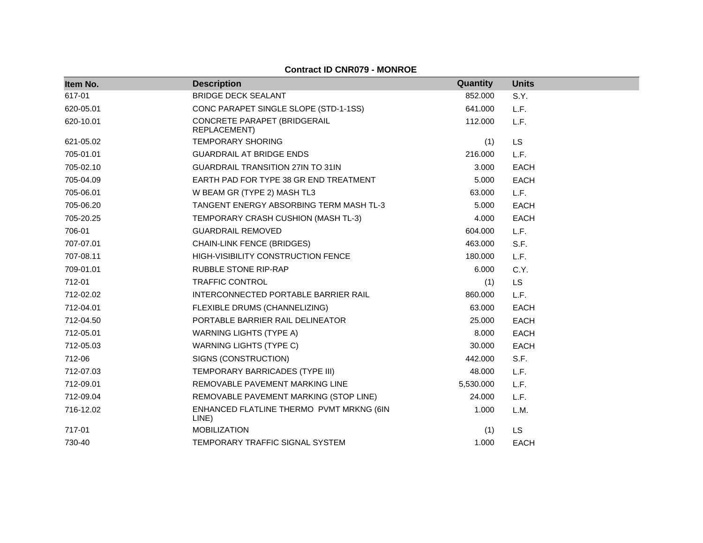## **Contract ID CNR079 - MONROE**

| Item No.  | <b>Description</b>                                | Quantity  | <b>Units</b> |
|-----------|---------------------------------------------------|-----------|--------------|
| 617-01    | <b>BRIDGE DECK SEALANT</b>                        | 852,000   | S.Y.         |
| 620-05.01 | CONC PARAPET SINGLE SLOPE (STD-1-1SS)             | 641.000   | L.F.         |
| 620-10.01 | CONCRETE PARAPET (BRIDGERAIL<br>REPLACEMENT)      | 112.000   | L.F.         |
| 621-05.02 | <b>TEMPORARY SHORING</b>                          | (1)       | <b>LS</b>    |
| 705-01.01 | <b>GUARDRAIL AT BRIDGE ENDS</b>                   | 216,000   | L.F.         |
| 705-02.10 | <b>GUARDRAIL TRANSITION 27IN TO 31IN</b>          | 3.000     | <b>EACH</b>  |
| 705-04.09 | EARTH PAD FOR TYPE 38 GR END TREATMENT            | 5.000     | <b>EACH</b>  |
| 705-06.01 | W BEAM GR (TYPE 2) MASH TL3                       | 63.000    | L.F.         |
| 705-06.20 | TANGENT ENERGY ABSORBING TERM MASH TL-3           | 5.000     | <b>EACH</b>  |
| 705-20.25 | TEMPORARY CRASH CUSHION (MASH TL-3)               | 4.000     | <b>EACH</b>  |
| 706-01    | <b>GUARDRAIL REMOVED</b>                          | 604.000   | L.F.         |
| 707-07.01 | <b>CHAIN-LINK FENCE (BRIDGES)</b>                 | 463.000   | S.F.         |
| 707-08.11 | HIGH-VISIBILITY CONSTRUCTION FENCE                | 180.000   | L.F.         |
| 709-01.01 | <b>RUBBLE STONE RIP-RAP</b>                       | 6.000     | C.Y.         |
| 712-01    | <b>TRAFFIC CONTROL</b>                            | (1)       | <b>LS</b>    |
| 712-02.02 | INTERCONNECTED PORTABLE BARRIER RAIL              | 860.000   | L.F.         |
| 712-04.01 | FLEXIBLE DRUMS (CHANNELIZING)                     | 63.000    | <b>EACH</b>  |
| 712-04.50 | PORTABLE BARRIER RAIL DELINEATOR                  | 25.000    | <b>EACH</b>  |
| 712-05.01 | <b>WARNING LIGHTS (TYPE A)</b>                    | 8.000     | <b>EACH</b>  |
| 712-05.03 | <b>WARNING LIGHTS (TYPE C)</b>                    | 30.000    | <b>EACH</b>  |
| 712-06    | SIGNS (CONSTRUCTION)                              | 442.000   | S.F.         |
| 712-07.03 | TEMPORARY BARRICADES (TYPE III)                   | 48.000    | L.F.         |
| 712-09.01 | REMOVABLE PAVEMENT MARKING LINE                   | 5,530.000 | L.F.         |
| 712-09.04 | REMOVABLE PAVEMENT MARKING (STOP LINE)            | 24.000    | L.F.         |
| 716-12.02 | ENHANCED FLATLINE THERMO PVMT MRKNG (6IN<br>LINE) | 1.000     | L.M.         |
| 717-01    | <b>MOBILIZATION</b>                               | (1)       | <b>LS</b>    |
| 730-40    | TEMPORARY TRAFFIC SIGNAL SYSTEM                   | 1.000     | <b>EACH</b>  |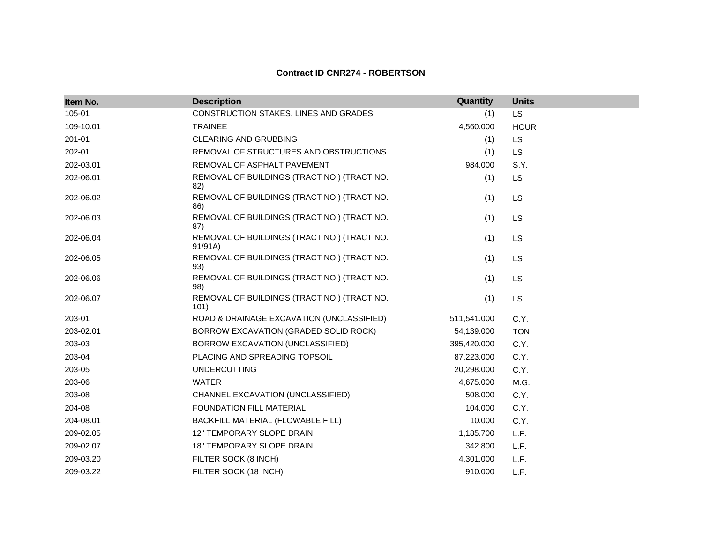| Item No.  | <b>Description</b>                                    | Quantity    | <b>Units</b> |
|-----------|-------------------------------------------------------|-------------|--------------|
| 105-01    | CONSTRUCTION STAKES, LINES AND GRADES                 | (1)         | <b>LS</b>    |
| 109-10.01 | <b>TRAINEE</b>                                        | 4,560.000   | <b>HOUR</b>  |
| 201-01    | CLEARING AND GRUBBING                                 | (1)         | <b>LS</b>    |
| 202-01    | REMOVAL OF STRUCTURES AND OBSTRUCTIONS                | (1)         | LS           |
| 202-03.01 | REMOVAL OF ASPHALT PAVEMENT                           | 984.000     | S.Y.         |
| 202-06.01 | REMOVAL OF BUILDINGS (TRACT NO.) (TRACT NO.<br>82)    | (1)         | <b>LS</b>    |
| 202-06.02 | REMOVAL OF BUILDINGS (TRACT NO.) (TRACT NO.<br>86)    | (1)         | LS           |
| 202-06.03 | REMOVAL OF BUILDINGS (TRACT NO.) (TRACT NO.<br>87)    | (1)         | <b>LS</b>    |
| 202-06.04 | REMOVAL OF BUILDINGS (TRACT NO.) (TRACT NO.<br>91/91A | (1)         | LS           |
| 202-06.05 | REMOVAL OF BUILDINGS (TRACT NO.) (TRACT NO.<br>93)    | (1)         | LS           |
| 202-06.06 | REMOVAL OF BUILDINGS (TRACT NO.) (TRACT NO.<br>98)    | (1)         | <b>LS</b>    |
| 202-06.07 | REMOVAL OF BUILDINGS (TRACT NO.) (TRACT NO.<br>101)   | (1)         | LS           |
| 203-01    | ROAD & DRAINAGE EXCAVATION (UNCLASSIFIED)             | 511,541.000 | C.Y.         |
| 203-02.01 | BORROW EXCAVATION (GRADED SOLID ROCK)                 | 54,139.000  | <b>TON</b>   |
| 203-03    | BORROW EXCAVATION (UNCLASSIFIED)                      | 395,420.000 | C.Y.         |
| 203-04    | PLACING AND SPREADING TOPSOIL                         | 87,223.000  | C.Y.         |
| 203-05    | <b>UNDERCUTTING</b>                                   | 20,298.000  | C.Y.         |
| 203-06    | <b>WATER</b>                                          | 4,675.000   | M.G.         |
| 203-08    | CHANNEL EXCAVATION (UNCLASSIFIED)                     | 508.000     | C.Y.         |
| 204-08    | <b>FOUNDATION FILL MATERIAL</b>                       | 104.000     | C.Y.         |
| 204-08.01 | BACKFILL MATERIAL (FLOWABLE FILL)                     | 10.000      | C.Y.         |
| 209-02.05 | 12" TEMPORARY SLOPE DRAIN                             | 1,185.700   | L.F.         |
| 209-02.07 | 18" TEMPORARY SLOPE DRAIN                             | 342.800     | L.F.         |
| 209-03.20 | FILTER SOCK (8 INCH)                                  | 4,301.000   | L.F.         |
| 209-03.22 | FILTER SOCK (18 INCH)                                 | 910.000     | L.F.         |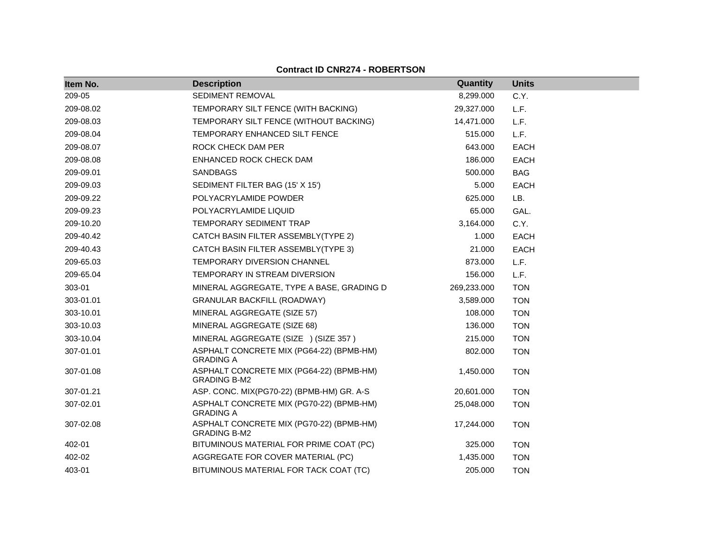|  |  | <b>Contract ID CNR274 - ROBERTSON</b> |
|--|--|---------------------------------------|
|--|--|---------------------------------------|

| Item No.  | <b>Description</b>                                              | Quantity    | <b>Units</b> |
|-----------|-----------------------------------------------------------------|-------------|--------------|
| 209-05    | SEDIMENT REMOVAL                                                | 8,299.000   | C.Y.         |
| 209-08.02 | TEMPORARY SILT FENCE (WITH BACKING)                             | 29,327.000  | L.F.         |
| 209-08.03 | TEMPORARY SILT FENCE (WITHOUT BACKING)                          | 14,471.000  | L.F.         |
| 209-08.04 | TEMPORARY ENHANCED SILT FENCE                                   | 515.000     | L.F.         |
| 209-08.07 | <b>ROCK CHECK DAM PER</b>                                       | 643.000     | <b>EACH</b>  |
| 209-08.08 | ENHANCED ROCK CHECK DAM                                         | 186.000     | <b>EACH</b>  |
| 209-09.01 | <b>SANDBAGS</b>                                                 | 500.000     | <b>BAG</b>   |
| 209-09.03 | SEDIMENT FILTER BAG (15' X 15')                                 | 5.000       | <b>EACH</b>  |
| 209-09.22 | POLYACRYLAMIDE POWDER                                           | 625.000     | LB.          |
| 209-09.23 | POLYACRYLAMIDE LIQUID                                           | 65.000      | GAL.         |
| 209-10.20 | TEMPORARY SEDIMENT TRAP                                         | 3,164.000   | C.Y.         |
| 209-40.42 | CATCH BASIN FILTER ASSEMBLY(TYPE 2)                             | 1.000       | <b>EACH</b>  |
| 209-40.43 | CATCH BASIN FILTER ASSEMBLY(TYPE 3)                             | 21.000      | <b>EACH</b>  |
| 209-65.03 | <b>TEMPORARY DIVERSION CHANNEL</b>                              | 873.000     | L.F.         |
| 209-65.04 | TEMPORARY IN STREAM DIVERSION                                   | 156.000     | L.F.         |
| 303-01    | MINERAL AGGREGATE, TYPE A BASE, GRADING D                       | 269,233.000 | <b>TON</b>   |
| 303-01.01 | <b>GRANULAR BACKFILL (ROADWAY)</b>                              | 3,589.000   | <b>TON</b>   |
| 303-10.01 | MINERAL AGGREGATE (SIZE 57)                                     | 108.000     | <b>TON</b>   |
| 303-10.03 | MINERAL AGGREGATE (SIZE 68)                                     | 136.000     | <b>TON</b>   |
| 303-10.04 | MINERAL AGGREGATE (SIZE ) (SIZE 357)                            | 215.000     | <b>TON</b>   |
| 307-01.01 | ASPHALT CONCRETE MIX (PG64-22) (BPMB-HM)<br><b>GRADING A</b>    | 802.000     | <b>TON</b>   |
| 307-01.08 | ASPHALT CONCRETE MIX (PG64-22) (BPMB-HM)<br><b>GRADING B-M2</b> | 1,450.000   | <b>TON</b>   |
| 307-01.21 | ASP. CONC. MIX(PG70-22) (BPMB-HM) GR. A-S                       | 20,601.000  | <b>TON</b>   |
| 307-02.01 | ASPHALT CONCRETE MIX (PG70-22) (BPMB-HM)<br><b>GRADING A</b>    | 25,048.000  | <b>TON</b>   |
| 307-02.08 | ASPHALT CONCRETE MIX (PG70-22) (BPMB-HM)<br><b>GRADING B-M2</b> | 17,244.000  | <b>TON</b>   |
| 402-01    | BITUMINOUS MATERIAL FOR PRIME COAT (PC)                         | 325.000     | <b>TON</b>   |
| 402-02    | AGGREGATE FOR COVER MATERIAL (PC)                               | 1,435.000   | <b>TON</b>   |
| 403-01    | BITUMINOUS MATERIAL FOR TACK COAT (TC)                          | 205.000     | <b>TON</b>   |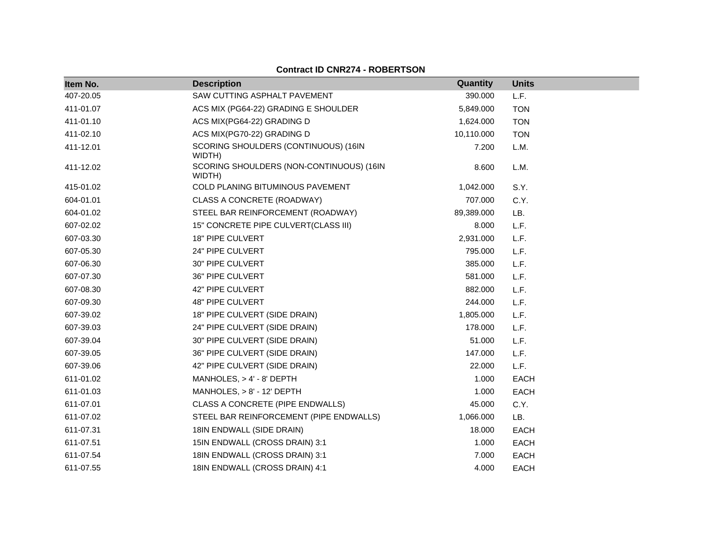| Item No.  | <b>Description</b>                                 | Quantity   | <b>Units</b> |
|-----------|----------------------------------------------------|------------|--------------|
| 407-20.05 | SAW CUTTING ASPHALT PAVEMENT                       | 390.000    | L.F.         |
| 411-01.07 | ACS MIX (PG64-22) GRADING E SHOULDER               | 5,849.000  | <b>TON</b>   |
| 411-01.10 | ACS MIX(PG64-22) GRADING D                         | 1,624.000  | <b>TON</b>   |
| 411-02.10 | ACS MIX(PG70-22) GRADING D                         | 10,110.000 | <b>TON</b>   |
| 411-12.01 | SCORING SHOULDERS (CONTINUOUS) (16IN<br>WIDTH)     | 7.200      | L.M.         |
| 411-12.02 | SCORING SHOULDERS (NON-CONTINUOUS) (16IN<br>WIDTH) | 8.600      | L.M.         |
| 415-01.02 | COLD PLANING BITUMINOUS PAVEMENT                   | 1,042.000  | S.Y.         |
| 604-01.01 | CLASS A CONCRETE (ROADWAY)                         | 707.000    | C.Y.         |
| 604-01.02 | STEEL BAR REINFORCEMENT (ROADWAY)                  | 89,389.000 | LB.          |
| 607-02.02 | 15" CONCRETE PIPE CULVERT(CLASS III)               | 8.000      | L.F.         |
| 607-03.30 | 18" PIPE CULVERT                                   | 2,931.000  | L.F.         |
| 607-05.30 | 24" PIPE CULVERT                                   | 795.000    | L.F.         |
| 607-06.30 | 30" PIPE CULVERT                                   | 385.000    | L.F.         |
| 607-07.30 | 36" PIPE CULVERT                                   | 581.000    | L.F.         |
| 607-08.30 | 42" PIPE CULVERT                                   | 882.000    | L.F.         |
| 607-09.30 | 48" PIPE CULVERT                                   | 244.000    | L.F.         |
| 607-39.02 | 18" PIPE CULVERT (SIDE DRAIN)                      | 1,805.000  | L.F.         |
| 607-39.03 | 24" PIPE CULVERT (SIDE DRAIN)                      | 178.000    | L.F.         |
| 607-39.04 | 30" PIPE CULVERT (SIDE DRAIN)                      | 51.000     | L.F.         |
| 607-39.05 | 36" PIPE CULVERT (SIDE DRAIN)                      | 147.000    | L.F.         |
| 607-39.06 | 42" PIPE CULVERT (SIDE DRAIN)                      | 22.000     | L.F.         |
| 611-01.02 | MANHOLES, $> 4' - 8'$ DEPTH                        | 1.000      | <b>EACH</b>  |
| 611-01.03 | MANHOLES, > 8' - 12' DEPTH                         | 1.000      | <b>EACH</b>  |
| 611-07.01 | CLASS A CONCRETE (PIPE ENDWALLS)                   | 45.000     | C.Y.         |
| 611-07.02 | STEEL BAR REINFORCEMENT (PIPE ENDWALLS)            | 1,066.000  | LB.          |
| 611-07.31 | 18IN ENDWALL (SIDE DRAIN)                          | 18.000     | <b>EACH</b>  |
| 611-07.51 | 15IN ENDWALL (CROSS DRAIN) 3:1                     | 1.000      | <b>EACH</b>  |
| 611-07.54 | 18IN ENDWALL (CROSS DRAIN) 3:1                     | 7.000      | <b>EACH</b>  |
| 611-07.55 | 18IN ENDWALL (CROSS DRAIN) 4:1                     | 4.000      | <b>EACH</b>  |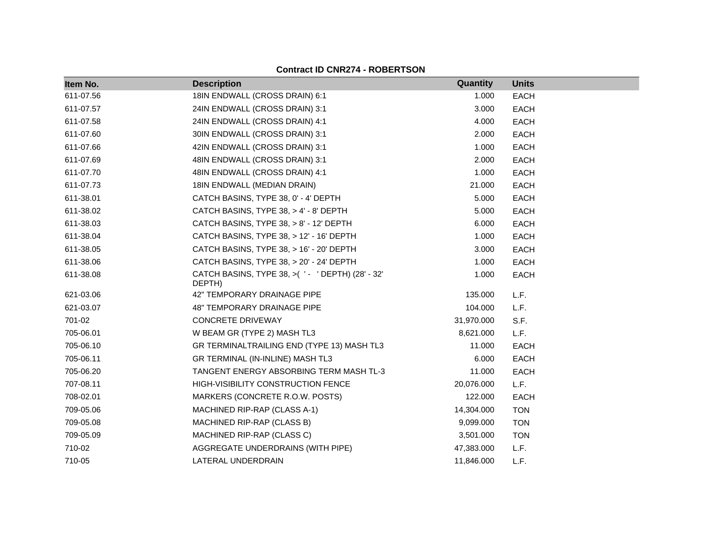| Item No.  | <b>Description</b>                                          | Quantity   | <b>Units</b> |
|-----------|-------------------------------------------------------------|------------|--------------|
| 611-07.56 | 18IN ENDWALL (CROSS DRAIN) 6:1                              | 1.000      | <b>EACH</b>  |
| 611-07.57 | 24IN ENDWALL (CROSS DRAIN) 3:1                              | 3.000      | <b>EACH</b>  |
| 611-07.58 | 24IN ENDWALL (CROSS DRAIN) 4:1                              | 4.000      | <b>EACH</b>  |
| 611-07.60 | 30IN ENDWALL (CROSS DRAIN) 3:1                              | 2.000      | <b>EACH</b>  |
| 611-07.66 | 42IN ENDWALL (CROSS DRAIN) 3:1                              | 1.000      | <b>EACH</b>  |
| 611-07.69 | 48IN ENDWALL (CROSS DRAIN) 3:1                              | 2.000      | <b>EACH</b>  |
| 611-07.70 | 48IN ENDWALL (CROSS DRAIN) 4:1                              | 1.000      | EACH         |
| 611-07.73 | 18IN ENDWALL (MEDIAN DRAIN)                                 | 21.000     | <b>EACH</b>  |
| 611-38.01 | CATCH BASINS, TYPE 38, 0' - 4' DEPTH                        | 5.000      | EACH         |
| 611-38.02 | CATCH BASINS, TYPE 38, > 4' - 8' DEPTH                      | 5.000      | <b>EACH</b>  |
| 611-38.03 | CATCH BASINS, TYPE 38, > 8' - 12' DEPTH                     | 6.000      | <b>EACH</b>  |
| 611-38.04 | CATCH BASINS, TYPE 38, > 12' - 16' DEPTH                    | 1.000      | <b>EACH</b>  |
| 611-38.05 | CATCH BASINS, TYPE 38, > 16' - 20' DEPTH                    | 3.000      | <b>EACH</b>  |
| 611-38.06 | CATCH BASINS, TYPE 38, > 20' - 24' DEPTH                    | 1.000      | <b>EACH</b>  |
| 611-38.08 | CATCH BASINS, TYPE 38, >( ' - ' DEPTH) (28' - 32'<br>DEPTH) | 1.000      | <b>EACH</b>  |
| 621-03.06 | 42" TEMPORARY DRAINAGE PIPE                                 | 135.000    | L.F.         |
| 621-03.07 | 48" TEMPORARY DRAINAGE PIPE                                 | 104.000    | L.F.         |
| 701-02    | <b>CONCRETE DRIVEWAY</b>                                    | 31,970.000 | S.F.         |
| 705-06.01 | W BEAM GR (TYPE 2) MASH TL3                                 | 8,621.000  | L.F.         |
| 705-06.10 | GR TERMINALTRAILING END (TYPE 13) MASH TL3                  | 11.000     | <b>EACH</b>  |
| 705-06.11 | GR TERMINAL (IN-INLINE) MASH TL3                            | 6.000      | <b>EACH</b>  |
| 705-06.20 | TANGENT ENERGY ABSORBING TERM MASH TL-3                     | 11.000     | <b>EACH</b>  |
| 707-08.11 | <b>HIGH-VISIBILITY CONSTRUCTION FENCE</b>                   | 20,076.000 | L.F.         |
| 708-02.01 | MARKERS (CONCRETE R.O.W. POSTS)                             | 122.000    | <b>EACH</b>  |
| 709-05.06 | MACHINED RIP-RAP (CLASS A-1)                                | 14,304.000 | <b>TON</b>   |
| 709-05.08 | MACHINED RIP-RAP (CLASS B)                                  | 9,099.000  | <b>TON</b>   |
| 709-05.09 | MACHINED RIP-RAP (CLASS C)                                  | 3,501.000  | <b>TON</b>   |
| 710-02    | AGGREGATE UNDERDRAINS (WITH PIPE)                           | 47,383.000 | L.F.         |
| 710-05    | LATERAL UNDERDRAIN                                          | 11,846.000 | L.F.         |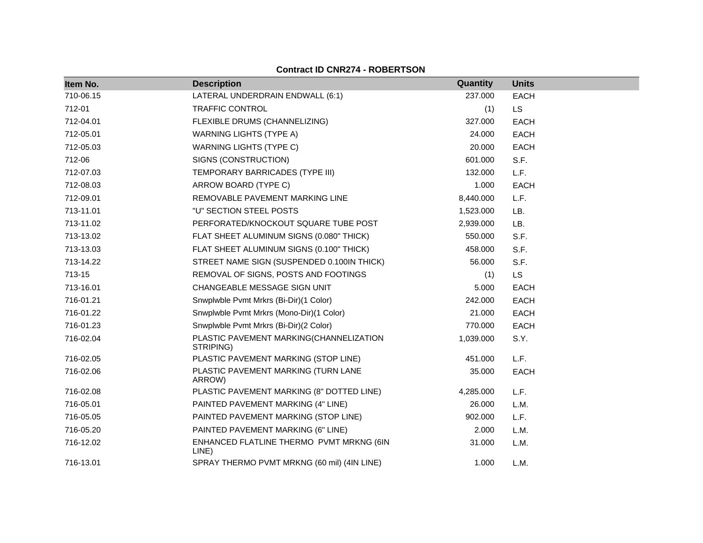**Item No. Description Quantity Units** 710-06.15 LATERAL UNDERDRAIN ENDWALL (6:1) 237.000 EACH 712-01 TRAFFIC CONTROL (1) LS 712-04.01 FLEXIBLE DRUMS (CHANNELIZING) 327.000 EACH 712-05.01 WARNING LIGHTS (TYPE A) 24.000 EACH 712-05.03 WARNING LIGHTS (TYPE C) 20.000 EACH 712-06 SIGNS (CONSTRUCTION) 601.000 S.F. 712-07.03 TEMPORARY BARRICADES (TYPE III) 132.000 L.F. 712-08.03 ARROW BOARD (TYPE C) 1.000 EACH 712-09.01 REMOVABLE PAVEMENT MARKING LINE 8,440.000 L.F. 713-11.01 "U" SECTION STEEL POSTS 1,523.000 LB. 713-11.02 PERFORATED/KNOCKOUT SQUARE TUBE POST 2,939.000 LB. 713-13.02 FLAT SHEET ALUMINUM SIGNS (0.080" THICK) 550.000 S.F. 713-13.03 FLAT SHEET ALUMINUM SIGNS (0.100" THICK) 458.000 S.F. 713-14.22 STREET NAME SIGN (SUSPENDED 0.100IN THICK) 56.000 S.F. 713-15 REMOVAL OF SIGNS, POSTS AND FOOTINGS (1) LS 713-16.01 CHANGEABLE MESSAGE SIGN UNIT 5.000 EACH 716-01.21 Snwplwble Pvmt Mrkrs (Bi-Dir)(1 Color) 242.000 EACH 716-01.22 Snwplwble Pvmt Mrkrs (Mono-Dir)(1 Color) 21.000 EACH 716-01.23 Snwplwble Pvmt Mrkrs (Bi-Dir)(2 Color) 770.000 EACH 716-02.04 PLASTIC PAVEMENT MARKING(CHANNELIZATION STRIPING) 1,039.000 S.Y. 716-02.05 PLASTIC PAVEMENT MARKING (STOP LINE) 451.000 L.F. 716-02.06 PLASTIC PAVEMENT MARKING (TURN LANE ARROW) 35.000 EACH 716-02.08 PLASTIC PAVEMENT MARKING (8" DOTTED LINE) 4,285.000 L.F. 716-05.01 PAINTED PAVEMENT MARKING (4" LINE) 26.000 L.M. 716-05.05 PAINTED PAVEMENT MARKING (STOP LINE) 902.000 L.F. 716-05.20 PAINTED PAVEMENT MARKING (6" LINE) 2.000 L.M. 716-12.02 ENHANCED FLATLINE THERMO PVMT MRKNG (6IN LINE) 31.000 L.M. 716-13.01 SPRAY THERMO PVMT MRKNG (60 mil) (4IN LINE) 1.000 L.M.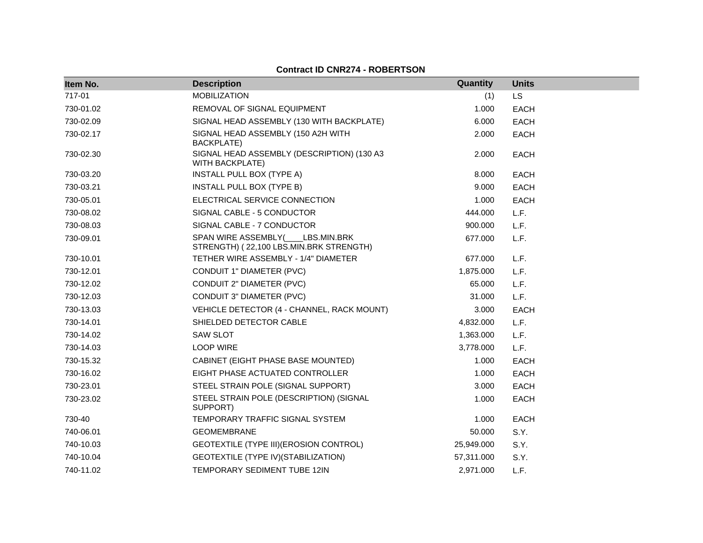| Item No.  | <b>Description</b>                                                         | Quantity   | <b>Units</b> |
|-----------|----------------------------------------------------------------------------|------------|--------------|
| 717-01    | <b>MOBILIZATION</b>                                                        | (1)        | LS           |
| 730-01.02 | REMOVAL OF SIGNAL EQUIPMENT                                                | 1.000      | <b>EACH</b>  |
| 730-02.09 | SIGNAL HEAD ASSEMBLY (130 WITH BACKPLATE)                                  | 6.000      | <b>EACH</b>  |
| 730-02.17 | SIGNAL HEAD ASSEMBLY (150 A2H WITH<br><b>BACKPLATE)</b>                    | 2.000      | <b>EACH</b>  |
| 730-02.30 | SIGNAL HEAD ASSEMBLY (DESCRIPTION) (130 A3<br>WITH BACKPLATE)              | 2.000      | <b>EACH</b>  |
| 730-03.20 | INSTALL PULL BOX (TYPE A)                                                  | 8.000      | <b>EACH</b>  |
| 730-03.21 | INSTALL PULL BOX (TYPE B)                                                  | 9.000      | <b>EACH</b>  |
| 730-05.01 | ELECTRICAL SERVICE CONNECTION                                              | 1.000      | <b>EACH</b>  |
| 730-08.02 | SIGNAL CABLE - 5 CONDUCTOR                                                 | 444.000    | L.F.         |
| 730-08.03 | SIGNAL CABLE - 7 CONDUCTOR                                                 | 900.000    | L.F.         |
| 730-09.01 | SPAN WIRE ASSEMBLY( LBS.MIN.BRK<br>STRENGTH) (22,100 LBS.MIN.BRK STRENGTH) | 677.000    | L.F.         |
| 730-10.01 | TETHER WIRE ASSEMBLY - 1/4" DIAMETER                                       | 677.000    | L.F.         |
| 730-12.01 | CONDUIT 1" DIAMETER (PVC)                                                  | 1,875.000  | L.F.         |
| 730-12.02 | CONDUIT 2" DIAMETER (PVC)                                                  | 65.000     | L.F.         |
| 730-12.03 | CONDUIT 3" DIAMETER (PVC)                                                  | 31.000     | L.F.         |
| 730-13.03 | VEHICLE DETECTOR (4 - CHANNEL, RACK MOUNT)                                 | 3.000      | <b>EACH</b>  |
| 730-14.01 | SHIELDED DETECTOR CABLE                                                    | 4,832.000  | L.F.         |
| 730-14.02 | <b>SAW SLOT</b>                                                            | 1,363.000  | L.F.         |
| 730-14.03 | <b>LOOP WIRE</b>                                                           | 3,778.000  | L.F.         |
| 730-15.32 | CABINET (EIGHT PHASE BASE MOUNTED)                                         | 1.000      | <b>EACH</b>  |
| 730-16.02 | EIGHT PHASE ACTUATED CONTROLLER                                            | 1.000      | <b>EACH</b>  |
| 730-23.01 | STEEL STRAIN POLE (SIGNAL SUPPORT)                                         | 3.000      | <b>EACH</b>  |
| 730-23.02 | STEEL STRAIN POLE (DESCRIPTION) (SIGNAL<br>SUPPORT)                        | 1.000      | <b>EACH</b>  |
| 730-40    | TEMPORARY TRAFFIC SIGNAL SYSTEM                                            | 1.000      | <b>EACH</b>  |
| 740-06.01 | <b>GEOMEMBRANE</b>                                                         | 50.000     | S.Y.         |
| 740-10.03 | GEOTEXTILE (TYPE III) (EROSION CONTROL)                                    | 25,949.000 | S.Y.         |
| 740-10.04 | GEOTEXTILE (TYPE IV) (STABILIZATION)                                       | 57,311.000 | S.Y.         |
| 740-11.02 | TEMPORARY SEDIMENT TUBE 12IN                                               | 2,971.000  | L.F.         |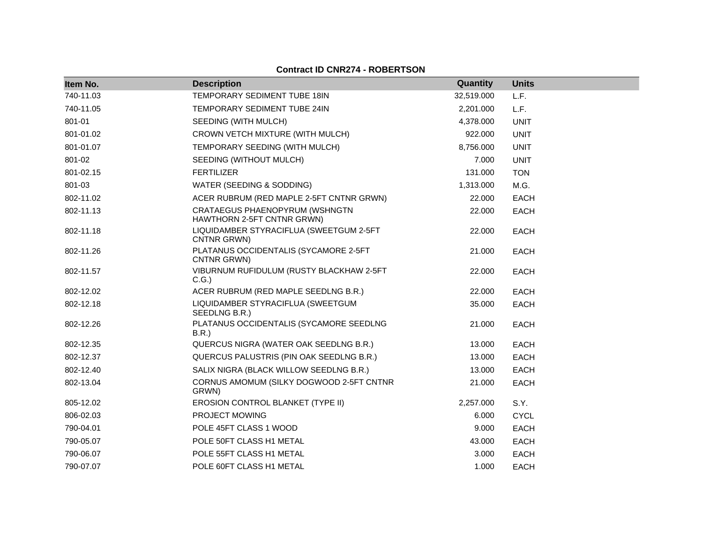| Item No.  | <b>Description</b>                                           | Quantity   | <b>Units</b> |
|-----------|--------------------------------------------------------------|------------|--------------|
| 740-11.03 | TEMPORARY SEDIMENT TUBE 18IN                                 | 32,519.000 | L.F.         |
| 740-11.05 | TEMPORARY SEDIMENT TUBE 24IN                                 | 2,201.000  | L.F.         |
| 801-01    | SEEDING (WITH MULCH)                                         | 4,378.000  | <b>UNIT</b>  |
| 801-01.02 | CROWN VETCH MIXTURE (WITH MULCH)                             | 922.000    | <b>UNIT</b>  |
| 801-01.07 | TEMPORARY SEEDING (WITH MULCH)                               | 8,756.000  | <b>UNIT</b>  |
| 801-02    | SEEDING (WITHOUT MULCH)                                      | 7.000      | <b>UNIT</b>  |
| 801-02.15 | <b>FERTILIZER</b>                                            | 131.000    | <b>TON</b>   |
| 801-03    | WATER (SEEDING & SODDING)                                    | 1,313.000  | M.G.         |
| 802-11.02 | ACER RUBRUM (RED MAPLE 2-5FT CNTNR GRWN)                     | 22.000     | <b>EACH</b>  |
| 802-11.13 | CRATAEGUS PHAENOPYRUM (WSHNGTN<br>HAWTHORN 2-5FT CNTNR GRWN) | 22.000     | <b>EACH</b>  |
| 802-11.18 | LIQUIDAMBER STYRACIFLUA (SWEETGUM 2-5FT<br>CNTNR GRWN)       | 22.000     | <b>EACH</b>  |
| 802-11.26 | PLATANUS OCCIDENTALIS (SYCAMORE 2-5FT<br>CNTNR GRWN)         | 21.000     | <b>EACH</b>  |
| 802-11.57 | VIBURNUM RUFIDULUM (RUSTY BLACKHAW 2-5FT<br>C.G.)            | 22.000     | <b>EACH</b>  |
| 802-12.02 | ACER RUBRUM (RED MAPLE SEEDLNG B.R.)                         | 22.000     | <b>EACH</b>  |
| 802-12.18 | LIQUIDAMBER STYRACIFLUA (SWEETGUM<br>SEEDLNG B.R.)           | 35.000     | EACH         |
| 802-12.26 | PLATANUS OCCIDENTALIS (SYCAMORE SEEDLNG<br>B.R.)             | 21.000     | <b>EACH</b>  |
| 802-12.35 | QUERCUS NIGRA (WATER OAK SEEDLNG B.R.)                       | 13.000     | <b>EACH</b>  |
| 802-12.37 | QUERCUS PALUSTRIS (PIN OAK SEEDLNG B.R.)                     | 13.000     | EACH         |
| 802-12.40 | SALIX NIGRA (BLACK WILLOW SEEDLNG B.R.)                      | 13.000     | EACH         |
| 802-13.04 | CORNUS AMOMUM (SILKY DOGWOOD 2-5FT CNTNR<br>GRWN)            | 21.000     | <b>EACH</b>  |
| 805-12.02 | EROSION CONTROL BLANKET (TYPE II)                            | 2,257.000  | S.Y.         |
| 806-02.03 | PROJECT MOWING                                               | 6.000      | <b>CYCL</b>  |
| 790-04.01 | POLE 45FT CLASS 1 WOOD                                       | 9.000      | EACH         |
| 790-05.07 | POLE 50FT CLASS H1 METAL                                     | 43.000     | <b>EACH</b>  |
| 790-06.07 | POLE 55FT CLASS H1 METAL                                     | 3.000      | <b>EACH</b>  |
| 790-07.07 | POLE 60FT CLASS H1 METAL                                     | 1.000      | <b>EACH</b>  |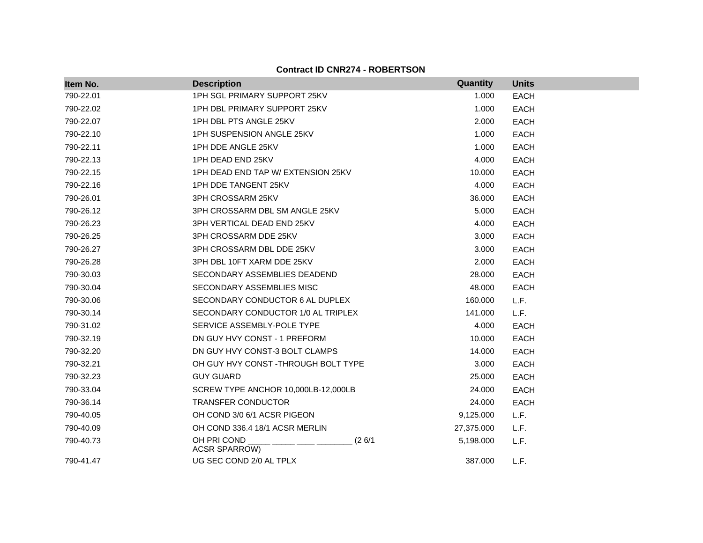| Item No.  | <b>Description</b>                            | Quantity   | <b>Units</b> |
|-----------|-----------------------------------------------|------------|--------------|
| 790-22.01 | 1PH SGL PRIMARY SUPPORT 25KV                  | 1.000      | <b>EACH</b>  |
| 790-22.02 | 1PH DBL PRIMARY SUPPORT 25KV                  | 1.000      | <b>EACH</b>  |
| 790-22.07 | 1PH DBL PTS ANGLE 25KV                        | 2.000      | <b>EACH</b>  |
| 790-22.10 | 1PH SUSPENSION ANGLE 25KV                     | 1.000      | <b>EACH</b>  |
| 790-22.11 | 1PH DDE ANGLE 25KV                            | 1.000      | EACH         |
| 790-22.13 | 1PH DEAD END 25KV                             | 4.000      | <b>EACH</b>  |
| 790-22.15 | 1PH DEAD END TAP W/ EXTENSION 25KV            | 10.000     | <b>EACH</b>  |
| 790-22.16 | 1PH DDE TANGENT 25KV                          | 4.000      | <b>EACH</b>  |
| 790-26.01 | 3PH CROSSARM 25KV                             | 36.000     | <b>EACH</b>  |
| 790-26.12 | 3PH CROSSARM DBL SM ANGLE 25KV                | 5.000      | <b>EACH</b>  |
| 790-26.23 | 3PH VERTICAL DEAD END 25KV                    | 4.000      | <b>EACH</b>  |
| 790-26.25 | 3PH CROSSARM DDE 25KV                         | 3.000      | <b>EACH</b>  |
| 790-26.27 | 3PH CROSSARM DBL DDE 25KV                     | 3.000      | <b>EACH</b>  |
| 790-26.28 | 3PH DBL 10FT XARM DDE 25KV                    | 2.000      | <b>EACH</b>  |
| 790-30.03 | SECONDARY ASSEMBLIES DEADEND                  | 28.000     | EACH         |
| 790-30.04 | SECONDARY ASSEMBLIES MISC                     | 48.000     | EACH         |
| 790-30.06 | SECONDARY CONDUCTOR 6 AL DUPLEX               | 160.000    | L.F.         |
| 790-30.14 | SECONDARY CONDUCTOR 1/0 AL TRIPLEX            | 141.000    | L.F.         |
| 790-31.02 | SERVICE ASSEMBLY-POLE TYPE                    | 4.000      | <b>EACH</b>  |
| 790-32.19 | DN GUY HVY CONST - 1 PREFORM                  | 10.000     | <b>EACH</b>  |
| 790-32.20 | DN GUY HVY CONST-3 BOLT CLAMPS                | 14.000     | <b>EACH</b>  |
| 790-32.21 | OH GUY HVY CONST-THROUGH BOLT TYPE            | 3.000      | <b>EACH</b>  |
| 790-32.23 | <b>GUY GUARD</b>                              | 25.000     | <b>EACH</b>  |
| 790-33.04 | SCREW TYPE ANCHOR 10,000LB-12,000LB           | 24.000     | EACH         |
| 790-36.14 | <b>TRANSFER CONDUCTOR</b>                     | 24.000     | <b>EACH</b>  |
| 790-40.05 | OH COND 3/0 6/1 ACSR PIGEON                   | 9,125.000  | L.F.         |
| 790-40.09 | OH COND 336.4 18/1 ACSR MERLIN                | 27,375.000 | L.F.         |
| 790-40.73 | OH PRI COND<br>(26/1)<br><b>ACSR SPARROW)</b> | 5,198.000  | L.F.         |
| 790-41.47 | UG SEC COND 2/0 AL TPLX                       | 387.000    | L.F.         |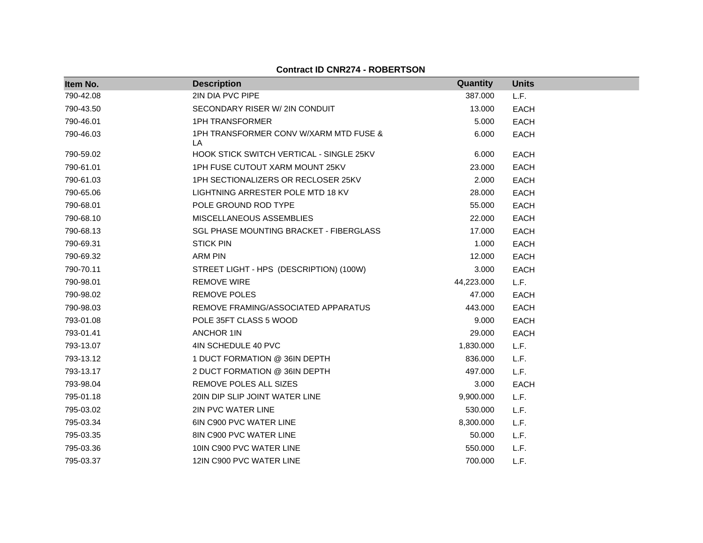| Item No.  | <b>Description</b>                            | Quantity   | <b>Units</b> |  |
|-----------|-----------------------------------------------|------------|--------------|--|
| 790-42.08 | 2IN DIA PVC PIPE                              | 387.000    | L.F.         |  |
| 790-43.50 | SECONDARY RISER W/ 2IN CONDUIT                | 13.000     | <b>EACH</b>  |  |
| 790-46.01 | <b>1PH TRANSFORMER</b>                        | 5.000      | <b>EACH</b>  |  |
| 790-46.03 | 1PH TRANSFORMER CONV W/XARM MTD FUSE &<br>LA. | 6.000      | <b>EACH</b>  |  |
| 790-59.02 | HOOK STICK SWITCH VERTICAL - SINGLE 25KV      | 6.000      | <b>EACH</b>  |  |
| 790-61.01 | 1PH FUSE CUTOUT XARM MOUNT 25KV               | 23.000     | <b>EACH</b>  |  |
| 790-61.03 | 1PH SECTIONALIZERS OR RECLOSER 25KV           | 2.000      | <b>EACH</b>  |  |
| 790-65.06 | LIGHTNING ARRESTER POLE MTD 18 KV             | 28.000     | <b>EACH</b>  |  |
| 790-68.01 | POLE GROUND ROD TYPE                          | 55.000     | <b>EACH</b>  |  |
| 790-68.10 | MISCELLANEOUS ASSEMBLIES                      | 22.000     | <b>EACH</b>  |  |
| 790-68.13 | SGL PHASE MOUNTING BRACKET - FIBERGLASS       | 17.000     | <b>EACH</b>  |  |
| 790-69.31 | <b>STICK PIN</b>                              | 1.000      | <b>EACH</b>  |  |
| 790-69.32 | <b>ARM PIN</b>                                | 12.000     | <b>EACH</b>  |  |
| 790-70.11 | STREET LIGHT - HPS (DESCRIPTION) (100W)       | 3.000      | <b>EACH</b>  |  |
| 790-98.01 | <b>REMOVE WIRE</b>                            | 44,223.000 | L.F.         |  |
| 790-98.02 | <b>REMOVE POLES</b>                           | 47.000     | <b>EACH</b>  |  |
| 790-98.03 | REMOVE FRAMING/ASSOCIATED APPARATUS           | 443.000    | <b>EACH</b>  |  |
| 793-01.08 | POLE 35FT CLASS 5 WOOD                        | 9.000      | <b>EACH</b>  |  |
| 793-01.41 | <b>ANCHOR 1IN</b>                             | 29.000     | <b>EACH</b>  |  |
| 793-13.07 | 4IN SCHEDULE 40 PVC                           | 1,830.000  | L.F.         |  |
| 793-13.12 | 1 DUCT FORMATION @ 36IN DEPTH                 | 836.000    | L.F.         |  |
| 793-13.17 | 2 DUCT FORMATION @ 36IN DEPTH                 | 497.000    | L.F.         |  |
| 793-98.04 | <b>REMOVE POLES ALL SIZES</b>                 | 3.000      | <b>EACH</b>  |  |
| 795-01.18 | 20IN DIP SLIP JOINT WATER LINE                | 9,900.000  | L.F.         |  |
| 795-03.02 | 2IN PVC WATER LINE                            | 530.000    | L.F.         |  |
| 795-03.34 | 6IN C900 PVC WATER LINE                       | 8,300.000  | L.F.         |  |
| 795-03.35 | 8IN C900 PVC WATER LINE                       | 50.000     | L.F.         |  |
| 795-03.36 | 10IN C900 PVC WATER LINE                      | 550.000    | L.F.         |  |
| 795-03.37 | 12IN C900 PVC WATER LINE                      | 700.000    | L.F.         |  |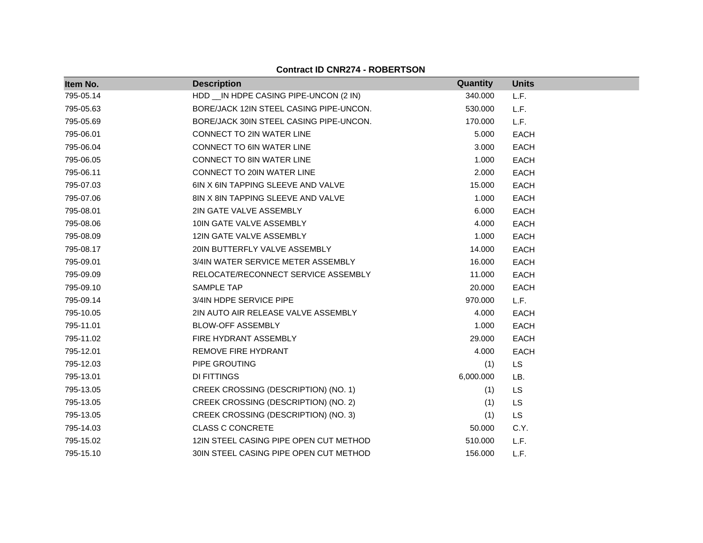| Item No.  | <b>Description</b>                      | Quantity  | <b>Units</b> |
|-----------|-----------------------------------------|-----------|--------------|
| 795-05.14 | HDD __ IN HDPE CASING PIPE-UNCON (2 IN) | 340.000   | L.F.         |
| 795-05.63 | BORE/JACK 12IN STEEL CASING PIPE-UNCON. | 530.000   | L.F.         |
| 795-05.69 | BORE/JACK 30IN STEEL CASING PIPE-UNCON. | 170.000   | L.F.         |
| 795-06.01 | CONNECT TO 2IN WATER LINE               | 5.000     | <b>EACH</b>  |
| 795-06.04 | CONNECT TO 6IN WATER LINE               | 3.000     | <b>EACH</b>  |
| 795-06.05 | <b>CONNECT TO 8IN WATER LINE</b>        | 1.000     | <b>EACH</b>  |
| 795-06.11 | CONNECT TO 20IN WATER LINE              | 2.000     | <b>EACH</b>  |
| 795-07.03 | 6IN X 6IN TAPPING SLEEVE AND VALVE      | 15.000    | <b>EACH</b>  |
| 795-07.06 | 8IN X 8IN TAPPING SLEEVE AND VALVE      | 1.000     | <b>EACH</b>  |
| 795-08.01 | 2IN GATE VALVE ASSEMBLY                 | 6.000     | <b>EACH</b>  |
| 795-08.06 | 10IN GATE VALVE ASSEMBLY                | 4.000     | <b>EACH</b>  |
| 795-08.09 | 12IN GATE VALVE ASSEMBLY                | 1.000     | <b>EACH</b>  |
| 795-08.17 | 20IN BUTTERFLY VALVE ASSEMBLY           | 14.000    | <b>EACH</b>  |
| 795-09.01 | 3/4IN WATER SERVICE METER ASSEMBLY      | 16.000    | <b>EACH</b>  |
| 795-09.09 | RELOCATE/RECONNECT SERVICE ASSEMBLY     | 11.000    | <b>EACH</b>  |
| 795-09.10 | SAMPLE TAP                              | 20.000    | <b>EACH</b>  |
| 795-09.14 | 3/4IN HDPE SERVICE PIPE                 | 970.000   | L.F.         |
| 795-10.05 | 2IN AUTO AIR RELEASE VALVE ASSEMBLY     | 4.000     | <b>EACH</b>  |
| 795-11.01 | <b>BLOW-OFF ASSEMBLY</b>                | 1.000     | <b>EACH</b>  |
| 795-11.02 | FIRE HYDRANT ASSEMBLY                   | 29.000    | <b>EACH</b>  |
| 795-12.01 | REMOVE FIRE HYDRANT                     | 4.000     | <b>EACH</b>  |
| 795-12.03 | PIPE GROUTING                           | (1)       | <b>LS</b>    |
| 795-13.01 | DI FITTINGS                             | 6,000.000 | LB.          |
| 795-13.05 | CREEK CROSSING (DESCRIPTION) (NO. 1)    | (1)       | <b>LS</b>    |
| 795-13.05 | CREEK CROSSING (DESCRIPTION) (NO. 2)    | (1)       | <b>LS</b>    |
| 795-13.05 | CREEK CROSSING (DESCRIPTION) (NO. 3)    | (1)       | LS           |
| 795-14.03 | <b>CLASS C CONCRETE</b>                 | 50.000    | C.Y.         |
| 795-15.02 | 12IN STEEL CASING PIPE OPEN CUT METHOD  | 510.000   | L.F.         |
| 795-15.10 | 30IN STEEL CASING PIPE OPEN CUT METHOD  | 156.000   | L.F.         |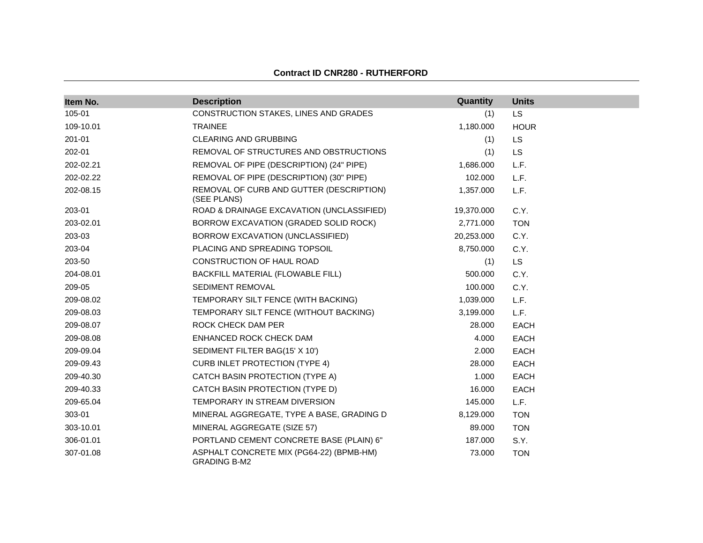| Item No.  | <b>Description</b>                                              | Quantity   | <b>Units</b> |
|-----------|-----------------------------------------------------------------|------------|--------------|
| 105-01    | CONSTRUCTION STAKES, LINES AND GRADES                           | (1)        | <b>LS</b>    |
| 109-10.01 | <b>TRAINEE</b>                                                  | 1,180.000  | <b>HOUR</b>  |
| 201-01    | <b>CLEARING AND GRUBBING</b>                                    | (1)        | <b>LS</b>    |
| 202-01    | REMOVAL OF STRUCTURES AND OBSTRUCTIONS                          | (1)        | <b>LS</b>    |
| 202-02.21 | REMOVAL OF PIPE (DESCRIPTION) (24" PIPE)                        | 1,686.000  | L.F.         |
| 202-02.22 | REMOVAL OF PIPE (DESCRIPTION) (30" PIPE)                        | 102.000    | L.F.         |
| 202-08.15 | REMOVAL OF CURB AND GUTTER (DESCRIPTION)<br>(SEE PLANS)         | 1,357.000  | L.F.         |
| 203-01    | ROAD & DRAINAGE EXCAVATION (UNCLASSIFIED)                       | 19,370.000 | C.Y.         |
| 203-02.01 | BORROW EXCAVATION (GRADED SOLID ROCK)                           | 2,771.000  | <b>TON</b>   |
| 203-03    | BORROW EXCAVATION (UNCLASSIFIED)                                | 20,253.000 | C.Y.         |
| 203-04    | PLACING AND SPREADING TOPSOIL                                   | 8,750.000  | C.Y.         |
| 203-50    | CONSTRUCTION OF HAUL ROAD                                       | (1)        | LS.          |
| 204-08.01 | BACKFILL MATERIAL (FLOWABLE FILL)                               | 500.000    | C.Y.         |
| 209-05    | SEDIMENT REMOVAL                                                | 100.000    | C.Y.         |
| 209-08.02 | TEMPORARY SILT FENCE (WITH BACKING)                             | 1,039.000  | L.F.         |
| 209-08.03 | TEMPORARY SILT FENCE (WITHOUT BACKING)                          | 3,199.000  | L.F.         |
| 209-08.07 | ROCK CHECK DAM PER                                              | 28.000     | <b>EACH</b>  |
| 209-08.08 | ENHANCED ROCK CHECK DAM                                         | 4.000      | <b>EACH</b>  |
| 209-09.04 | SEDIMENT FILTER BAG(15' X 10')                                  | 2.000      | EACH         |
| 209-09.43 | <b>CURB INLET PROTECTION (TYPE 4)</b>                           | 28,000     | <b>EACH</b>  |
| 209-40.30 | CATCH BASIN PROTECTION (TYPE A)                                 | 1.000      | <b>EACH</b>  |
| 209-40.33 | CATCH BASIN PROTECTION (TYPE D)                                 | 16.000     | EACH         |
| 209-65.04 | TEMPORARY IN STREAM DIVERSION                                   | 145.000    | L.F.         |
| 303-01    | MINERAL AGGREGATE, TYPE A BASE, GRADING D                       | 8,129.000  | <b>TON</b>   |
| 303-10.01 | MINERAL AGGREGATE (SIZE 57)                                     | 89.000     | <b>TON</b>   |
| 306-01.01 | PORTLAND CEMENT CONCRETE BASE (PLAIN) 6"                        | 187.000    | S.Y.         |
| 307-01.08 | ASPHALT CONCRETE MIX (PG64-22) (BPMB-HM)<br><b>GRADING B-M2</b> | 73.000     | <b>TON</b>   |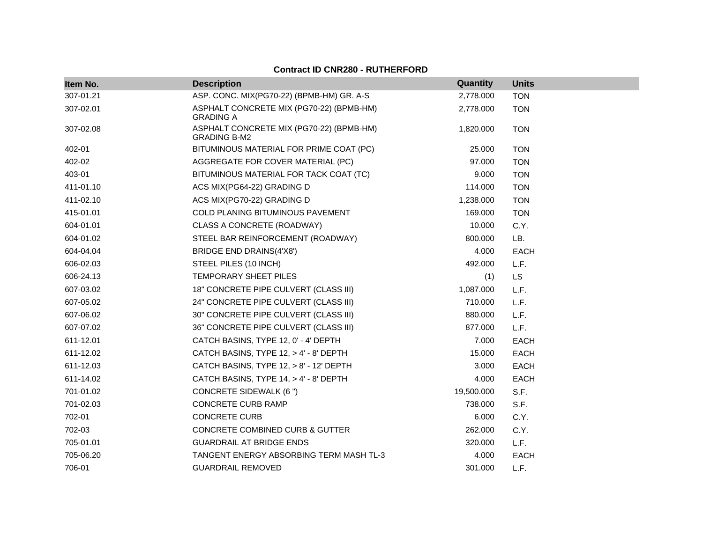| Item No.  | <b>Description</b>                                              | Quantity   | <b>Units</b> |
|-----------|-----------------------------------------------------------------|------------|--------------|
| 307-01.21 | ASP. CONC. MIX(PG70-22) (BPMB-HM) GR. A-S                       | 2,778.000  | <b>TON</b>   |
| 307-02.01 | ASPHALT CONCRETE MIX (PG70-22) (BPMB-HM)<br><b>GRADING A</b>    | 2,778.000  | <b>TON</b>   |
| 307-02.08 | ASPHALT CONCRETE MIX (PG70-22) (BPMB-HM)<br><b>GRADING B-M2</b> | 1,820.000  | <b>TON</b>   |
| 402-01    | BITUMINOUS MATERIAL FOR PRIME COAT (PC)                         | 25.000     | <b>TON</b>   |
| 402-02    | AGGREGATE FOR COVER MATERIAL (PC)                               | 97.000     | <b>TON</b>   |
| 403-01    | BITUMINOUS MATERIAL FOR TACK COAT (TC)                          | 9.000      | <b>TON</b>   |
| 411-01.10 | ACS MIX(PG64-22) GRADING D                                      | 114.000    | <b>TON</b>   |
| 411-02.10 | ACS MIX(PG70-22) GRADING D                                      | 1,238.000  | <b>TON</b>   |
| 415-01.01 | COLD PLANING BITUMINOUS PAVEMENT                                | 169.000    | <b>TON</b>   |
| 604-01.01 | CLASS A CONCRETE (ROADWAY)                                      | 10.000     | C.Y.         |
| 604-01.02 | STEEL BAR REINFORCEMENT (ROADWAY)                               | 800.000    | LB.          |
| 604-04.04 | BRIDGE END DRAINS(4'X8')                                        | 4.000      | EACH         |
| 606-02.03 | STEEL PILES (10 INCH)                                           | 492.000    | L.F.         |
| 606-24.13 | TEMPORARY SHEET PILES                                           | (1)        | <b>LS</b>    |
| 607-03.02 | 18" CONCRETE PIPE CULVERT (CLASS III)                           | 1,087.000  | L.F.         |
| 607-05.02 | 24" CONCRETE PIPE CULVERT (CLASS III)                           | 710.000    | L.F.         |
| 607-06.02 | 30" CONCRETE PIPE CULVERT (CLASS III)                           | 880.000    | L.F.         |
| 607-07.02 | 36" CONCRETE PIPE CULVERT (CLASS III)                           | 877.000    | L.F.         |
| 611-12.01 | CATCH BASINS, TYPE 12, 0' - 4' DEPTH                            | 7.000      | EACH         |
| 611-12.02 | CATCH BASINS, TYPE 12, > 4' - 8' DEPTH                          | 15.000     | <b>EACH</b>  |
| 611-12.03 | CATCH BASINS, TYPE 12, > 8' - 12' DEPTH                         | 3.000      | <b>EACH</b>  |
| 611-14.02 | CATCH BASINS, TYPE 14, > 4' - 8' DEPTH                          | 4.000      | EACH         |
| 701-01.02 | <b>CONCRETE SIDEWALK (6 ")</b>                                  | 19,500.000 | S.F.         |
| 701-02.03 | CONCRETE CURB RAMP                                              | 738.000    | S.F.         |
| 702-01    | <b>CONCRETE CURB</b>                                            | 6.000      | C.Y.         |
| 702-03    | CONCRETE COMBINED CURB & GUTTER                                 | 262.000    | C.Y.         |
| 705-01.01 | <b>GUARDRAIL AT BRIDGE ENDS</b>                                 | 320.000    | L.F.         |
| 705-06.20 | TANGENT ENERGY ABSORBING TERM MASH TL-3                         | 4.000      | EACH         |
| 706-01    | <b>GUARDRAIL REMOVED</b>                                        | 301.000    | L.F.         |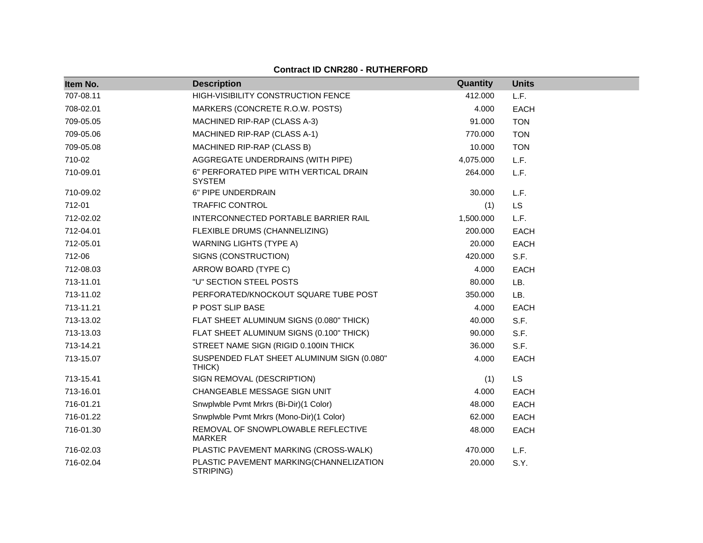| Item No.  | <b>Description</b>                                      | Quantity  | <b>Units</b> |
|-----------|---------------------------------------------------------|-----------|--------------|
| 707-08.11 | HIGH-VISIBILITY CONSTRUCTION FENCE                      | 412.000   | L.F.         |
| 708-02.01 | MARKERS (CONCRETE R.O.W. POSTS)                         | 4.000     | <b>EACH</b>  |
| 709-05.05 | MACHINED RIP-RAP (CLASS A-3)                            | 91.000    | <b>TON</b>   |
| 709-05.06 | MACHINED RIP-RAP (CLASS A-1)                            | 770.000   | <b>TON</b>   |
| 709-05.08 | MACHINED RIP-RAP (CLASS B)                              | 10.000    | <b>TON</b>   |
| 710-02    | AGGREGATE UNDERDRAINS (WITH PIPE)                       | 4,075.000 | L.F.         |
| 710-09.01 | 6" PERFORATED PIPE WITH VERTICAL DRAIN<br><b>SYSTEM</b> | 264.000   | L.F.         |
| 710-09.02 | 6" PIPE UNDERDRAIN                                      | 30.000    | L.F.         |
| 712-01    | <b>TRAFFIC CONTROL</b>                                  | (1)       | <b>LS</b>    |
| 712-02.02 | INTERCONNECTED PORTABLE BARRIER RAIL                    | 1,500.000 | L.F.         |
| 712-04.01 | FLEXIBLE DRUMS (CHANNELIZING)                           | 200.000   | <b>EACH</b>  |
| 712-05.01 | <b>WARNING LIGHTS (TYPE A)</b>                          | 20.000    | <b>EACH</b>  |
| 712-06    | SIGNS (CONSTRUCTION)                                    | 420.000   | S.F.         |
| 712-08.03 | ARROW BOARD (TYPE C)                                    | 4.000     | <b>EACH</b>  |
| 713-11.01 | "U" SECTION STEEL POSTS                                 | 80.000    | LB.          |
| 713-11.02 | PERFORATED/KNOCKOUT SQUARE TUBE POST                    | 350.000   | LB.          |
| 713-11.21 | P POST SLIP BASE                                        | 4.000     | <b>EACH</b>  |
| 713-13.02 | FLAT SHEET ALUMINUM SIGNS (0.080" THICK)                | 40.000    | S.F.         |
| 713-13.03 | FLAT SHEET ALUMINUM SIGNS (0.100" THICK)                | 90.000    | S.F.         |
| 713-14.21 | STREET NAME SIGN (RIGID 0.100IN THICK)                  | 36.000    | S.F.         |
| 713-15.07 | SUSPENDED FLAT SHEET ALUMINUM SIGN (0.080"<br>THICK)    | 4.000     | <b>EACH</b>  |
| 713-15.41 | SIGN REMOVAL (DESCRIPTION)                              | (1)       | <b>LS</b>    |
| 713-16.01 | CHANGEABLE MESSAGE SIGN UNIT                            | 4.000     | <b>EACH</b>  |
| 716-01.21 | Snwplwble Pvmt Mrkrs (Bi-Dir)(1 Color)                  | 48.000    | <b>EACH</b>  |
| 716-01.22 | Snwplwble Pvmt Mrkrs (Mono-Dir)(1 Color)                | 62.000    | EACH         |
| 716-01.30 | REMOVAL OF SNOWPLOWABLE REFLECTIVE<br><b>MARKER</b>     | 48.000    | EACH         |
| 716-02.03 | PLASTIC PAVEMENT MARKING (CROSS-WALK)                   | 470.000   | L.F.         |
| 716-02.04 | PLASTIC PAVEMENT MARKING(CHANNELIZATION<br>STRIPING)    | 20.000    | S.Y.         |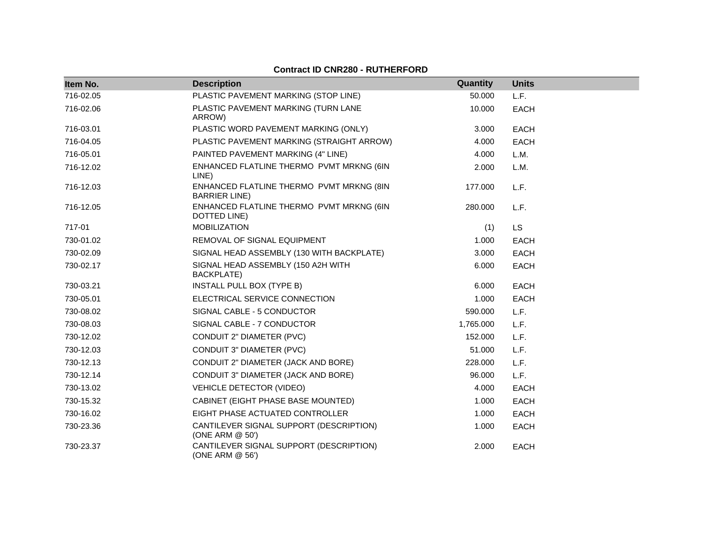| Item No.  | <b>Description</b>                                               | Quantity  | <b>Units</b> |  |
|-----------|------------------------------------------------------------------|-----------|--------------|--|
| 716-02.05 | PLASTIC PAVEMENT MARKING (STOP LINE)                             | 50.000    | L.F.         |  |
| 716-02.06 | PLASTIC PAVEMENT MARKING (TURN LANE<br>ARROW)                    | 10.000    | <b>EACH</b>  |  |
| 716-03.01 | PLASTIC WORD PAVEMENT MARKING (ONLY)                             | 3.000     | <b>EACH</b>  |  |
| 716-04.05 | PLASTIC PAVEMENT MARKING (STRAIGHT ARROW)                        | 4.000     | <b>EACH</b>  |  |
| 716-05.01 | PAINTED PAVEMENT MARKING (4" LINE)                               | 4.000     | L.M.         |  |
| 716-12.02 | ENHANCED FLATLINE THERMO PVMT MRKNG (6IN<br>LINE)                | 2.000     | L.M.         |  |
| 716-12.03 | ENHANCED FLATLINE THERMO PVMT MRKNG (8IN<br><b>BARRIER LINE)</b> | 177.000   | L.F.         |  |
| 716-12.05 | ENHANCED FLATLINE THERMO PVMT MRKNG (6IN<br>DOTTED LINE)         | 280.000   | L.F.         |  |
| 717-01    | <b>MOBILIZATION</b>                                              | (1)       | LS           |  |
| 730-01.02 | REMOVAL OF SIGNAL EQUIPMENT                                      | 1.000     | <b>EACH</b>  |  |
| 730-02.09 | SIGNAL HEAD ASSEMBLY (130 WITH BACKPLATE)                        | 3.000     | <b>EACH</b>  |  |
| 730-02.17 | SIGNAL HEAD ASSEMBLY (150 A2H WITH<br>BACKPLATE)                 | 6.000     | <b>EACH</b>  |  |
| 730-03.21 | <b>INSTALL PULL BOX (TYPE B)</b>                                 | 6.000     | <b>EACH</b>  |  |
| 730-05.01 | ELECTRICAL SERVICE CONNECTION                                    | 1.000     | <b>EACH</b>  |  |
| 730-08.02 | SIGNAL CABLE - 5 CONDUCTOR                                       | 590.000   | L.F.         |  |
| 730-08.03 | SIGNAL CABLE - 7 CONDUCTOR                                       | 1,765.000 | L.F.         |  |
| 730-12.02 | CONDUIT 2" DIAMETER (PVC)                                        | 152.000   | L.F.         |  |
| 730-12.03 | CONDUIT 3" DIAMETER (PVC)                                        | 51.000    | L.F.         |  |
| 730-12.13 | CONDUIT 2" DIAMETER (JACK AND BORE)                              | 228.000   | L.F.         |  |
| 730-12.14 | CONDUIT 3" DIAMETER (JACK AND BORE)                              | 96.000    | L.F.         |  |
| 730-13.02 | <b>VEHICLE DETECTOR (VIDEO)</b>                                  | 4.000     | <b>EACH</b>  |  |
| 730-15.32 | CABINET (EIGHT PHASE BASE MOUNTED)                               | 1.000     | <b>EACH</b>  |  |
| 730-16.02 | EIGHT PHASE ACTUATED CONTROLLER                                  | 1.000     | <b>EACH</b>  |  |
| 730-23.36 | CANTILEVER SIGNAL SUPPORT (DESCRIPTION)<br>(ONE ARM @ 50')       | 1.000     | <b>EACH</b>  |  |
| 730-23.37 | CANTILEVER SIGNAL SUPPORT (DESCRIPTION)<br>(ONE ARM @ 56')       | 2.000     | <b>EACH</b>  |  |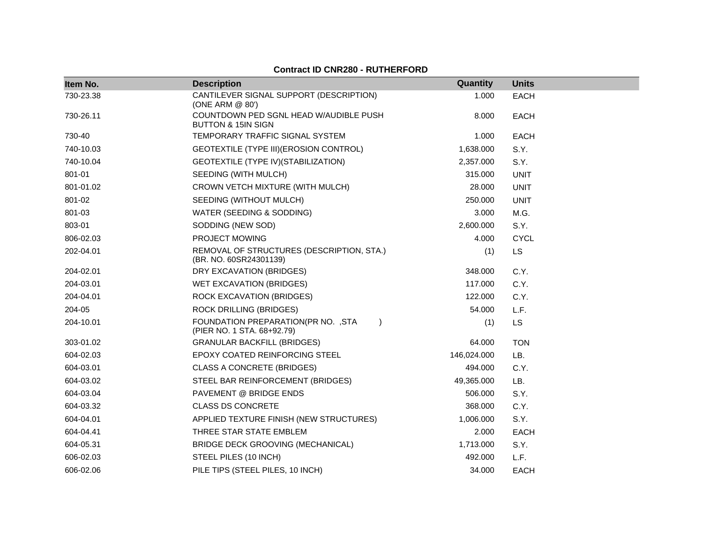| Item No.  | <b>Description</b>                                                             | Quantity    | <b>Units</b> |
|-----------|--------------------------------------------------------------------------------|-------------|--------------|
| 730-23.38 | CANTILEVER SIGNAL SUPPORT (DESCRIPTION)<br>(ONE ARM @ 80')                     | 1.000       | <b>EACH</b>  |
| 730-26.11 | COUNTDOWN PED SGNL HEAD W/AUDIBLE PUSH<br><b>BUTTON &amp; 15IN SIGN</b>        | 8.000       | <b>EACH</b>  |
| 730-40    | TEMPORARY TRAFFIC SIGNAL SYSTEM                                                | 1.000       | <b>EACH</b>  |
| 740-10.03 | GEOTEXTILE (TYPE III) (EROSION CONTROL)                                        | 1,638.000   | S.Y.         |
| 740-10.04 | GEOTEXTILE (TYPE IV) (STABILIZATION)                                           | 2,357.000   | S.Y.         |
| 801-01    | SEEDING (WITH MULCH)                                                           | 315.000     | <b>UNIT</b>  |
| 801-01.02 | CROWN VETCH MIXTURE (WITH MULCH)                                               | 28.000      | <b>UNIT</b>  |
| 801-02    | SEEDING (WITHOUT MULCH)                                                        | 250.000     | <b>UNIT</b>  |
| 801-03    | WATER (SEEDING & SODDING)                                                      | 3.000       | M.G.         |
| 803-01    | SODDING (NEW SOD)                                                              | 2,600.000   | S.Y.         |
| 806-02.03 | PROJECT MOWING                                                                 | 4.000       | <b>CYCL</b>  |
| 202-04.01 | REMOVAL OF STRUCTURES (DESCRIPTION, STA.)<br>(BR. NO. 60SR24301139)            | (1)         | LS           |
| 204-02.01 | DRY EXCAVATION (BRIDGES)                                                       | 348.000     | C.Y.         |
| 204-03.01 | WET EXCAVATION (BRIDGES)                                                       | 117.000     | C.Y.         |
| 204-04.01 | ROCK EXCAVATION (BRIDGES)                                                      | 122.000     | C.Y.         |
| 204-05    | <b>ROCK DRILLING (BRIDGES)</b>                                                 | 54.000      | L.F.         |
| 204-10.01 | FOUNDATION PREPARATION(PR NO. , STA<br>$\lambda$<br>(PIER NO. 1 STA. 68+92.79) | (1)         | LS           |
| 303-01.02 | <b>GRANULAR BACKFILL (BRIDGES)</b>                                             | 64.000      | <b>TON</b>   |
| 604-02.03 | EPOXY COATED REINFORCING STEEL                                                 | 146,024.000 | LB.          |
| 604-03.01 | <b>CLASS A CONCRETE (BRIDGES)</b>                                              | 494.000     | C.Y.         |
| 604-03.02 | STEEL BAR REINFORCEMENT (BRIDGES)                                              | 49,365.000  | LB.          |
| 604-03.04 | PAVEMENT @ BRIDGE ENDS                                                         | 506.000     | S.Y.         |
| 604-03.32 | <b>CLASS DS CONCRETE</b>                                                       | 368.000     | C.Y.         |
| 604-04.01 | APPLIED TEXTURE FINISH (NEW STRUCTURES)                                        | 1,006.000   | S.Y.         |
| 604-04.41 | THREE STAR STATE EMBLEM                                                        | 2.000       | <b>EACH</b>  |
| 604-05.31 | BRIDGE DECK GROOVING (MECHANICAL)                                              | 1,713.000   | S.Y.         |
| 606-02.03 | STEEL PILES (10 INCH)                                                          | 492.000     | L.F.         |
| 606-02.06 | PILE TIPS (STEEL PILES, 10 INCH)                                               | 34.000      | <b>EACH</b>  |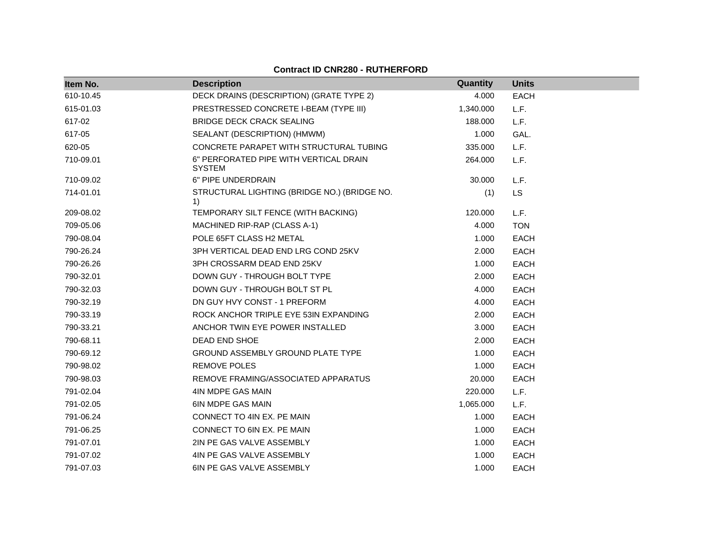| Item No.  | <b>Description</b>                                      | <b>Quantity</b> | <b>Units</b> |
|-----------|---------------------------------------------------------|-----------------|--------------|
| 610-10.45 | DECK DRAINS (DESCRIPTION) (GRATE TYPE 2)                | 4.000           | <b>EACH</b>  |
| 615-01.03 | PRESTRESSED CONCRETE I-BEAM (TYPE III)                  | 1,340.000       | L.F.         |
| 617-02    | <b>BRIDGE DECK CRACK SEALING</b>                        | 188.000         | L.F.         |
| 617-05    | SEALANT (DESCRIPTION) (HMWM)                            | 1.000           | GAL.         |
| 620-05    | CONCRETE PARAPET WITH STRUCTURAL TUBING                 | 335,000         | L.F.         |
| 710-09.01 | 6" PERFORATED PIPE WITH VERTICAL DRAIN<br><b>SYSTEM</b> | 264.000         | L.F.         |
| 710-09.02 | 6" PIPE UNDERDRAIN                                      | 30.000          | L.F.         |
| 714-01.01 | STRUCTURAL LIGHTING (BRIDGE NO.) (BRIDGE NO.<br>1)      | (1)             | <b>LS</b>    |
| 209-08.02 | TEMPORARY SILT FENCE (WITH BACKING)                     | 120.000         | L.F.         |
| 709-05.06 | MACHINED RIP-RAP (CLASS A-1)                            | 4.000           | <b>TON</b>   |
| 790-08.04 | POLE 65FT CLASS H2 METAL                                | 1.000           | EACH         |
| 790-26.24 | 3PH VERTICAL DEAD END LRG COND 25KV                     | 2.000           | <b>EACH</b>  |
| 790-26.26 | 3PH CROSSARM DEAD END 25KV                              | 1.000           | <b>EACH</b>  |
| 790-32.01 | DOWN GUY - THROUGH BOLT TYPE                            | 2.000           | EACH         |
| 790-32.03 | DOWN GUY - THROUGH BOLT ST PL                           | 4.000           | EACH         |
| 790-32.19 | DN GUY HVY CONST - 1 PREFORM                            | 4.000           | <b>EACH</b>  |
| 790-33.19 | ROCK ANCHOR TRIPLE EYE 53IN EXPANDING                   | 2.000           | <b>EACH</b>  |
| 790-33.21 | ANCHOR TWIN EYE POWER INSTALLED                         | 3.000           | <b>EACH</b>  |
| 790-68.11 | DEAD END SHOE                                           | 2.000           | EACH         |
| 790-69.12 | <b>GROUND ASSEMBLY GROUND PLATE TYPE</b>                | 1.000           | <b>EACH</b>  |
| 790-98.02 | <b>REMOVE POLES</b>                                     | 1.000           | <b>EACH</b>  |
| 790-98.03 | REMOVE FRAMING/ASSOCIATED APPARATUS                     | 20.000          | EACH         |
| 791-02.04 | 4IN MDPE GAS MAIN                                       | 220.000         | L.F.         |
| 791-02.05 | <b>6IN MDPE GAS MAIN</b>                                | 1,065.000       | L.F.         |
| 791-06.24 | CONNECT TO 4IN EX. PE MAIN                              | 1.000           | <b>EACH</b>  |
| 791-06.25 | CONNECT TO 6IN EX. PE MAIN                              | 1.000           | <b>EACH</b>  |
| 791-07.01 | 2IN PE GAS VALVE ASSEMBLY                               | 1.000           | <b>EACH</b>  |
| 791-07.02 | 4IN PE GAS VALVE ASSEMBLY                               | 1.000           | <b>EACH</b>  |
| 791-07.03 | <b>6IN PE GAS VALVE ASSEMBLY</b>                        | 1.000           | <b>EACH</b>  |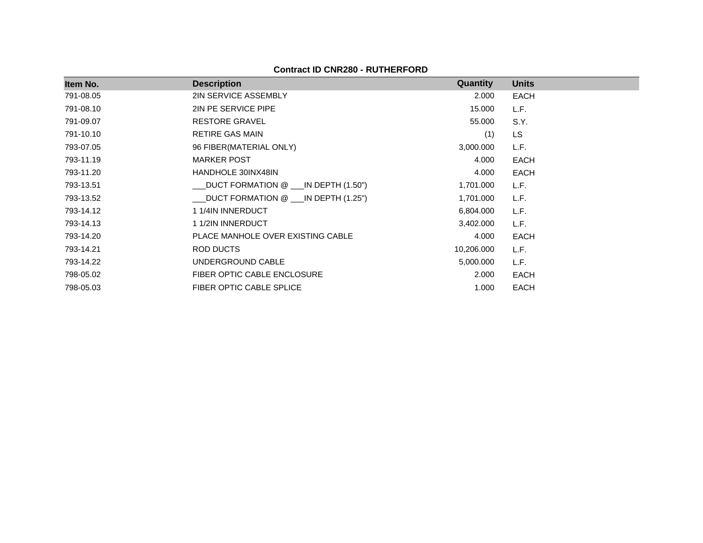**Contract ID CNR280 - RUTHERFORD**

| Item No.  | <b>Description</b>                    | Quantity   | <b>Units</b> |
|-----------|---------------------------------------|------------|--------------|
| 791-08.05 | <b>2IN SERVICE ASSEMBLY</b>           | 2.000      | EACH         |
| 791-08.10 | 2IN PE SERVICE PIPE                   | 15.000     | L.F.         |
| 791-09.07 | <b>RESTORE GRAVEL</b>                 | 55.000     | S.Y.         |
| 791-10.10 | <b>RETIRE GAS MAIN</b>                | (1)        | LS.          |
| 793-07.05 | 96 FIBER (MATERIAL ONLY)              | 3,000.000  | L.F.         |
| 793-11.19 | <b>MARKER POST</b>                    | 4.000      | EACH         |
| 793-11.20 | <b>HANDHOLE 30INX48IN</b>             | 4.000      | <b>EACH</b>  |
| 793-13.51 | DUCT FORMATION @ ___IN DEPTH (1.50")  | 1,701.000  | L.F.         |
| 793-13.52 | _DUCT FORMATION @ ___IN DEPTH (1.25") | 1,701.000  | L.F.         |
| 793-14.12 | 1 1/4IN INNERDUCT                     | 6,804.000  | L.F.         |
| 793-14.13 | 1 1/2IN INNERDUCT                     | 3,402.000  | L.F.         |
| 793-14.20 | PLACE MANHOLE OVER EXISTING CABLE     | 4.000      | EACH         |
| 793-14.21 | ROD DUCTS                             | 10,206.000 | L.F.         |
| 793-14.22 | UNDERGROUND CABLE                     | 5,000.000  | L.F.         |
| 798-05.02 | FIBER OPTIC CABLE ENCLOSURE           | 2.000      | EACH         |
| 798-05.03 | FIBER OPTIC CABLE SPLICE              | 1.000      | <b>EACH</b>  |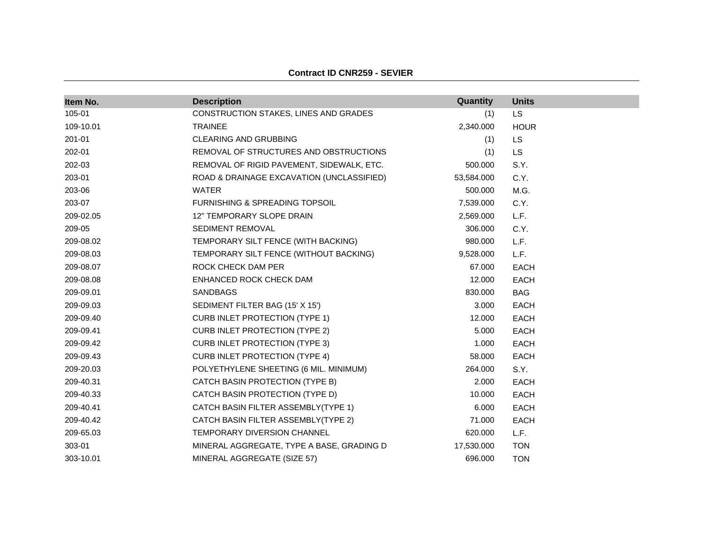| Item No.  | <b>Description</b>                        | Quantity   | <b>Units</b> |
|-----------|-------------------------------------------|------------|--------------|
| 105-01    | CONSTRUCTION STAKES, LINES AND GRADES     | (1)        | <b>LS</b>    |
| 109-10.01 | <b>TRAINEE</b>                            | 2,340.000  | <b>HOUR</b>  |
| 201-01    | CLEARING AND GRUBBING                     | (1)        | <b>LS</b>    |
| 202-01    | REMOVAL OF STRUCTURES AND OBSTRUCTIONS    | (1)        | <b>LS</b>    |
| 202-03    | REMOVAL OF RIGID PAVEMENT, SIDEWALK, ETC. | 500.000    | S.Y.         |
| 203-01    | ROAD & DRAINAGE EXCAVATION (UNCLASSIFIED) | 53,584.000 | C.Y.         |
| 203-06    | <b>WATER</b>                              | 500.000    | M.G.         |
| 203-07    | <b>FURNISHING &amp; SPREADING TOPSOIL</b> | 7,539.000  | C.Y.         |
| 209-02.05 | 12" TEMPORARY SLOPE DRAIN                 | 2,569.000  | L.F.         |
| 209-05    | SEDIMENT REMOVAL                          | 306.000    | C.Y.         |
| 209-08.02 | TEMPORARY SILT FENCE (WITH BACKING)       | 980.000    | L.F.         |
| 209-08.03 | TEMPORARY SILT FENCE (WITHOUT BACKING)    | 9,528.000  | L.F.         |
| 209-08.07 | ROCK CHECK DAM PER                        | 67.000     | EACH         |
| 209-08.08 | ENHANCED ROCK CHECK DAM                   | 12.000     | <b>EACH</b>  |
| 209-09.01 | <b>SANDBAGS</b>                           | 830.000    | <b>BAG</b>   |
| 209-09.03 | SEDIMENT FILTER BAG (15' X 15')           | 3.000      | EACH         |
| 209-09.40 | <b>CURB INLET PROTECTION (TYPE 1)</b>     | 12.000     | EACH         |
| 209-09.41 | <b>CURB INLET PROTECTION (TYPE 2)</b>     | 5.000      | <b>EACH</b>  |
| 209-09.42 | <b>CURB INLET PROTECTION (TYPE 3)</b>     | 1.000      | EACH         |
| 209-09.43 | <b>CURB INLET PROTECTION (TYPE 4)</b>     | 58.000     | <b>EACH</b>  |
| 209-20.03 | POLYETHYLENE SHEETING (6 MIL. MINIMUM)    | 264.000    | S.Y.         |
| 209-40.31 | CATCH BASIN PROTECTION (TYPE B)           | 2.000      | <b>EACH</b>  |
| 209-40.33 | CATCH BASIN PROTECTION (TYPE D)           | 10.000     | <b>EACH</b>  |
| 209-40.41 | CATCH BASIN FILTER ASSEMBLY(TYPE 1)       | 6.000      | EACH         |
| 209-40.42 | CATCH BASIN FILTER ASSEMBLY(TYPE 2)       | 71.000     | <b>EACH</b>  |
| 209-65.03 | <b>TEMPORARY DIVERSION CHANNEL</b>        | 620.000    | L.F.         |
| 303-01    | MINERAL AGGREGATE, TYPE A BASE, GRADING D | 17,530.000 | <b>TON</b>   |
| 303-10.01 | MINERAL AGGREGATE (SIZE 57)               | 696.000    | <b>TON</b>   |

#### **Contract ID CNR259 - SEVIER**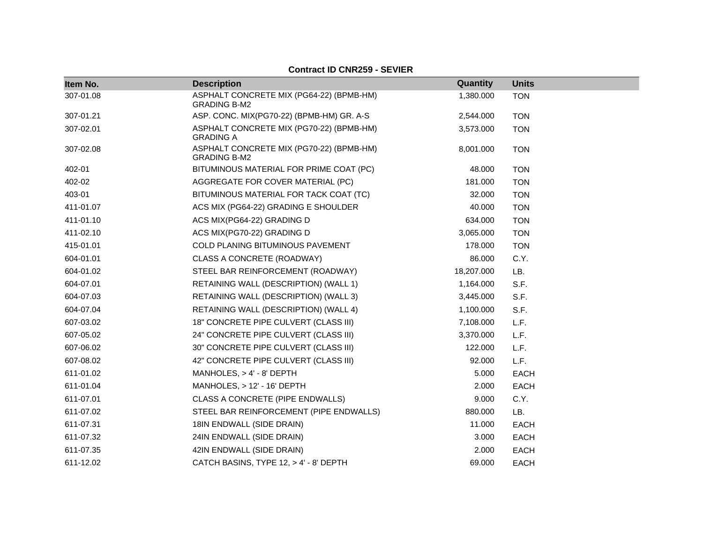| Item No.  | <b>Description</b>                                              | Quantity   | <b>Units</b> |
|-----------|-----------------------------------------------------------------|------------|--------------|
| 307-01.08 | ASPHALT CONCRETE MIX (PG64-22) (BPMB-HM)<br><b>GRADING B-M2</b> | 1,380.000  | <b>TON</b>   |
| 307-01.21 | ASP. CONC. MIX(PG70-22) (BPMB-HM) GR. A-S                       | 2,544.000  | <b>TON</b>   |
| 307-02.01 | ASPHALT CONCRETE MIX (PG70-22) (BPMB-HM)<br><b>GRADING A</b>    | 3,573.000  | <b>TON</b>   |
| 307-02.08 | ASPHALT CONCRETE MIX (PG70-22) (BPMB-HM)<br><b>GRADING B-M2</b> | 8,001.000  | <b>TON</b>   |
| 402-01    | BITUMINOUS MATERIAL FOR PRIME COAT (PC)                         | 48.000     | <b>TON</b>   |
| 402-02    | AGGREGATE FOR COVER MATERIAL (PC)                               | 181.000    | <b>TON</b>   |
| 403-01    | BITUMINOUS MATERIAL FOR TACK COAT (TC)                          | 32.000     | <b>TON</b>   |
| 411-01.07 | ACS MIX (PG64-22) GRADING E SHOULDER                            | 40.000     | <b>TON</b>   |
| 411-01.10 | ACS MIX(PG64-22) GRADING D                                      | 634.000    | <b>TON</b>   |
| 411-02.10 | ACS MIX(PG70-22) GRADING D                                      | 3,065.000  | <b>TON</b>   |
| 415-01.01 | COLD PLANING BITUMINOUS PAVEMENT                                | 178.000    | <b>TON</b>   |
| 604-01.01 | CLASS A CONCRETE (ROADWAY)                                      | 86.000     | C.Y.         |
| 604-01.02 | STEEL BAR REINFORCEMENT (ROADWAY)                               | 18,207.000 | LB.          |
| 604-07.01 | RETAINING WALL (DESCRIPTION) (WALL 1)                           | 1,164.000  | S.F.         |
| 604-07.03 | RETAINING WALL (DESCRIPTION) (WALL 3)                           | 3,445.000  | S.F.         |
| 604-07.04 | RETAINING WALL (DESCRIPTION) (WALL 4)                           | 1,100.000  | S.F.         |
| 607-03.02 | 18" CONCRETE PIPE CULVERT (CLASS III)                           | 7,108.000  | L.F.         |
| 607-05.02 | 24" CONCRETE PIPE CULVERT (CLASS III)                           | 3,370.000  | L.F.         |
| 607-06.02 | 30" CONCRETE PIPE CULVERT (CLASS III)                           | 122.000    | L.F.         |
| 607-08.02 | 42" CONCRETE PIPE CULVERT (CLASS III)                           | 92.000     | L.F.         |
| 611-01.02 | MANHOLES, $> 4' - 8'$ DEPTH                                     | 5.000      | <b>EACH</b>  |
| 611-01.04 | MANHOLES, > 12' - 16' DEPTH                                     | 2.000      | <b>EACH</b>  |
| 611-07.01 | CLASS A CONCRETE (PIPE ENDWALLS)                                | 9.000      | C.Y.         |
| 611-07.02 | STEEL BAR REINFORCEMENT (PIPE ENDWALLS)                         | 880.000    | LB.          |
| 611-07.31 | 18IN ENDWALL (SIDE DRAIN)                                       | 11.000     | <b>EACH</b>  |
| 611-07.32 | 24IN ENDWALL (SIDE DRAIN)                                       | 3.000      | <b>EACH</b>  |
| 611-07.35 | 42IN ENDWALL (SIDE DRAIN)                                       | 2.000      | <b>EACH</b>  |
| 611-12.02 | CATCH BASINS, TYPE 12, > 4' - 8' DEPTH                          | 69.000     | <b>EACH</b>  |

## **Contract ID CNR259 - SEVIER**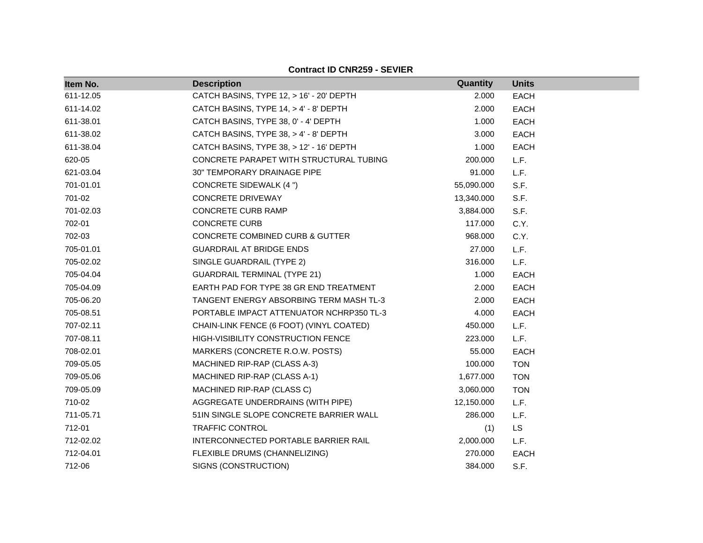| Item No.  | <b>Description</b>                         | Quantity   | <b>Units</b> |
|-----------|--------------------------------------------|------------|--------------|
| 611-12.05 | CATCH BASINS, TYPE 12, > 16' - 20' DEPTH   | 2.000      | <b>EACH</b>  |
| 611-14.02 | CATCH BASINS, TYPE 14, > 4' - 8' DEPTH     | 2.000      | <b>EACH</b>  |
| 611-38.01 | CATCH BASINS, TYPE 38, 0' - 4' DEPTH       | 1.000      | <b>EACH</b>  |
| 611-38.02 | CATCH BASINS, TYPE 38, > 4' - 8' DEPTH     | 3.000      | <b>EACH</b>  |
| 611-38.04 | CATCH BASINS, TYPE 38, > 12' - 16' DEPTH   | 1.000      | <b>EACH</b>  |
| 620-05    | CONCRETE PARAPET WITH STRUCTURAL TUBING    | 200.000    | L.F.         |
| 621-03.04 | 30" TEMPORARY DRAINAGE PIPE                | 91.000     | L.F.         |
| 701-01.01 | <b>CONCRETE SIDEWALK (4 ")</b>             | 55,090.000 | S.F.         |
| 701-02    | <b>CONCRETE DRIVEWAY</b>                   | 13,340.000 | S.F.         |
| 701-02.03 | <b>CONCRETE CURB RAMP</b>                  | 3,884.000  | S.F.         |
| 702-01    | <b>CONCRETE CURB</b>                       | 117.000    | C.Y.         |
| 702-03    | <b>CONCRETE COMBINED CURB &amp; GUTTER</b> | 968.000    | C.Y.         |
| 705-01.01 | <b>GUARDRAIL AT BRIDGE ENDS</b>            | 27.000     | L.F.         |
| 705-02.02 | SINGLE GUARDRAIL (TYPE 2)                  | 316.000    | L.F.         |
| 705-04.04 | <b>GUARDRAIL TERMINAL (TYPE 21)</b>        | 1.000      | <b>EACH</b>  |
| 705-04.09 | EARTH PAD FOR TYPE 38 GR END TREATMENT     | 2.000      | <b>EACH</b>  |
| 705-06.20 | TANGENT ENERGY ABSORBING TERM MASH TL-3    | 2.000      | EACH         |
| 705-08.51 | PORTABLE IMPACT ATTENUATOR NCHRP350 TL-3   | 4.000      | <b>EACH</b>  |
| 707-02.11 | CHAIN-LINK FENCE (6 FOOT) (VINYL COATED)   | 450.000    | L.F.         |
| 707-08.11 | <b>HIGH-VISIBILITY CONSTRUCTION FENCE</b>  | 223.000    | L.F.         |
| 708-02.01 | MARKERS (CONCRETE R.O.W. POSTS)            | 55.000     | <b>EACH</b>  |
| 709-05.05 | MACHINED RIP-RAP (CLASS A-3)               | 100.000    | <b>TON</b>   |
| 709-05.06 | MACHINED RIP-RAP (CLASS A-1)               | 1,677.000  | <b>TON</b>   |
| 709-05.09 | MACHINED RIP-RAP (CLASS C)                 | 3,060.000  | <b>TON</b>   |
| 710-02    | AGGREGATE UNDERDRAINS (WITH PIPE)          | 12,150.000 | L.F.         |
| 711-05.71 | 51IN SINGLE SLOPE CONCRETE BARRIER WALL    | 286.000    | L.F.         |
| 712-01    | TRAFFIC CONTROL                            | (1)        | LS           |
| 712-02.02 | INTERCONNECTED PORTABLE BARRIER RAIL       | 2,000.000  | L.F.         |
| 712-04.01 | FLEXIBLE DRUMS (CHANNELIZING)              | 270.000    | <b>EACH</b>  |
| 712-06    | SIGNS (CONSTRUCTION)                       | 384.000    | S.F.         |

**Contract ID CNR259 - SEVIER**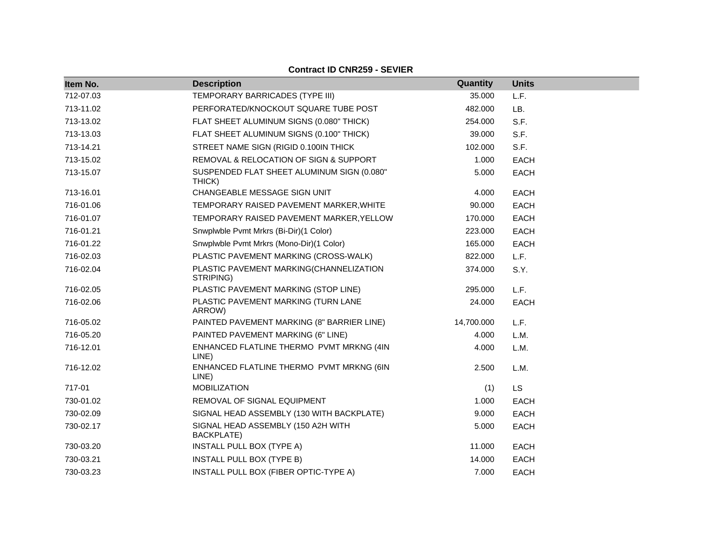| Item No.  | <b>Description</b>                                      | Quantity   | <b>Units</b> |
|-----------|---------------------------------------------------------|------------|--------------|
| 712-07.03 | TEMPORARY BARRICADES (TYPE III)                         | 35.000     | L.F.         |
| 713-11.02 | PERFORATED/KNOCKOUT SQUARE TUBE POST                    | 482.000    | LB.          |
| 713-13.02 | FLAT SHEET ALUMINUM SIGNS (0.080" THICK)                | 254.000    | S.F.         |
| 713-13.03 | FLAT SHEET ALUMINUM SIGNS (0.100" THICK)                | 39.000     | S.F.         |
| 713-14.21 | STREET NAME SIGN (RIGID 0.100IN THICK)                  | 102.000    | S.F.         |
| 713-15.02 | REMOVAL & RELOCATION OF SIGN & SUPPORT                  | 1.000      | <b>EACH</b>  |
| 713-15.07 | SUSPENDED FLAT SHEET ALUMINUM SIGN (0.080"<br>THICK)    | 5.000      | <b>EACH</b>  |
| 713-16.01 | CHANGEABLE MESSAGE SIGN UNIT                            | 4.000      | EACH         |
| 716-01.06 | TEMPORARY RAISED PAVEMENT MARKER, WHITE                 | 90.000     | <b>EACH</b>  |
| 716-01.07 | TEMPORARY RAISED PAVEMENT MARKER, YELLOW                | 170.000    | <b>EACH</b>  |
| 716-01.21 | Snwplwble Pvmt Mrkrs (Bi-Dir)(1 Color)                  | 223.000    | <b>EACH</b>  |
| 716-01.22 | Snwplwble Pvmt Mrkrs (Mono-Dir)(1 Color)                | 165.000    | <b>EACH</b>  |
| 716-02.03 | PLASTIC PAVEMENT MARKING (CROSS-WALK)                   | 822.000    | L.F.         |
| 716-02.04 | PLASTIC PAVEMENT MARKING(CHANNELIZATION<br>STRIPING)    | 374.000    | S.Y.         |
| 716-02.05 | PLASTIC PAVEMENT MARKING (STOP LINE)                    | 295.000    | L.F.         |
| 716-02.06 | PLASTIC PAVEMENT MARKING (TURN LANE<br>ARROW)           | 24.000     | <b>EACH</b>  |
| 716-05.02 | PAINTED PAVEMENT MARKING (8" BARRIER LINE)              | 14,700.000 | L.F.         |
| 716-05.20 | PAINTED PAVEMENT MARKING (6" LINE)                      | 4.000      | L.M.         |
| 716-12.01 | ENHANCED FLATLINE THERMO PVMT MRKNG (4IN<br>LINE)       | 4.000      | L.M.         |
| 716-12.02 | ENHANCED FLATLINE THERMO PVMT MRKNG (6IN<br>LINE)       | 2.500      | L.M.         |
| 717-01    | <b>MOBILIZATION</b>                                     | (1)        | <b>LS</b>    |
| 730-01.02 | REMOVAL OF SIGNAL EQUIPMENT                             | 1.000      | <b>EACH</b>  |
| 730-02.09 | SIGNAL HEAD ASSEMBLY (130 WITH BACKPLATE)               | 9.000      | <b>EACH</b>  |
| 730-02.17 | SIGNAL HEAD ASSEMBLY (150 A2H WITH<br><b>BACKPLATE)</b> | 5.000      | <b>EACH</b>  |
| 730-03.20 | INSTALL PULL BOX (TYPE A)                               | 11.000     | EACH         |
| 730-03.21 | INSTALL PULL BOX (TYPE B)                               | 14.000     | <b>EACH</b>  |
| 730-03.23 | INSTALL PULL BOX (FIBER OPTIC-TYPE A)                   | 7.000      | <b>EACH</b>  |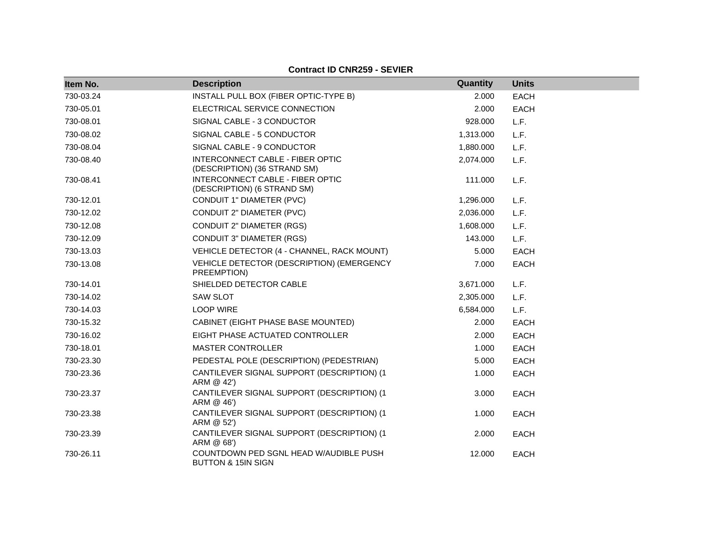| Item No.  | <b>Description</b>                                               | Quantity  | <b>Units</b> |
|-----------|------------------------------------------------------------------|-----------|--------------|
| 730-03.24 | INSTALL PULL BOX (FIBER OPTIC-TYPE B)                            | 2.000     | <b>EACH</b>  |
| 730-05.01 | ELECTRICAL SERVICE CONNECTION                                    | 2.000     | <b>EACH</b>  |
| 730-08.01 | SIGNAL CABLE - 3 CONDUCTOR                                       | 928.000   | L.F.         |
| 730-08.02 | SIGNAL CABLE - 5 CONDUCTOR                                       | 1,313.000 | L.F.         |
| 730-08.04 | SIGNAL CABLE - 9 CONDUCTOR                                       | 1,880.000 | L.F.         |
| 730-08.40 | INTERCONNECT CABLE - FIBER OPTIC<br>(DESCRIPTION) (36 STRAND SM) | 2,074.000 | L.F.         |
| 730-08.41 | INTERCONNECT CABLE - FIBER OPTIC<br>(DESCRIPTION) (6 STRAND SM)  | 111.000   | L.F.         |
| 730-12.01 | CONDUIT 1" DIAMETER (PVC)                                        | 1,296.000 | L.F.         |
| 730-12.02 | CONDUIT 2" DIAMETER (PVC)                                        | 2,036.000 | L.F.         |
| 730-12.08 | CONDUIT 2" DIAMETER (RGS)                                        | 1,608.000 | L.F.         |
| 730-12.09 | <b>CONDUIT 3" DIAMETER (RGS)</b>                                 | 143.000   | L.F.         |
| 730-13.03 | VEHICLE DETECTOR (4 - CHANNEL, RACK MOUNT)                       | 5.000     | EACH         |
| 730-13.08 | VEHICLE DETECTOR (DESCRIPTION) (EMERGENCY<br>PREEMPTION)         | 7.000     | <b>EACH</b>  |
| 730-14.01 | SHIELDED DETECTOR CABLE                                          | 3,671.000 | L.F.         |
| 730-14.02 | <b>SAW SLOT</b>                                                  | 2,305.000 | L.F.         |
| 730-14.03 | <b>LOOP WIRE</b>                                                 | 6,584.000 | L.F.         |
| 730-15.32 | CABINET (EIGHT PHASE BASE MOUNTED)                               | 2.000     | EACH         |
| 730-16.02 | EIGHT PHASE ACTUATED CONTROLLER                                  | 2.000     | EACH         |
| 730-18.01 | <b>MASTER CONTROLLER</b>                                         | 1.000     | <b>EACH</b>  |
| 730-23.30 | PEDESTAL POLE (DESCRIPTION) (PEDESTRIAN)                         | 5.000     | <b>EACH</b>  |
| 730-23.36 | CANTILEVER SIGNAL SUPPORT (DESCRIPTION) (1<br>ARM @ 42')         | 1.000     | <b>EACH</b>  |
| 730-23.37 | CANTILEVER SIGNAL SUPPORT (DESCRIPTION) (1<br>ARM @ 46')         | 3.000     | <b>EACH</b>  |
| 730-23.38 | CANTILEVER SIGNAL SUPPORT (DESCRIPTION) (1<br>ARM @ 52')         | 1.000     | <b>EACH</b>  |
| 730-23.39 | CANTILEVER SIGNAL SUPPORT (DESCRIPTION) (1<br>ARM @ 68')         | 2.000     | <b>EACH</b>  |
| 730-26.11 | COUNTDOWN PED SGNL HEAD W/AUDIBLE PUSH<br>BUTTON & 15IN SIGN     | 12.000    | <b>EACH</b>  |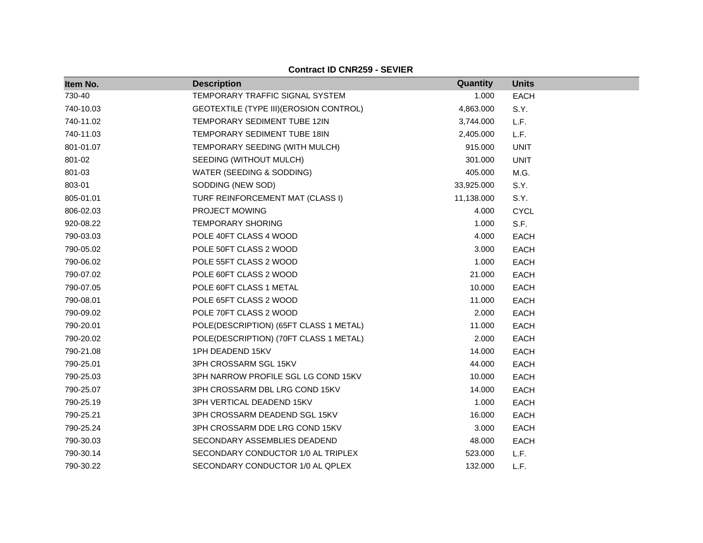| Item No.  | <b>Description</b>                      | Quantity   | <b>Units</b> |
|-----------|-----------------------------------------|------------|--------------|
| 730-40    | TEMPORARY TRAFFIC SIGNAL SYSTEM         | 1.000      | <b>EACH</b>  |
| 740-10.03 | GEOTEXTILE (TYPE III) (EROSION CONTROL) | 4,863.000  | S.Y.         |
| 740-11.02 | TEMPORARY SEDIMENT TUBE 12IN            | 3,744.000  | L.F.         |
| 740-11.03 | TEMPORARY SEDIMENT TUBE 18IN            | 2,405.000  | L.F.         |
| 801-01.07 | TEMPORARY SEEDING (WITH MULCH)          | 915.000    | <b>UNIT</b>  |
| 801-02    | SEEDING (WITHOUT MULCH)                 | 301.000    | <b>UNIT</b>  |
| 801-03    | WATER (SEEDING & SODDING)               | 405.000    | M.G.         |
| 803-01    | SODDING (NEW SOD)                       | 33,925.000 | S.Y.         |
| 805-01.01 | TURF REINFORCEMENT MAT (CLASS I)        | 11,138.000 | S.Y.         |
| 806-02.03 | PROJECT MOWING                          | 4.000      | <b>CYCL</b>  |
| 920-08.22 | <b>TEMPORARY SHORING</b>                | 1.000      | S.F.         |
| 790-03.03 | POLE 40FT CLASS 4 WOOD                  | 4.000      | <b>EACH</b>  |
| 790-05.02 | POLE 50FT CLASS 2 WOOD                  | 3.000      | <b>EACH</b>  |
| 790-06.02 | POLE 55FT CLASS 2 WOOD                  | 1.000      | <b>EACH</b>  |
| 790-07.02 | POLE 60FT CLASS 2 WOOD                  | 21.000     | <b>EACH</b>  |
| 790-07.05 | POLE 60FT CLASS 1 METAL                 | 10.000     | <b>EACH</b>  |
| 790-08.01 | POLE 65FT CLASS 2 WOOD                  | 11.000     | <b>EACH</b>  |
| 790-09.02 | POLE 70FT CLASS 2 WOOD                  | 2.000      | <b>EACH</b>  |
| 790-20.01 | POLE(DESCRIPTION) (65FT CLASS 1 METAL)  | 11.000     | <b>EACH</b>  |
| 790-20.02 | POLE(DESCRIPTION) (70FT CLASS 1 METAL)  | 2.000      | <b>EACH</b>  |
| 790-21.08 | 1PH DEADEND 15KV                        | 14.000     | <b>EACH</b>  |
| 790-25.01 | 3PH CROSSARM SGL 15KV                   | 44.000     | <b>EACH</b>  |
| 790-25.03 | 3PH NARROW PROFILE SGL LG COND 15KV     | 10.000     | <b>EACH</b>  |
| 790-25.07 | 3PH CROSSARM DBL LRG COND 15KV          | 14.000     | <b>EACH</b>  |
| 790-25.19 | 3PH VERTICAL DEADEND 15KV               | 1.000      | <b>EACH</b>  |
| 790-25.21 | 3PH CROSSARM DEADEND SGL 15KV           | 16.000     | <b>EACH</b>  |
| 790-25.24 | 3PH CROSSARM DDE LRG COND 15KV          | 3.000      | <b>EACH</b>  |
| 790-30.03 | SECONDARY ASSEMBLIES DEADEND            | 48.000     | <b>EACH</b>  |
| 790-30.14 | SECONDARY CONDUCTOR 1/0 AL TRIPLEX      | 523.000    | L.F.         |
| 790-30.22 | SECONDARY CONDUCTOR 1/0 AL QPLEX        | 132.000    | L.F.         |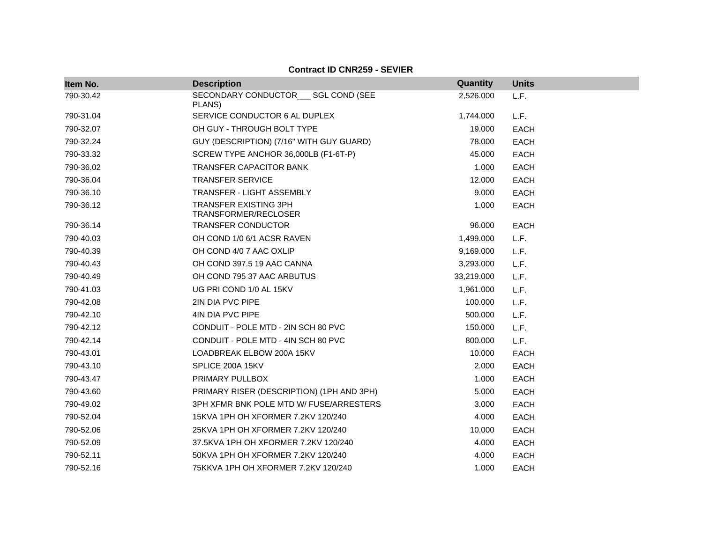| Item No.  | <b>Description</b>                             | <b>Quantity</b> | <b>Units</b> |
|-----------|------------------------------------------------|-----------------|--------------|
| 790-30.42 | SECONDARY CONDUCTOR___ SGL COND (SEE<br>PLANS) | 2,526.000       | L.F.         |
| 790-31.04 | SERVICE CONDUCTOR 6 AL DUPLEX                  | 1,744.000       | L.F.         |
| 790-32.07 | OH GUY - THROUGH BOLT TYPE                     | 19.000          | <b>EACH</b>  |
| 790-32.24 | GUY (DESCRIPTION) (7/16" WITH GUY GUARD)       | 78,000          | <b>EACH</b>  |
| 790-33.32 | SCREW TYPE ANCHOR 36,000LB (F1-6T-P)           | 45.000          | <b>EACH</b>  |
| 790-36.02 | <b>TRANSFER CAPACITOR BANK</b>                 | 1.000           | <b>EACH</b>  |
| 790-36.04 | <b>TRANSFER SERVICE</b>                        | 12.000          | <b>EACH</b>  |
| 790-36.10 | TRANSFER - LIGHT ASSEMBLY                      | 9.000           | <b>EACH</b>  |
| 790-36.12 | TRANSFER EXISTING 3PH<br>TRANSFORMER/RECLOSER  | 1.000           | <b>EACH</b>  |
| 790-36.14 | <b>TRANSFER CONDUCTOR</b>                      | 96.000          | <b>EACH</b>  |
| 790-40.03 | OH COND 1/0 6/1 ACSR RAVEN                     | 1,499.000       | L.F.         |
| 790-40.39 | OH COND 4/0 7 AAC OXLIP                        | 9,169.000       | L.F.         |
| 790-40.43 | OH COND 397.5 19 AAC CANNA                     | 3,293.000       | L.F.         |
| 790-40.49 | OH COND 795 37 AAC ARBUTUS                     | 33,219.000      | L.F.         |
| 790-41.03 | UG PRI COND 1/0 AL 15KV                        | 1,961.000       | L.F.         |
| 790-42.08 | 2IN DIA PVC PIPE                               | 100.000         | L.F.         |
| 790-42.10 | 4IN DIA PVC PIPE                               | 500.000         | L.F.         |
| 790-42.12 | CONDUIT - POLE MTD - 2IN SCH 80 PVC            | 150.000         | L.F.         |
| 790-42.14 | CONDUIT - POLE MTD - 4IN SCH 80 PVC            | 800.000         | L.F.         |
| 790-43.01 | LOADBREAK ELBOW 200A 15KV                      | 10.000          | <b>EACH</b>  |
| 790-43.10 | SPLICE 200A 15KV                               | 2.000           | <b>EACH</b>  |
| 790-43.47 | PRIMARY PULLBOX                                | 1.000           | <b>EACH</b>  |
| 790-43.60 | PRIMARY RISER (DESCRIPTION) (1PH AND 3PH)      | 5.000           | <b>EACH</b>  |
| 790-49.02 | 3PH XFMR BNK POLE MTD W/ FUSE/ARRESTERS        | 3.000           | <b>EACH</b>  |
| 790-52.04 | 15KVA 1PH OH XFORMER 7.2KV 120/240             | 4.000           | <b>EACH</b>  |
| 790-52.06 | 25KVA 1PH OH XFORMER 7.2KV 120/240             | 10.000          | <b>EACH</b>  |
| 790-52.09 | 37.5KVA 1PH OH XFORMER 7.2KV 120/240           | 4.000           | <b>EACH</b>  |
| 790-52.11 | 50KVA 1PH OH XFORMER 7.2KV 120/240             | 4.000           | <b>EACH</b>  |
| 790-52.16 | 75KKVA 1PH OH XFORMER 7.2KV 120/240            | 1.000           | <b>EACH</b>  |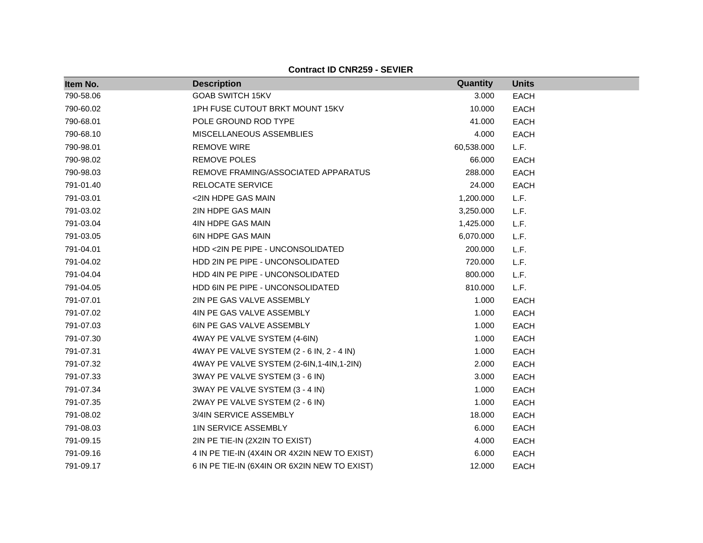| Item No.  | <b>Description</b>                           | Quantity   | <b>Units</b> |
|-----------|----------------------------------------------|------------|--------------|
| 790-58.06 | <b>GOAB SWITCH 15KV</b>                      | 3.000      | <b>EACH</b>  |
| 790-60.02 | 1PH FUSE CUTOUT BRKT MOUNT 15KV              | 10.000     | <b>EACH</b>  |
| 790-68.01 | POLE GROUND ROD TYPE                         | 41.000     | <b>EACH</b>  |
| 790-68.10 | MISCELLANEOUS ASSEMBLIES                     | 4.000      | <b>EACH</b>  |
| 790-98.01 | <b>REMOVE WIRE</b>                           | 60,538.000 | L.F.         |
| 790-98.02 | <b>REMOVE POLES</b>                          | 66.000     | <b>EACH</b>  |
| 790-98.03 | REMOVE FRAMING/ASSOCIATED APPARATUS          | 288.000    | <b>EACH</b>  |
| 791-01.40 | RELOCATE SERVICE                             | 24.000     | <b>EACH</b>  |
| 791-03.01 | <2IN HDPE GAS MAIN                           | 1,200.000  | L.F.         |
| 791-03.02 | 2IN HDPE GAS MAIN                            | 3,250.000  | L.F.         |
| 791-03.04 | 4IN HDPE GAS MAIN                            | 1,425.000  | L.F.         |
| 791-03.05 | <b>6IN HDPE GAS MAIN</b>                     | 6,070.000  | L.F.         |
| 791-04.01 | HDD <2IN PE PIPE - UNCONSOLIDATED            | 200.000    | L.F.         |
| 791-04.02 | HDD 2IN PE PIPE - UNCONSOLIDATED             | 720.000    | L.F.         |
| 791-04.04 | HDD 4IN PE PIPE - UNCONSOLIDATED             | 800.000    | L.F.         |
| 791-04.05 | HDD 6IN PE PIPE - UNCONSOLIDATED             | 810.000    | L.F.         |
| 791-07.01 | 2IN PE GAS VALVE ASSEMBLY                    | 1.000      | <b>EACH</b>  |
| 791-07.02 | 4IN PE GAS VALVE ASSEMBLY                    | 1.000      | <b>EACH</b>  |
| 791-07.03 | 6IN PE GAS VALVE ASSEMBLY                    | 1.000      | <b>EACH</b>  |
| 791-07.30 | 4WAY PE VALVE SYSTEM (4-6IN)                 | 1.000      | <b>EACH</b>  |
| 791-07.31 | 4WAY PE VALVE SYSTEM (2 - 6 IN, 2 - 4 IN)    | 1.000      | <b>EACH</b>  |
| 791-07.32 | 4WAY PE VALVE SYSTEM (2-6IN, 1-4IN, 1-2IN)   | 2.000      | <b>EACH</b>  |
| 791-07.33 | 3WAY PE VALVE SYSTEM (3 - 6 IN)              | 3.000      | <b>EACH</b>  |
| 791-07.34 | 3WAY PE VALVE SYSTEM (3 - 4 IN)              | 1.000      | <b>EACH</b>  |
| 791-07.35 | 2WAY PE VALVE SYSTEM (2 - 6 IN)              | 1.000      | <b>EACH</b>  |
| 791-08.02 | 3/4IN SERVICE ASSEMBLY                       | 18.000     | <b>EACH</b>  |
| 791-08.03 | <b>1IN SERVICE ASSEMBLY</b>                  | 6.000      | <b>EACH</b>  |
| 791-09.15 | 2IN PE TIE-IN (2X2IN TO EXIST)               | 4.000      | <b>EACH</b>  |
| 791-09.16 | 4 IN PE TIE-IN (4X4IN OR 4X2IN NEW TO EXIST) | 6.000      | <b>EACH</b>  |
| 791-09.17 | 6 IN PE TIE-IN (6X4IN OR 6X2IN NEW TO EXIST) | 12.000     | <b>EACH</b>  |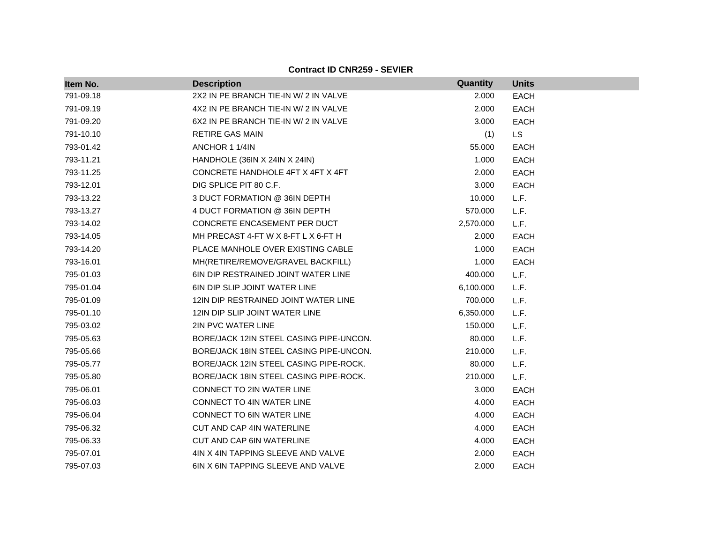| Item No.  | <b>Description</b>                         | Quantity  | <b>Units</b> |
|-----------|--------------------------------------------|-----------|--------------|
| 791-09.18 | 2X2 IN PE BRANCH TIE-IN W/ 2 IN VALVE      | 2.000     | <b>EACH</b>  |
| 791-09.19 | 4X2 IN PE BRANCH TIE-IN W/ 2 IN VALVE      | 2.000     | <b>EACH</b>  |
| 791-09.20 | 6X2 IN PE BRANCH TIE-IN W/ 2 IN VALVE      | 3.000     | <b>EACH</b>  |
| 791-10.10 | <b>RETIRE GAS MAIN</b>                     | (1)       | <b>LS</b>    |
| 793-01.42 | ANCHOR 1 1/4IN                             | 55.000    | <b>EACH</b>  |
| 793-11.21 | HANDHOLE (36IN X 24IN X 24IN)              | 1.000     | <b>EACH</b>  |
| 793-11.25 | CONCRETE HANDHOLE 4FT X 4FT X 4FT          | 2.000     | <b>EACH</b>  |
| 793-12.01 | DIG SPLICE PIT 80 C.F.                     | 3.000     | <b>EACH</b>  |
| 793-13.22 | 3 DUCT FORMATION @ 36IN DEPTH              | 10.000    | L.F.         |
| 793-13.27 | 4 DUCT FORMATION @ 36IN DEPTH              | 570.000   | L.F.         |
| 793-14.02 | CONCRETE ENCASEMENT PER DUCT               | 2,570.000 | L.F.         |
| 793-14.05 | MH PRECAST 4-FT W X 8-FT L X 6-FT H        | 2.000     | <b>EACH</b>  |
| 793-14.20 | PLACE MANHOLE OVER EXISTING CABLE          | 1.000     | <b>EACH</b>  |
| 793-16.01 | MH(RETIRE/REMOVE/GRAVEL BACKFILL)          | 1.000     | <b>EACH</b>  |
| 795-01.03 | <b>6IN DIP RESTRAINED JOINT WATER LINE</b> | 400.000   | L.F.         |
| 795-01.04 | <b>6IN DIP SLIP JOINT WATER LINE</b>       | 6,100.000 | L.F.         |
| 795-01.09 | 12IN DIP RESTRAINED JOINT WATER LINE       | 700.000   | L.F.         |
| 795-01.10 | 12IN DIP SLIP JOINT WATER LINE             | 6,350.000 | L.F.         |
| 795-03.02 | 2IN PVC WATER LINE                         | 150.000   | L.F.         |
| 795-05.63 | BORE/JACK 12IN STEEL CASING PIPE-UNCON.    | 80.000    | L.F.         |
| 795-05.66 | BORE/JACK 18IN STEEL CASING PIPE-UNCON.    | 210.000   | L.F.         |
| 795-05.77 | BORE/JACK 12IN STEEL CASING PIPE-ROCK.     | 80.000    | L.F.         |
| 795-05.80 | BORE/JACK 18IN STEEL CASING PIPE-ROCK.     | 210.000   | L.F.         |
| 795-06.01 | CONNECT TO 2IN WATER LINE                  | 3.000     | <b>EACH</b>  |
| 795-06.03 | <b>CONNECT TO 4IN WATER LINE</b>           | 4.000     | <b>EACH</b>  |
| 795-06.04 | CONNECT TO 6IN WATER LINE                  | 4.000     | <b>EACH</b>  |
| 795-06.32 | CUT AND CAP 4IN WATERLINE                  | 4.000     | <b>EACH</b>  |
| 795-06.33 | <b>CUT AND CAP 6IN WATERLINE</b>           | 4.000     | EACH         |
| 795-07.01 | 4IN X 4IN TAPPING SLEEVE AND VALVE         | 2.000     | <b>EACH</b>  |
| 795-07.03 | 6IN X 6IN TAPPING SLEEVE AND VALVE         | 2.000     | <b>EACH</b>  |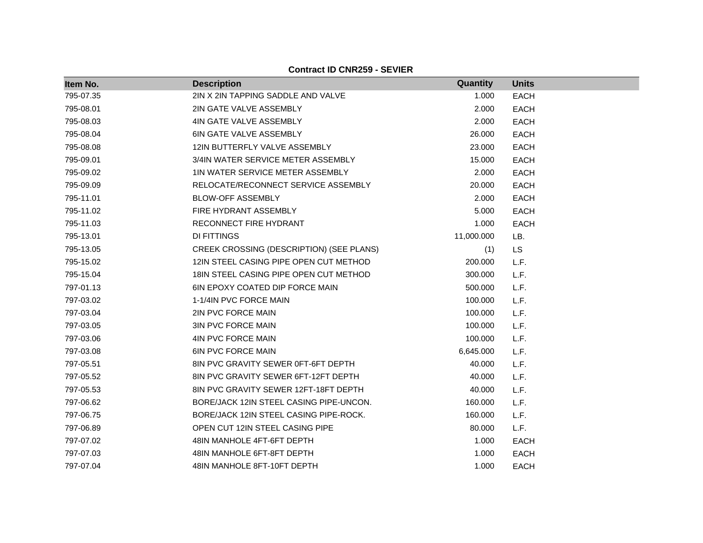| Item No.  | <b>Description</b>                       | Quantity   | <b>Units</b> |  |
|-----------|------------------------------------------|------------|--------------|--|
| 795-07.35 | 2IN X 2IN TAPPING SADDLE AND VALVE       | 1.000      | <b>EACH</b>  |  |
| 795-08.01 | 2IN GATE VALVE ASSEMBLY                  | 2.000      | <b>EACH</b>  |  |
| 795-08.03 | 4IN GATE VALVE ASSEMBLY                  | 2.000      | <b>EACH</b>  |  |
| 795-08.04 | <b>6IN GATE VALVE ASSEMBLY</b>           | 26.000     | <b>EACH</b>  |  |
| 795-08.08 | 12IN BUTTERFLY VALVE ASSEMBLY            | 23.000     | <b>EACH</b>  |  |
| 795-09.01 | 3/4IN WATER SERVICE METER ASSEMBLY       | 15.000     | <b>EACH</b>  |  |
| 795-09.02 | 1IN WATER SERVICE METER ASSEMBLY         | 2.000      | <b>EACH</b>  |  |
| 795-09.09 | RELOCATE/RECONNECT SERVICE ASSEMBLY      | 20.000     | <b>EACH</b>  |  |
| 795-11.01 | <b>BLOW-OFF ASSEMBLY</b>                 | 2.000      | <b>EACH</b>  |  |
| 795-11.02 | FIRE HYDRANT ASSEMBLY                    | 5.000      | <b>EACH</b>  |  |
| 795-11.03 | RECONNECT FIRE HYDRANT                   | 1.000      | <b>EACH</b>  |  |
| 795-13.01 | <b>DI FITTINGS</b>                       | 11,000.000 | LB.          |  |
| 795-13.05 | CREEK CROSSING (DESCRIPTION) (SEE PLANS) | (1)        | <b>LS</b>    |  |
| 795-15.02 | 12IN STEEL CASING PIPE OPEN CUT METHOD   | 200.000    | L.F.         |  |
| 795-15.04 | 18 IN STEEL CASING PIPE OPEN CUT METHOD  | 300.000    | L.F.         |  |
| 797-01.13 | <b>6IN EPOXY COATED DIP FORCE MAIN</b>   | 500.000    | L.F.         |  |
| 797-03.02 | 1-1/4IN PVC FORCE MAIN                   | 100.000    | L.F.         |  |
| 797-03.04 | 2IN PVC FORCE MAIN                       | 100.000    | L.F.         |  |
| 797-03.05 | <b>3IN PVC FORCE MAIN</b>                | 100.000    | L.F.         |  |
| 797-03.06 | 4IN PVC FORCE MAIN                       | 100.000    | L.F.         |  |
| 797-03.08 | <b>6IN PVC FORCE MAIN</b>                | 6,645.000  | L.F.         |  |
| 797-05.51 | 8IN PVC GRAVITY SEWER 0FT-6FT DEPTH      | 40.000     | L.F.         |  |
| 797-05.52 | 8IN PVC GRAVITY SEWER 6FT-12FT DEPTH     | 40.000     | L.F.         |  |
| 797-05.53 | 8IN PVC GRAVITY SEWER 12FT-18FT DEPTH    | 40.000     | L.F.         |  |
| 797-06.62 | BORE/JACK 12IN STEEL CASING PIPE-UNCON.  | 160.000    | L.F.         |  |
| 797-06.75 | BORE/JACK 12IN STEEL CASING PIPE-ROCK.   | 160.000    | L.F.         |  |
| 797-06.89 | OPEN CUT 12IN STEEL CASING PIPE          | 80.000     | L.F.         |  |
| 797-07.02 | 48IN MANHOLE 4FT-6FT DEPTH               | 1.000      | <b>EACH</b>  |  |
| 797-07.03 | 48IN MANHOLE 6FT-8FT DEPTH               | 1.000      | <b>EACH</b>  |  |
| 797-07.04 | 48IN MANHOLE 8FT-10FT DEPTH              | 1.000      | <b>EACH</b>  |  |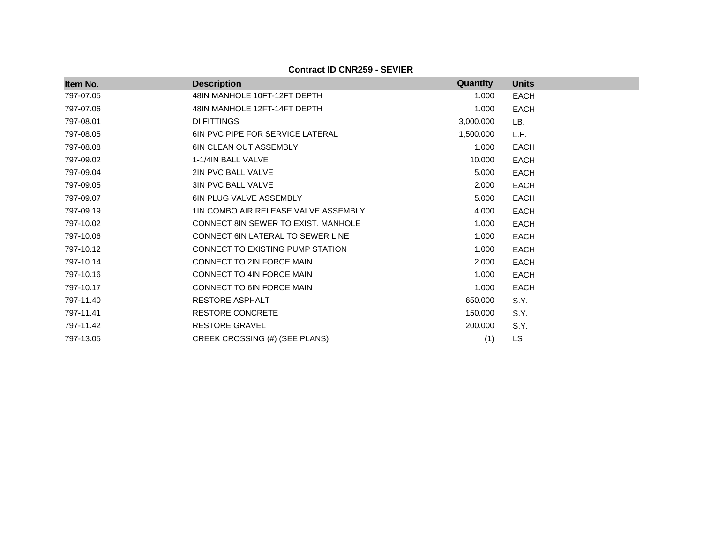| Item No.  | <b>Description</b>                      | Quantity  | <b>Units</b> |
|-----------|-----------------------------------------|-----------|--------------|
| 797-07.05 | 48IN MANHOLE 10FT-12FT DEPTH            | 1.000     | <b>EACH</b>  |
| 797-07.06 | 48IN MANHOLE 12FT-14FT DEPTH            | 1.000     | <b>EACH</b>  |
| 797-08.01 | DI FITTINGS                             | 3,000.000 | LB.          |
| 797-08.05 | <b>6IN PVC PIPE FOR SERVICE LATERAL</b> | 1,500.000 | L.F.         |
| 797-08.08 | <b>6IN CLEAN OUT ASSEMBLY</b>           | 1.000     | <b>EACH</b>  |
| 797-09.02 | 1-1/4IN BALL VALVE                      | 10.000    | <b>EACH</b>  |
| 797-09.04 | 2IN PVC BALL VALVE                      | 5.000     | <b>EACH</b>  |
| 797-09.05 | <b>3IN PVC BALL VALVE</b>               | 2.000     | <b>EACH</b>  |
| 797-09.07 | <b>6IN PLUG VALVE ASSEMBLY</b>          | 5.000     | EACH         |
| 797-09.19 | 1IN COMBO AIR RELEASE VALVE ASSEMBLY    | 4.000     | <b>EACH</b>  |
| 797-10.02 | CONNECT 8IN SEWER TO EXIST. MANHOLE     | 1.000     | <b>EACH</b>  |
| 797-10.06 | CONNECT 6IN LATERAL TO SEWER LINE       | 1.000     | <b>EACH</b>  |
| 797-10.12 | CONNECT TO EXISTING PUMP STATION        | 1.000     | <b>EACH</b>  |
| 797-10.14 | CONNECT TO 2IN FORCE MAIN               | 2.000     | <b>EACH</b>  |
| 797-10.16 | <b>CONNECT TO 4IN FORCE MAIN</b>        | 1.000     | EACH         |
| 797-10.17 | CONNECT TO 6IN FORCE MAIN               | 1.000     | EACH         |
| 797-11.40 | RESTORE ASPHALT                         | 650.000   | S.Y.         |
| 797-11.41 | <b>RESTORE CONCRETE</b>                 | 150.000   | S.Y.         |
| 797-11.42 | <b>RESTORE GRAVEL</b>                   | 200.000   | S.Y.         |
| 797-13.05 | CREEK CROSSING (#) (SEE PLANS)          | (1)       | LS.          |

**Contract ID CNR259 - SEVIER**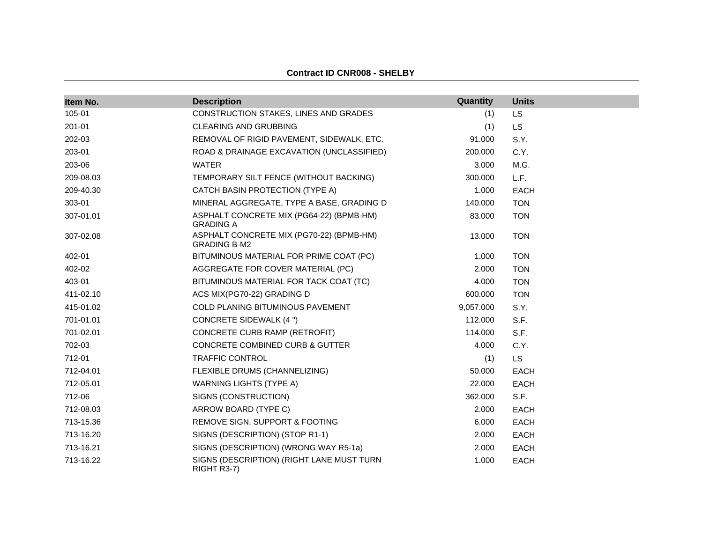| Item No.  | <b>Description</b>                                              | Quantity  | <b>Units</b> |
|-----------|-----------------------------------------------------------------|-----------|--------------|
| 105-01    | CONSTRUCTION STAKES, LINES AND GRADES                           | (1)       | LS           |
| 201-01    | <b>CLEARING AND GRUBBING</b>                                    | (1)       | <b>LS</b>    |
| 202-03    | REMOVAL OF RIGID PAVEMENT, SIDEWALK, ETC.                       | 91.000    | S.Y.         |
| 203-01    | ROAD & DRAINAGE EXCAVATION (UNCLASSIFIED)                       | 200.000   | C.Y.         |
| 203-06    | <b>WATER</b>                                                    | 3.000     | M.G.         |
| 209-08.03 | TEMPORARY SILT FENCE (WITHOUT BACKING)                          | 300.000   | L.F.         |
| 209-40.30 | CATCH BASIN PROTECTION (TYPE A)                                 | 1.000     | <b>EACH</b>  |
| 303-01    | MINERAL AGGREGATE, TYPE A BASE, GRADING D                       | 140.000   | <b>TON</b>   |
| 307-01.01 | ASPHALT CONCRETE MIX (PG64-22) (BPMB-HM)<br><b>GRADING A</b>    | 83.000    | <b>TON</b>   |
| 307-02.08 | ASPHALT CONCRETE MIX (PG70-22) (BPMB-HM)<br><b>GRADING B-M2</b> | 13.000    | <b>TON</b>   |
| 402-01    | BITUMINOUS MATERIAL FOR PRIME COAT (PC)                         | 1.000     | <b>TON</b>   |
| 402-02    | AGGREGATE FOR COVER MATERIAL (PC)                               | 2.000     | <b>TON</b>   |
| 403-01    | BITUMINOUS MATERIAL FOR TACK COAT (TC)                          | 4.000     | <b>TON</b>   |
| 411-02.10 | ACS MIX(PG70-22) GRADING D                                      | 600.000   | <b>TON</b>   |
| 415-01.02 | COLD PLANING BITUMINOUS PAVEMENT                                | 9,057.000 | S.Y.         |
| 701-01.01 | <b>CONCRETE SIDEWALK (4 ")</b>                                  | 112.000   | S.F.         |
| 701-02.01 | CONCRETE CURB RAMP (RETROFIT)                                   | 114.000   | S.F.         |
| 702-03    | <b>CONCRETE COMBINED CURB &amp; GUTTER</b>                      | 4.000     | C.Y.         |
| 712-01    | <b>TRAFFIC CONTROL</b>                                          | (1)       | <b>LS</b>    |
| 712-04.01 | FLEXIBLE DRUMS (CHANNELIZING)                                   | 50.000    | <b>EACH</b>  |
| 712-05.01 | <b>WARNING LIGHTS (TYPE A)</b>                                  | 22.000    | EACH         |
| 712-06    | SIGNS (CONSTRUCTION)                                            | 362.000   | S.F.         |
| 712-08.03 | ARROW BOARD (TYPE C)                                            | 2.000     | EACH         |
| 713-15.36 | REMOVE SIGN, SUPPORT & FOOTING                                  | 6.000     | EACH         |
| 713-16.20 | SIGNS (DESCRIPTION) (STOP R1-1)                                 | 2.000     | EACH         |
| 713-16.21 | SIGNS (DESCRIPTION) (WRONG WAY R5-1a)                           | 2.000     | <b>EACH</b>  |
| 713-16.22 | SIGNS (DESCRIPTION) (RIGHT LANE MUST TURN<br>RIGHT R3-7)        | 1.000     | EACH         |

**Contract ID CNR008 - SHELBY**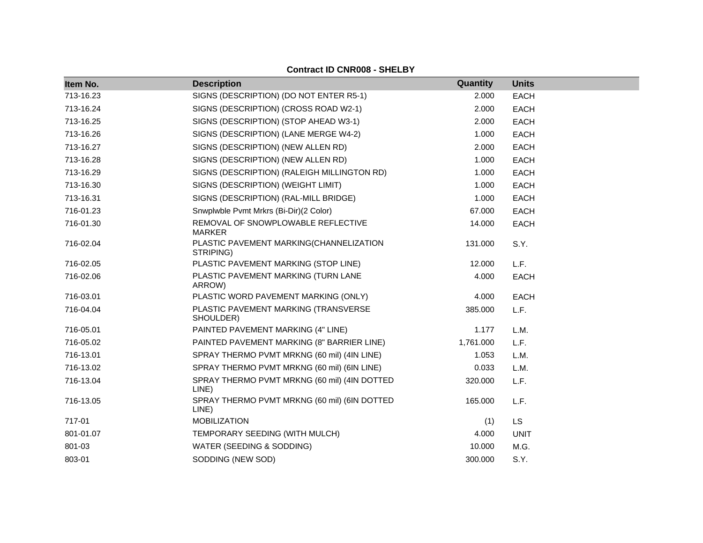| Item No.  | <b>Description</b>                                    | Quantity  | <b>Units</b> |
|-----------|-------------------------------------------------------|-----------|--------------|
| 713-16.23 | SIGNS (DESCRIPTION) (DO NOT ENTER R5-1)               | 2.000     | <b>EACH</b>  |
| 713-16.24 | SIGNS (DESCRIPTION) (CROSS ROAD W2-1)                 | 2.000     | <b>EACH</b>  |
| 713-16.25 | SIGNS (DESCRIPTION) (STOP AHEAD W3-1)                 | 2.000     | <b>EACH</b>  |
| 713-16.26 | SIGNS (DESCRIPTION) (LANE MERGE W4-2)                 | 1.000     | <b>EACH</b>  |
| 713-16.27 | SIGNS (DESCRIPTION) (NEW ALLEN RD)                    | 2.000     | <b>EACH</b>  |
| 713-16.28 | SIGNS (DESCRIPTION) (NEW ALLEN RD)                    | 1.000     | <b>EACH</b>  |
| 713-16.29 | SIGNS (DESCRIPTION) (RALEIGH MILLINGTON RD)           | 1.000     | <b>EACH</b>  |
| 713-16.30 | SIGNS (DESCRIPTION) (WEIGHT LIMIT)                    | 1.000     | <b>EACH</b>  |
| 713-16.31 | SIGNS (DESCRIPTION) (RAL-MILL BRIDGE)                 | 1.000     | <b>EACH</b>  |
| 716-01.23 | Snwplwble Pvmt Mrkrs (Bi-Dir)(2 Color)                | 67.000    | <b>EACH</b>  |
| 716-01.30 | REMOVAL OF SNOWPLOWABLE REFLECTIVE<br><b>MARKER</b>   | 14.000    | <b>EACH</b>  |
| 716-02.04 | PLASTIC PAVEMENT MARKING(CHANNELIZATION<br>STRIPING)  | 131.000   | S.Y.         |
| 716-02.05 | PLASTIC PAVEMENT MARKING (STOP LINE)                  | 12.000    | L.F.         |
| 716-02.06 | PLASTIC PAVEMENT MARKING (TURN LANE<br>ARROW)         | 4.000     | <b>EACH</b>  |
| 716-03.01 | PLASTIC WORD PAVEMENT MARKING (ONLY)                  | 4.000     | <b>EACH</b>  |
| 716-04.04 | PLASTIC PAVEMENT MARKING (TRANSVERSE<br>SHOULDER)     | 385.000   | L.F.         |
| 716-05.01 | PAINTED PAVEMENT MARKING (4" LINE)                    | 1.177     | L.M.         |
| 716-05.02 | PAINTED PAVEMENT MARKING (8" BARRIER LINE)            | 1,761.000 | L.F.         |
| 716-13.01 | SPRAY THERMO PVMT MRKNG (60 mil) (4IN LINE)           | 1.053     | L.M.         |
| 716-13.02 | SPRAY THERMO PVMT MRKNG (60 mil) (6IN LINE)           | 0.033     | L.M.         |
| 716-13.04 | SPRAY THERMO PVMT MRKNG (60 mil) (4IN DOTTED<br>LINE) | 320.000   | L.F.         |
| 716-13.05 | SPRAY THERMO PVMT MRKNG (60 mil) (6IN DOTTED<br>LINE) | 165.000   | L.F.         |
| 717-01    | <b>MOBILIZATION</b>                                   | (1)       | LS           |
| 801-01.07 | TEMPORARY SEEDING (WITH MULCH)                        | 4.000     | <b>UNIT</b>  |
| 801-03    | WATER (SEEDING & SODDING)                             | 10.000    | M.G.         |
| 803-01    | SODDING (NEW SOD)                                     | 300.000   | S.Y.         |

# **Contract ID CNR008 - SHELBY**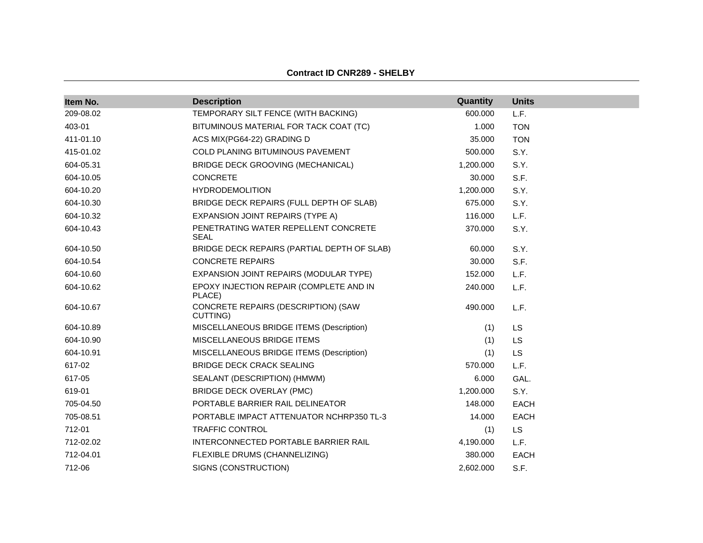| Item No.  | <b>Description</b>                                  | Quantity  | <b>Units</b> |  |
|-----------|-----------------------------------------------------|-----------|--------------|--|
| 209-08.02 | TEMPORARY SILT FENCE (WITH BACKING)                 | 600.000   | L.F.         |  |
| 403-01    | BITUMINOUS MATERIAL FOR TACK COAT (TC)              | 1.000     | <b>TON</b>   |  |
| 411-01.10 | ACS MIX(PG64-22) GRADING D                          | 35.000    | <b>TON</b>   |  |
| 415-01.02 | COLD PLANING BITUMINOUS PAVEMENT                    | 500.000   | S.Y.         |  |
| 604-05.31 | BRIDGE DECK GROOVING (MECHANICAL)                   | 1,200.000 | S.Y.         |  |
| 604-10.05 | <b>CONCRETE</b>                                     | 30.000    | S.F.         |  |
| 604-10.20 | <b>HYDRODEMOLITION</b>                              | 1,200.000 | S.Y.         |  |
| 604-10.30 | BRIDGE DECK REPAIRS (FULL DEPTH OF SLAB)            | 675.000   | S.Y.         |  |
| 604-10.32 | EXPANSION JOINT REPAIRS (TYPE A)                    | 116,000   | L.F.         |  |
| 604-10.43 | PENETRATING WATER REPELLENT CONCRETE<br><b>SEAL</b> | 370.000   | S.Y.         |  |
| 604-10.50 | BRIDGE DECK REPAIRS (PARTIAL DEPTH OF SLAB)         | 60.000    | S.Y.         |  |
| 604-10.54 | <b>CONCRETE REPAIRS</b>                             | 30.000    | S.F.         |  |
| 604-10.60 | EXPANSION JOINT REPAIRS (MODULAR TYPE)              | 152.000   | L.F.         |  |
| 604-10.62 | EPOXY INJECTION REPAIR (COMPLETE AND IN<br>PLACE)   | 240.000   | L.F.         |  |
| 604-10.67 | CONCRETE REPAIRS (DESCRIPTION) (SAW<br>CUTTING)     | 490.000   | L.F.         |  |
| 604-10.89 | MISCELLANEOUS BRIDGE ITEMS (Description)            | (1)       | LS.          |  |
| 604-10.90 | MISCELLANEOUS BRIDGE ITEMS                          | (1)       | <b>LS</b>    |  |
| 604-10.91 | MISCELLANEOUS BRIDGE ITEMS (Description)            | (1)       | LS.          |  |
| 617-02    | <b>BRIDGE DECK CRACK SEALING</b>                    | 570.000   | L.F.         |  |
| 617-05    | SEALANT (DESCRIPTION) (HMWM)                        | 6.000     | GAL.         |  |
| 619-01    | <b>BRIDGE DECK OVERLAY (PMC)</b>                    | 1,200.000 | S.Y.         |  |
| 705-04.50 | PORTABLE BARRIER RAIL DELINEATOR                    | 148.000   | <b>EACH</b>  |  |
| 705-08.51 | PORTABLE IMPACT ATTENUATOR NCHRP350 TL-3            | 14.000    | <b>EACH</b>  |  |
| 712-01    | <b>TRAFFIC CONTROL</b>                              | (1)       | <b>LS</b>    |  |
| 712-02.02 | INTERCONNECTED PORTABLE BARRIER RAIL                | 4,190.000 | L.F.         |  |
| 712-04.01 | FLEXIBLE DRUMS (CHANNELIZING)                       | 380,000   | <b>EACH</b>  |  |
| 712-06    | SIGNS (CONSTRUCTION)                                | 2,602.000 | S.F.         |  |

**Contract ID CNR289 - SHELBY**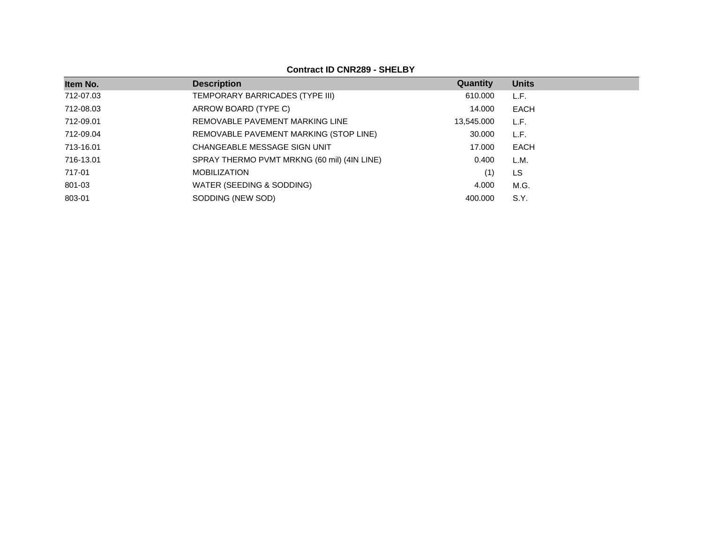## **Contract ID CNR289 - SHELBY**

| Item No.  | <b>Description</b>                          | Quantity   | <b>Units</b> |
|-----------|---------------------------------------------|------------|--------------|
| 712-07.03 | TEMPORARY BARRICADES (TYPE III)             | 610.000    | L.F.         |
| 712-08.03 | ARROW BOARD (TYPE C)                        | 14.000     | <b>EACH</b>  |
| 712-09.01 | REMOVABLE PAVEMENT MARKING LINE             | 13,545.000 | L.F.         |
| 712-09.04 | REMOVABLE PAVEMENT MARKING (STOP LINE)      | 30,000     | L.F.         |
| 713-16.01 | CHANGEABLE MESSAGE SIGN UNIT                | 17.000     | <b>EACH</b>  |
| 716-13.01 | SPRAY THERMO PVMT MRKNG (60 mil) (4IN LINE) | 0.400      | L.M.         |
| 717-01    | <b>MOBILIZATION</b>                         | (1)        | LS           |
| 801-03    | WATER (SEEDING & SODDING)                   | 4.000      | M.G.         |
| 803-01    | SODDING (NEW SOD)                           | 400.000    | S.Y.         |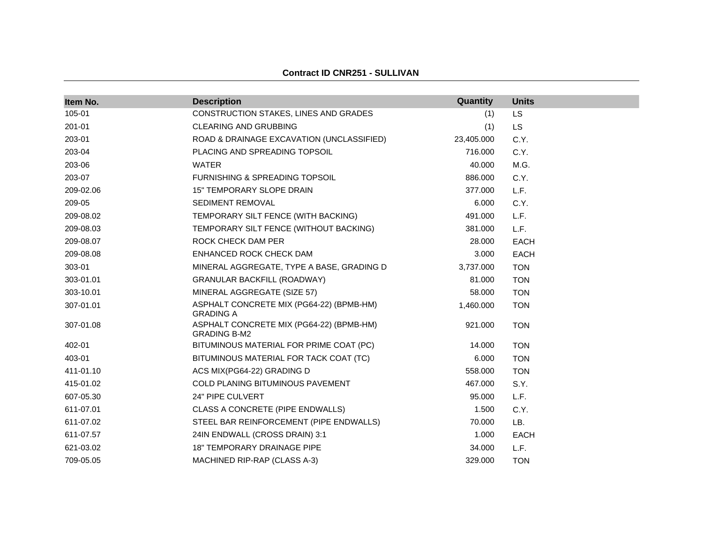| Item No.  | <b>Description</b>                                              | Quantity   | <b>Units</b> |
|-----------|-----------------------------------------------------------------|------------|--------------|
| 105-01    | CONSTRUCTION STAKES, LINES AND GRADES                           | (1)        | LS           |
| 201-01    | <b>CLEARING AND GRUBBING</b>                                    | (1)        | <b>LS</b>    |
| 203-01    | ROAD & DRAINAGE EXCAVATION (UNCLASSIFIED)                       | 23,405.000 | C.Y.         |
| 203-04    | PLACING AND SPREADING TOPSOIL                                   | 716.000    | C.Y.         |
| 203-06    | <b>WATER</b>                                                    | 40.000     | M.G.         |
| 203-07    | <b>FURNISHING &amp; SPREADING TOPSOIL</b>                       | 886.000    | C.Y.         |
| 209-02.06 | 15" TEMPORARY SLOPE DRAIN                                       | 377.000    | L.F.         |
| 209-05    | SEDIMENT REMOVAL                                                | 6.000      | C.Y.         |
| 209-08.02 | TEMPORARY SILT FENCE (WITH BACKING)                             | 491.000    | L.F.         |
| 209-08.03 | TEMPORARY SILT FENCE (WITHOUT BACKING)                          | 381.000    | L.F.         |
| 209-08.07 | ROCK CHECK DAM PER                                              | 28.000     | <b>EACH</b>  |
| 209-08.08 | ENHANCED ROCK CHECK DAM                                         | 3.000      | <b>EACH</b>  |
| 303-01    | MINERAL AGGREGATE, TYPE A BASE, GRADING D                       | 3,737.000  | <b>TON</b>   |
| 303-01.01 | <b>GRANULAR BACKFILL (ROADWAY)</b>                              | 81.000     | <b>TON</b>   |
| 303-10.01 | MINERAL AGGREGATE (SIZE 57)                                     | 58.000     | <b>TON</b>   |
| 307-01.01 | ASPHALT CONCRETE MIX (PG64-22) (BPMB-HM)<br><b>GRADING A</b>    | 1,460.000  | <b>TON</b>   |
| 307-01.08 | ASPHALT CONCRETE MIX (PG64-22) (BPMB-HM)<br><b>GRADING B-M2</b> | 921.000    | <b>TON</b>   |
| 402-01    | BITUMINOUS MATERIAL FOR PRIME COAT (PC)                         | 14.000     | <b>TON</b>   |
| 403-01    | BITUMINOUS MATERIAL FOR TACK COAT (TC)                          | 6.000      | <b>TON</b>   |
| 411-01.10 | ACS MIX(PG64-22) GRADING D                                      | 558.000    | <b>TON</b>   |
| 415-01.02 | <b>COLD PLANING BITUMINOUS PAVEMENT</b>                         | 467.000    | S.Y.         |
| 607-05.30 | 24" PIPE CULVERT                                                | 95.000     | L.F.         |
| 611-07.01 | CLASS A CONCRETE (PIPE ENDWALLS)                                | 1.500      | C.Y.         |
| 611-07.02 | STEEL BAR REINFORCEMENT (PIPE ENDWALLS)                         | 70.000     | LB.          |
| 611-07.57 | 24IN ENDWALL (CROSS DRAIN) 3:1                                  | 1.000      | <b>EACH</b>  |
| 621-03.02 | <b>18" TEMPORARY DRAINAGE PIPE</b>                              | 34.000     | L.F.         |
| 709-05.05 | MACHINED RIP-RAP (CLASS A-3)                                    | 329.000    | <b>TON</b>   |

#### **Contract ID CNR251 - SULLIVAN**